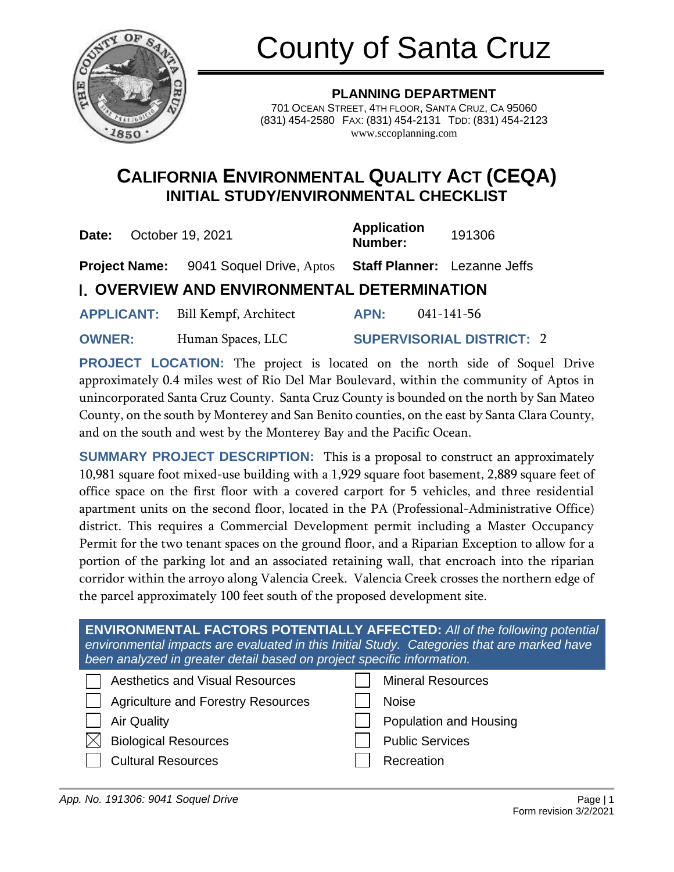

County of Santa Cruz

**PLANNING DEPARTMENT** 701 OCEAN STREET, 4TH FLOOR, SANTA CRUZ, CA 95060 (831) 454-2580 FAX: (831) 454-2131 TDD: (831) 454-2123 www.sccoplanning.com

### **CALIFORNIA ENVIRONMENTAL QUALITY ACT (CEQA) INITIAL STUDY/ENVIRONMENTAL CHECKLIST**

**Date:** October 19, 2021 **Application Application Number:** 191306 **Project Name:** 9041 Soquel Drive, Aptos **Staff Planner:** Lezanne Jeffs **OVERVIEW AND ENVIRONMENTAL DETERMINATION APPLICANT:** Bill Kempf, Architect **APN:** 041-141-56

**OWNER:** Human Spaces, LLC **SUPERVISORIAL DISTRICT:** 2

**PROJECT LOCATION:** The project is located on the north side of Soquel Drive approximately 0.4 miles west of Rio Del Mar Boulevard, within the community of Aptos in unincorporated Santa Cruz County. Santa Cruz County is bounded on the north by San Mateo County, on the south by Monterey and San Benito counties, on the east by Santa Clara County, and on the south and west by the Monterey Bay and the Pacific Ocean.

**SUMMARY PROJECT DESCRIPTION:** This is a proposal to construct an approximately 10,981 square foot mixed-use building with a 1,929 square foot basement, 2,889 square feet of office space on the first floor with a covered carport for 5 vehicles, and three residential apartment units on the second floor, located in the PA (Professional-Administrative Office) district. This requires a Commercial Development permit including a Master Occupancy Permit for the two tenant spaces on the ground floor, and a Riparian Exception to allow for a portion of the parking lot and an associated retaining wall, that encroach into the riparian corridor within the arroyo along Valencia Creek. Valencia Creek crosses the northern edge of the parcel approximately 100 feet south of the proposed development site.

| <b>ENVIRONMENTAL FACTORS POTENTIALLY AFFECTED:</b> All of the following potential<br>environmental impacts are evaluated in this Initial Study. Categories that are marked have<br>been analyzed in greater detail based on project specific information. |                          |  |  |  |
|-----------------------------------------------------------------------------------------------------------------------------------------------------------------------------------------------------------------------------------------------------------|--------------------------|--|--|--|
| <b>Aesthetics and Visual Resources</b>                                                                                                                                                                                                                    | <b>Mineral Resources</b> |  |  |  |
| <b>Agriculture and Forestry Resources</b>                                                                                                                                                                                                                 | <b>Noise</b>             |  |  |  |
| <b>Air Quality</b>                                                                                                                                                                                                                                        | Population and Housing   |  |  |  |
| <b>Biological Resources</b>                                                                                                                                                                                                                               | <b>Public Services</b>   |  |  |  |
| <b>Cultural Resources</b>                                                                                                                                                                                                                                 | Recreation               |  |  |  |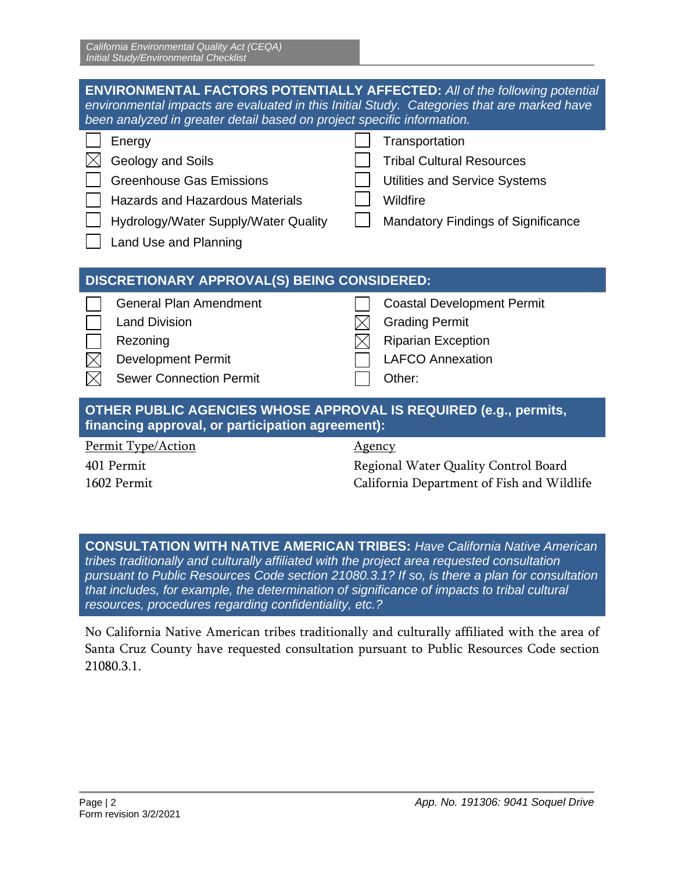| <b>ENVIRONMENTAL FACTORS POTENTIALLY AFFECTED:</b> All of the following potential<br>environmental impacts are evaluated in this Initial Study. Categories that are marked have<br>been analyzed in greater detail based on project specific information. |                                                                                                                      |               |                                           |  |
|-----------------------------------------------------------------------------------------------------------------------------------------------------------------------------------------------------------------------------------------------------------|----------------------------------------------------------------------------------------------------------------------|---------------|-------------------------------------------|--|
|                                                                                                                                                                                                                                                           | Energy                                                                                                               |               | Transportation                            |  |
|                                                                                                                                                                                                                                                           | Geology and Soils                                                                                                    |               | <b>Tribal Cultural Resources</b>          |  |
|                                                                                                                                                                                                                                                           | <b>Greenhouse Gas Emissions</b>                                                                                      |               | Utilities and Service Systems             |  |
|                                                                                                                                                                                                                                                           | <b>Hazards and Hazardous Materials</b>                                                                               |               | Wildfire                                  |  |
|                                                                                                                                                                                                                                                           | Hydrology/Water Supply/Water Quality                                                                                 |               | <b>Mandatory Findings of Significance</b> |  |
|                                                                                                                                                                                                                                                           | Land Use and Planning                                                                                                |               |                                           |  |
|                                                                                                                                                                                                                                                           |                                                                                                                      |               |                                           |  |
| DISCRETIONARY APPROVAL(S) BEING CONSIDERED:                                                                                                                                                                                                               |                                                                                                                      |               |                                           |  |
|                                                                                                                                                                                                                                                           |                                                                                                                      |               |                                           |  |
|                                                                                                                                                                                                                                                           | <b>General Plan Amendment</b>                                                                                        |               | <b>Coastal Development Permit</b>         |  |
|                                                                                                                                                                                                                                                           | <b>Land Division</b>                                                                                                 |               | <b>Grading Permit</b>                     |  |
|                                                                                                                                                                                                                                                           | Rezoning                                                                                                             |               | <b>Riparian Exception</b>                 |  |
|                                                                                                                                                                                                                                                           | <b>Development Permit</b>                                                                                            |               | <b>LAFCO Annexation</b>                   |  |
|                                                                                                                                                                                                                                                           | <b>Sewer Connection Permit</b>                                                                                       |               | Other:                                    |  |
|                                                                                                                                                                                                                                                           | OTHER PUBLIC AGENCIES WHOSE APPROVAL IS REQUIRED (e.g., permits,<br>financing approval, or participation agreement): |               |                                           |  |
|                                                                                                                                                                                                                                                           | <b>Permit Type/Action</b>                                                                                            | <u>Agency</u> |                                           |  |
|                                                                                                                                                                                                                                                           | 401 Permit                                                                                                           |               | Regional Water Quality Control Board      |  |

**CONSULTATION WITH NATIVE AMERICAN TRIBES:** *Have California Native American tribes traditionally and culturally affiliated with the project area requested consultation pursuant to Public Resources Code section 21080.3.1? If so, is there a plan for consultation that includes, for example, the determination of significance of impacts to tribal cultural resources, procedures regarding confidentiality, etc.?*

No California Native American tribes traditionally and culturally affiliated with the area of Santa Cruz County have requested consultation pursuant to Public Resources Code section 21080.3.1.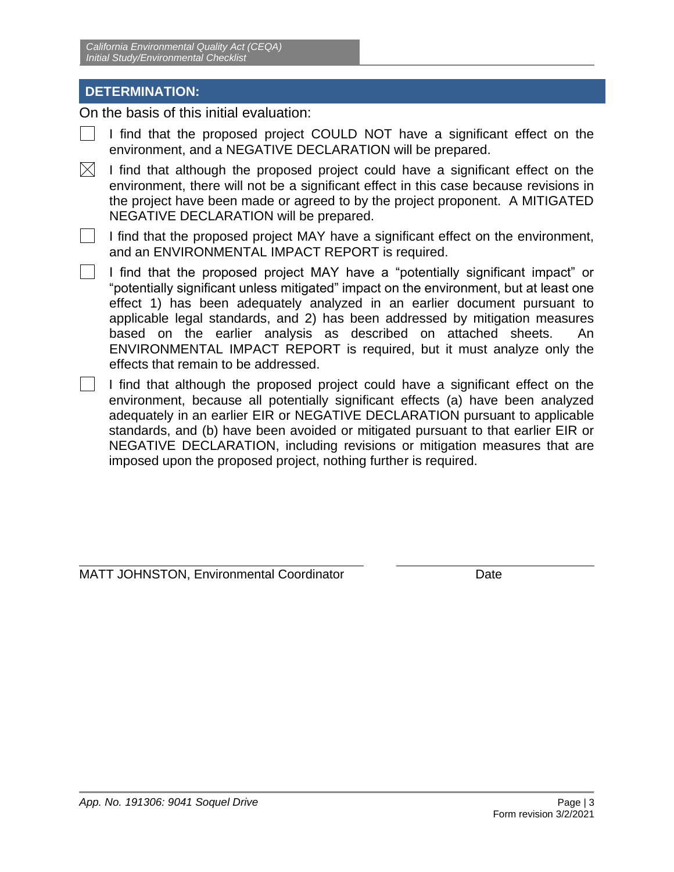#### **DETERMINATION:**

On the basis of this initial evaluation:

- I find that the proposed project COULD NOT have a significant effect on the environment, and a NEGATIVE DECLARATION will be prepared.
- $\boxtimes$  I find that although the proposed project could have a significant effect on the environment, there will not be a significant effect in this case because revisions in the project have been made or agreed to by the project proponent. A MITIGATED NEGATIVE DECLARATION will be prepared.
- I find that the proposed project MAY have a significant effect on the environment, and an ENVIRONMENTAL IMPACT REPORT is required.
	- I find that the proposed project MAY have a "potentially significant impact" or "potentially significant unless mitigated" impact on the environment, but at least one effect 1) has been adequately analyzed in an earlier document pursuant to applicable legal standards, and 2) has been addressed by mitigation measures based on the earlier analysis as described on attached sheets. An ENVIRONMENTAL IMPACT REPORT is required, but it must analyze only the effects that remain to be addressed.
- I find that although the proposed project could have a significant effect on the environment, because all potentially significant effects (a) have been analyzed adequately in an earlier EIR or NEGATIVE DECLARATION pursuant to applicable standards, and (b) have been avoided or mitigated pursuant to that earlier EIR or NEGATIVE DECLARATION, including revisions or mitigation measures that are imposed upon the proposed project, nothing further is required.

 $\overline{a}$ 

MATT JOHNSTON, Environmental Coordinator **Date** Date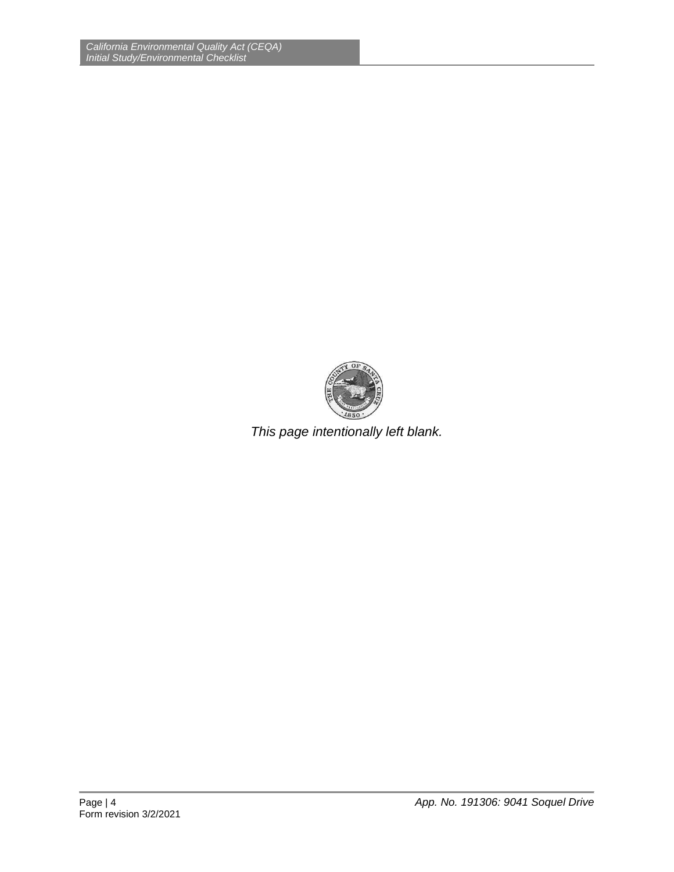

*This page intentionally left blank.*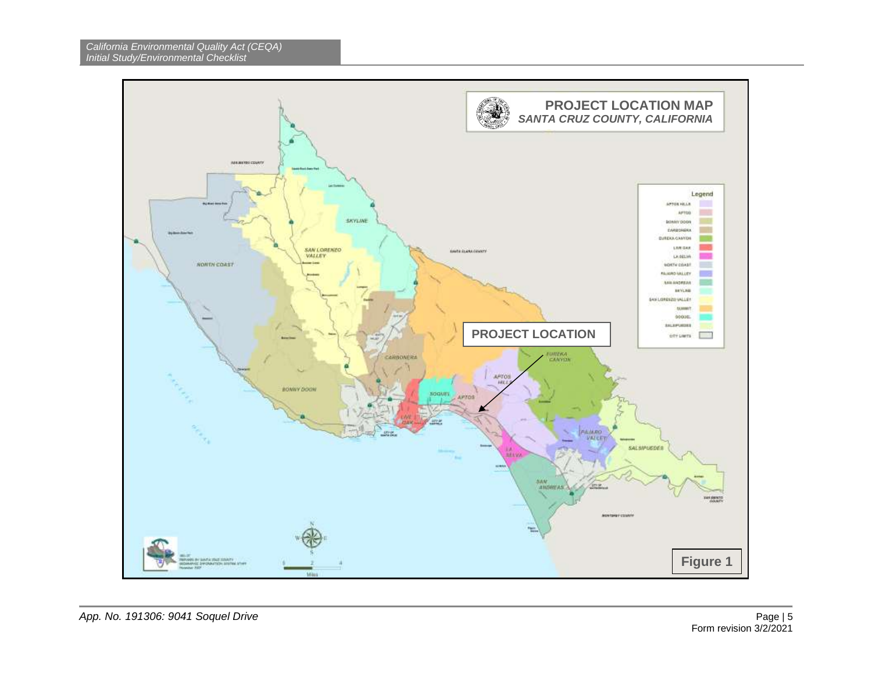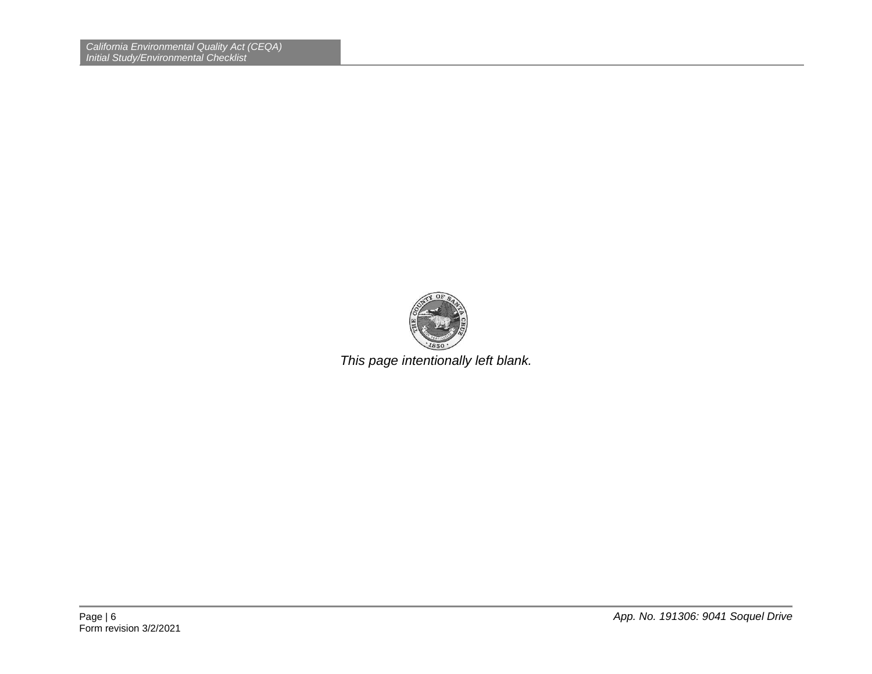

*This page intentionally left blank.*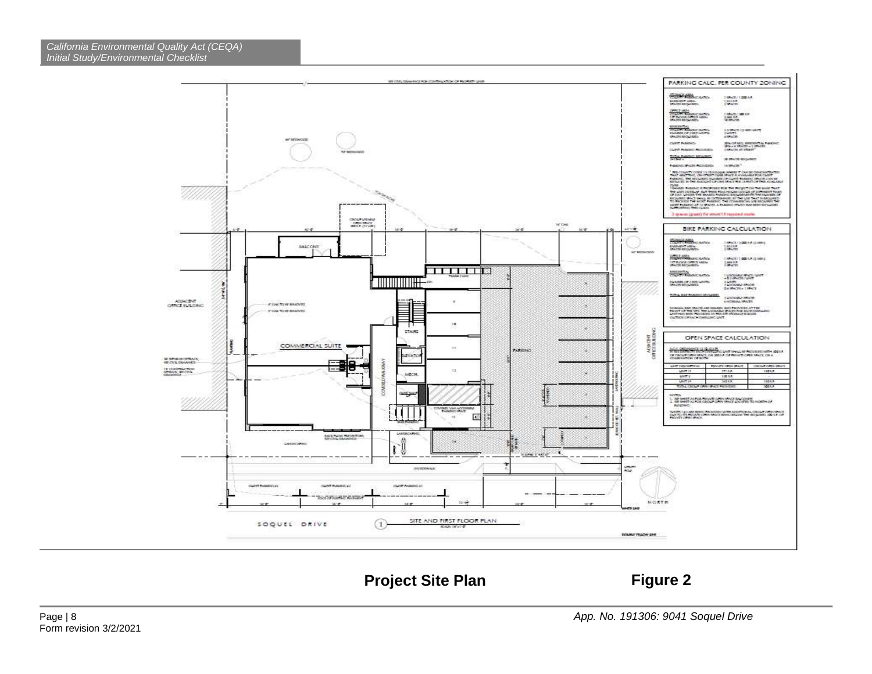

**Project Site Plan Figure 2**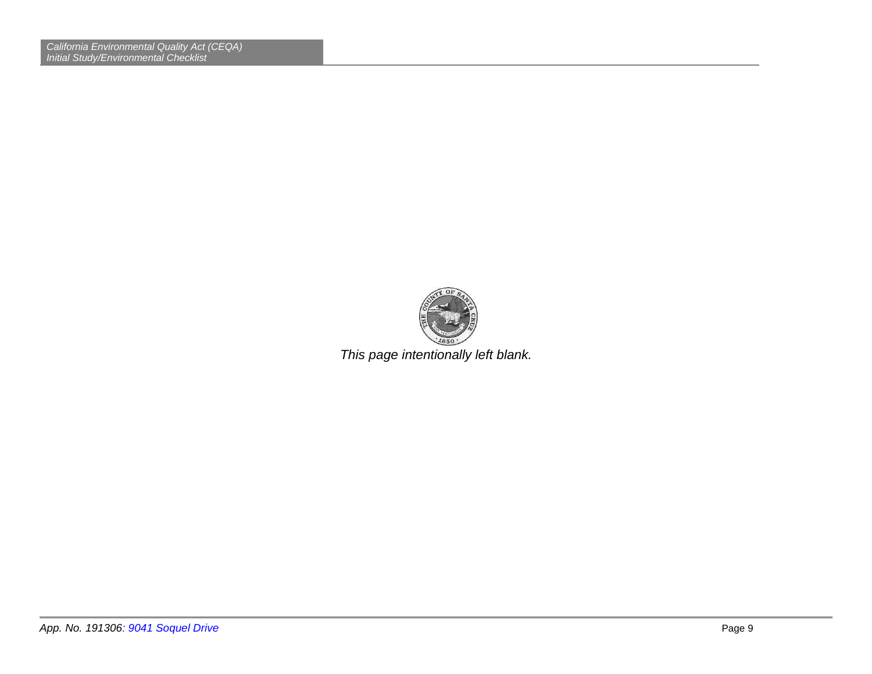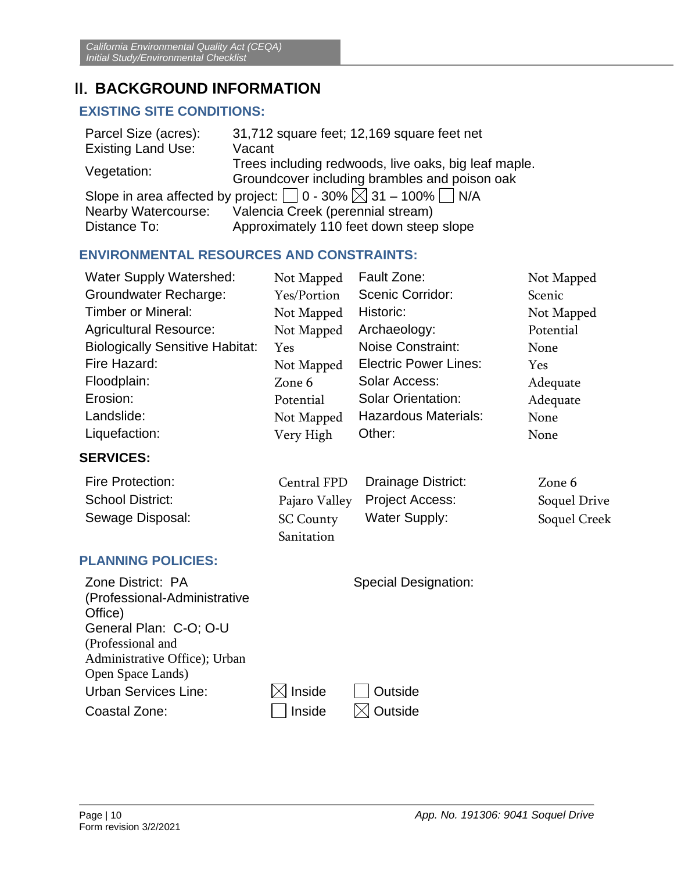### **II. BACKGROUND INFORMATION**

### **EXISTING SITE CONDITIONS:**

| Parcel Size (acres):       | 31,712 square feet; 12,169 square feet net                                         |
|----------------------------|------------------------------------------------------------------------------------|
| <b>Existing Land Use:</b>  | Vacant                                                                             |
| Vegetation:                | Trees including redwoods, live oaks, big leaf maple.                               |
|                            | Groundcover including brambles and poison oak                                      |
|                            | Slope in area affected by project: $\Box$ 0 - 30% $\boxtimes$ 31 - 100% $\Box$ N/A |
| <b>Nearby Watercourse:</b> | Valencia Creek (perennial stream)                                                  |
| Distance To:               | Approximately 110 feet down steep slope                                            |

#### **ENVIRONMENTAL RESOURCES AND CONSTRAINTS:**

| Water Supply Watershed:                | Not Mapped  | Fault Zone:                  | Not Mapped |
|----------------------------------------|-------------|------------------------------|------------|
| <b>Groundwater Recharge:</b>           | Yes/Portion | Scenic Corridor:             | Scenic     |
| <b>Timber or Mineral:</b>              | Not Mapped  | Historic:                    | Not Mapped |
| <b>Agricultural Resource:</b>          | Not Mapped  | Archaeology:                 | Potential  |
| <b>Biologically Sensitive Habitat:</b> | Yes         | <b>Noise Constraint:</b>     | None       |
| Fire Hazard:                           | Not Mapped  | <b>Electric Power Lines:</b> | Yes        |
| Floodplain:                            | Zone 6      | Solar Access:                | Adequate   |
| Erosion:                               | Potential   | <b>Solar Orientation:</b>    | Adequate   |
| Landslide:                             | Not Mapped  | <b>Hazardous Materials:</b>  | None       |
| Liquefaction:                          | Very High   | Other:                       | None       |

#### **SERVICES:**

| Fire Protection: | Central FPD | <b>Drainage District:</b>     | Zone 6       |
|------------------|-------------|-------------------------------|--------------|
| School District: |             | Pajaro Valley Project Access: | Soquel Drive |
| Sewage Disposal: | SC County   | Water Supply:                 | Soquel Creek |
|                  | Sanitation  |                               |              |

#### **PLANNING POLICIES:**

|                    | <b>Special Designation:</b> |
|--------------------|-----------------------------|
|                    |                             |
|                    |                             |
|                    |                             |
|                    |                             |
|                    |                             |
|                    |                             |
| $\boxtimes$ Inside | Outside                     |
| Inside             | Outside                     |
|                    |                             |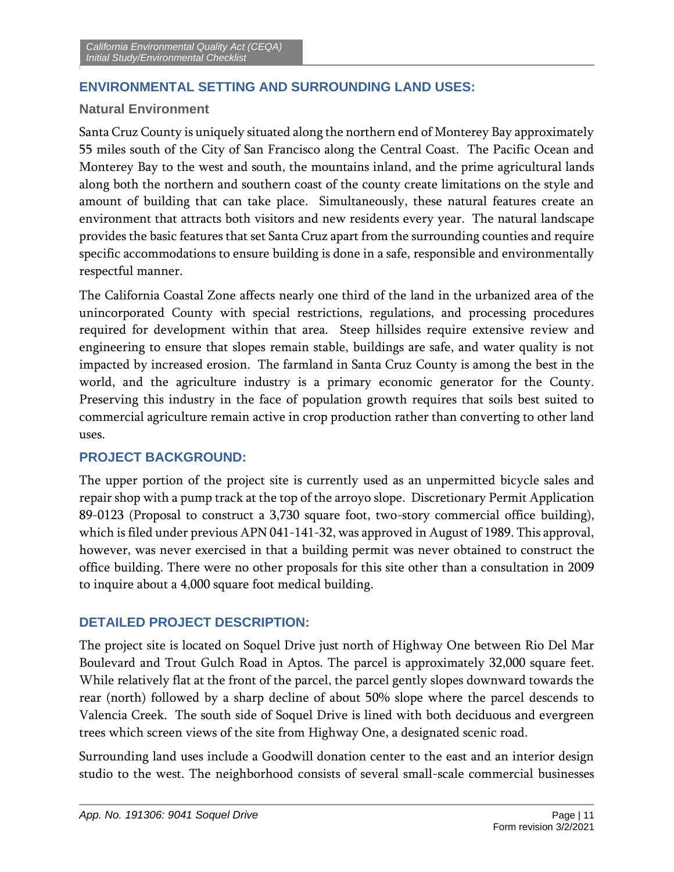#### **ENVIRONMENTAL SETTING AND SURROUNDING LAND USES:**

#### **Natural Environment**

\

Santa Cruz County is uniquely situated along the northern end of Monterey Bay approximately 55 miles south of the City of San Francisco along the Central Coast. The Pacific Ocean and Monterey Bay to the west and south, the mountains inland, and the prime agricultural lands along both the northern and southern coast of the county create limitations on the style and amount of building that can take place. Simultaneously, these natural features create an environment that attracts both visitors and new residents every year. The natural landscape provides the basic features that set Santa Cruz apart from the surrounding counties and require specific accommodations to ensure building is done in a safe, responsible and environmentally respectful manner.

The California Coastal Zone affects nearly one third of the land in the urbanized area of the unincorporated County with special restrictions, regulations, and processing procedures required for development within that area. Steep hillsides require extensive review and engineering to ensure that slopes remain stable, buildings are safe, and water quality is not impacted by increased erosion. The farmland in Santa Cruz County is among the best in the world, and the agriculture industry is a primary economic generator for the County. Preserving this industry in the face of population growth requires that soils best suited to commercial agriculture remain active in crop production rather than converting to other land uses.

#### **PROJECT BACKGROUND:**

The upper portion of the project site is currently used as an unpermitted bicycle sales and repair shop with a pump track at the top of the arroyo slope. Discretionary Permit Application 89-0123 (Proposal to construct a 3,730 square foot, two-story commercial office building), which is filed under previous APN 041-141-32, was approved in August of 1989. This approval, however, was never exercised in that a building permit was never obtained to construct the office building. There were no other proposals for this site other than a consultation in 2009 to inquire about a 4,000 square foot medical building.

#### **DETAILED PROJECT DESCRIPTION:**

The project site is located on Soquel Drive just north of Highway One between Rio Del Mar Boulevard and Trout Gulch Road in Aptos. The parcel is approximately 32,000 square feet. While relatively flat at the front of the parcel, the parcel gently slopes downward towards the rear (north) followed by a sharp decline of about 50% slope where the parcel descends to Valencia Creek. The south side of Soquel Drive is lined with both deciduous and evergreen trees which screen views of the site from Highway One, a designated scenic road.

Surrounding land uses include a Goodwill donation center to the east and an interior design studio to the west. The neighborhood consists of several small-scale commercial businesses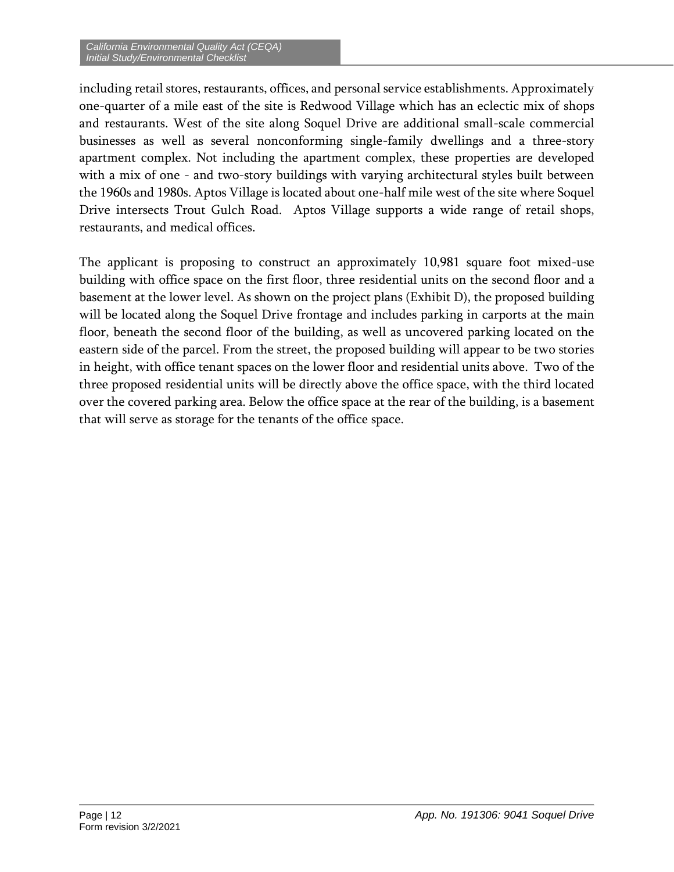including retail stores, restaurants, offices, and personal service establishments. Approximately one-quarter of a mile east of the site is Redwood Village which has an eclectic mix of shops and restaurants. West of the site along Soquel Drive are additional small-scale commercial businesses as well as several nonconforming single-family dwellings and a three-story apartment complex. Not including the apartment complex, these properties are developed with a mix of one - and two-story buildings with varying architectural styles built between the 1960s and 1980s. Aptos Village is located about one-half mile west of the site where Soquel Drive intersects Trout Gulch Road. Aptos Village supports a wide range of retail shops, restaurants, and medical offices.

The applicant is proposing to construct an approximately 10,981 square foot mixed-use building with office space on the first floor, three residential units on the second floor and a basement at the lower level. As shown on the project plans (Exhibit D), the proposed building will be located along the Soquel Drive frontage and includes parking in carports at the main floor, beneath the second floor of the building, as well as uncovered parking located on the eastern side of the parcel. From the street, the proposed building will appear to be two stories in height, with office tenant spaces on the lower floor and residential units above. Two of the three proposed residential units will be directly above the office space, with the third located over the covered parking area. Below the office space at the rear of the building, is a basement that will serve as storage for the tenants of the office space.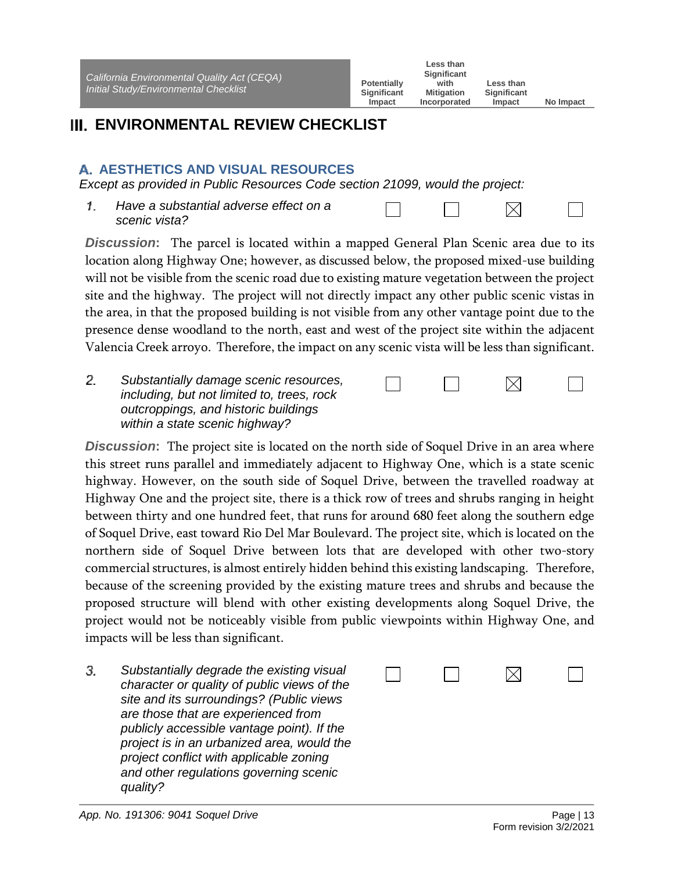<span id="page-12-0"></span>

|                              | Less than<br><b>Significant</b>   |
|------------------------------|-----------------------------------|
| <b>Potentially</b>           | with                              |
| <b>Significant</b><br>Impact | <b>Mitigation</b><br>Incorporated |

**Less than Significant** 

 $\bowtie$ 

**Impact No Impact**

### **III. ENVIRONMENTAL REVIEW CHECKLIST**

### **A. AESTHETICS AND VISUAL RESOURCES**

*Except as provided in Public Resources Code section 21099, would the project:*

1. *Have a substantial adverse effect on a scenic vista?*

*Discussion***:** The parcel is located within a mapped General Plan Scenic area due to its location along Highway One; however, as discussed below, the proposed mixed-use building will not be visible from the scenic road due to existing mature vegetation between the project site and the highway. The project will not directly impact any other public scenic vistas in the area, in that the proposed building is not visible from any other vantage point due to the presence dense woodland to the north, east and west of the project site within the adjacent Valencia Creek arroyo. Therefore, the impact on any scenic vista will be less than significant.

 $\overline{2}$ . *Substantially damage scenic resources, including, but not limited to, trees, rock outcroppings, and historic buildings within a state scenic highway?* 



*Discussion***:** The project site is located on the north side of Soquel Drive in an area where this street runs parallel and immediately adjacent to Highway One, which is a state scenic highway. However, on the south side of Soquel Drive, between the travelled roadway at Highway One and the project site, there is a thick row of trees and shrubs ranging in height between thirty and one hundred feet, that runs for around 680 feet along the southern edge of Soquel Drive, east toward Rio Del Mar Boulevard. The project site, which is located on the northern side of Soquel Drive between lots that are developed with other two-story commercial structures, is almost entirely hidden behind this existing landscaping. Therefore, because of the screening provided by the existing mature trees and shrubs and because the proposed structure will blend with other existing developments along Soquel Drive, the project would not be noticeably visible from public viewpoints within Highway One, and impacts will be less than significant.

З. *Substantially degrade the existing visual character or quality of public views of the site and its surroundings? (Public views are those that are experienced from publicly accessible vantage point). If the project is in an urbanized area, would the project conflict with applicable zoning and other regulations governing scenic quality?*

| and the contract | $\Box$ |  |
|------------------|--------|--|
|                  |        |  |
|                  |        |  |
|                  |        |  |
|                  |        |  |
|                  |        |  |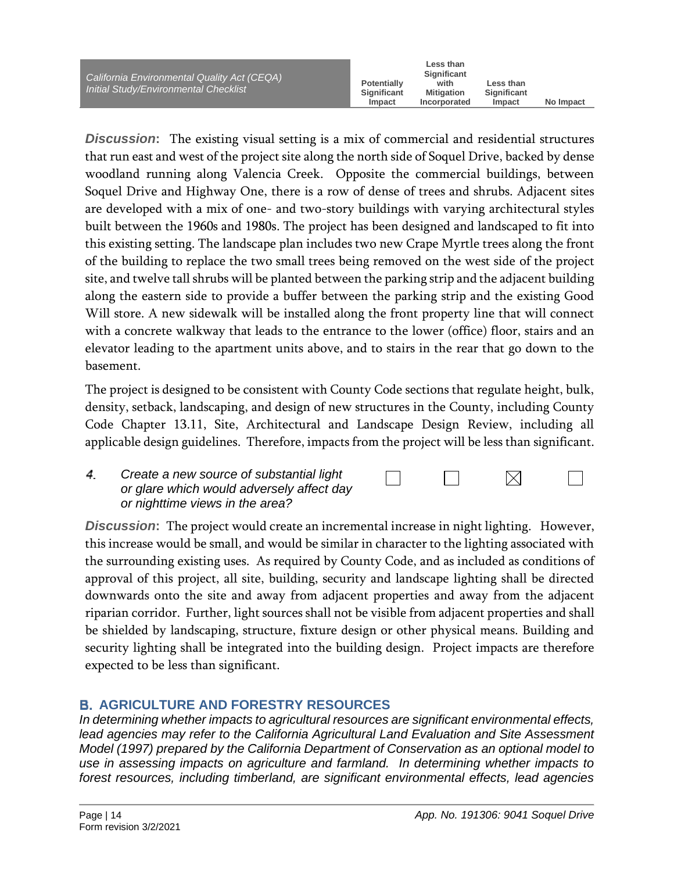*Discussion***:** The existing visual setting is a mix of commercial and residential structures that run east and west of the project site along the north side of Soquel Drive, backed by dense woodland running along Valencia Creek. Opposite the commercial buildings, between Soquel Drive and Highway One, there is a row of dense of trees and shrubs. Adjacent sites are developed with a mix of one- and two-story buildings with varying architectural styles built between the 1960s and 1980s. The project has been designed and landscaped to fit into this existing setting. The landscape plan includes two new Crape Myrtle trees along the front of the building to replace the two small trees being removed on the west side of the project site, and twelve tall shrubs will be planted between the parking strip and the adjacent building along the eastern side to provide a buffer between the parking strip and the existing Good Will store. A new sidewalk will be installed along the front property line that will connect with a concrete walkway that leads to the entrance to the lower (office) floor, stairs and an elevator leading to the apartment units above, and to stairs in the rear that go down to the basement.

The project is designed to be consistent with County Code sections that regulate height, bulk, density, setback, landscaping, and design of new structures in the County, including County Code Chapter 13.11, Site, Architectural and Landscape Design Review, including all applicable design guidelines. Therefore, impacts from the project will be less than significant.

4 *Create a new source of substantial light or glare which would adversely affect day or nighttime views in the area?*

*Discussion***:** The project would create an incremental increase in night lighting. However, this increase would be small, and would be similar in character to the lighting associated with the surrounding existing uses. As required by County Code, and as included as conditions of approval of this project, all site, building, security and landscape lighting shall be directed downwards onto the site and away from adjacent properties and away from the adjacent riparian corridor. Further, light sources shall not be visible from adjacent properties and shall be shielded by landscaping, structure, fixture design or other physical means. Building and security lighting shall be integrated into the building design. Project impacts are therefore expected to be less than significant.

### <span id="page-13-0"></span>**AGRICULTURE AND FORESTRY RESOURCES**

*In determining whether impacts to agricultural resources are significant environmental effects,*  lead agencies may refer to the California Agricultural Land Evaluation and Site Assessment *Model (1997) prepared by the California Department of Conservation as an optional model to use in assessing impacts on agriculture and farmland. In determining whether impacts to forest resources, including timberland, are significant environmental effects, lead agencies* 

 $\boxtimes$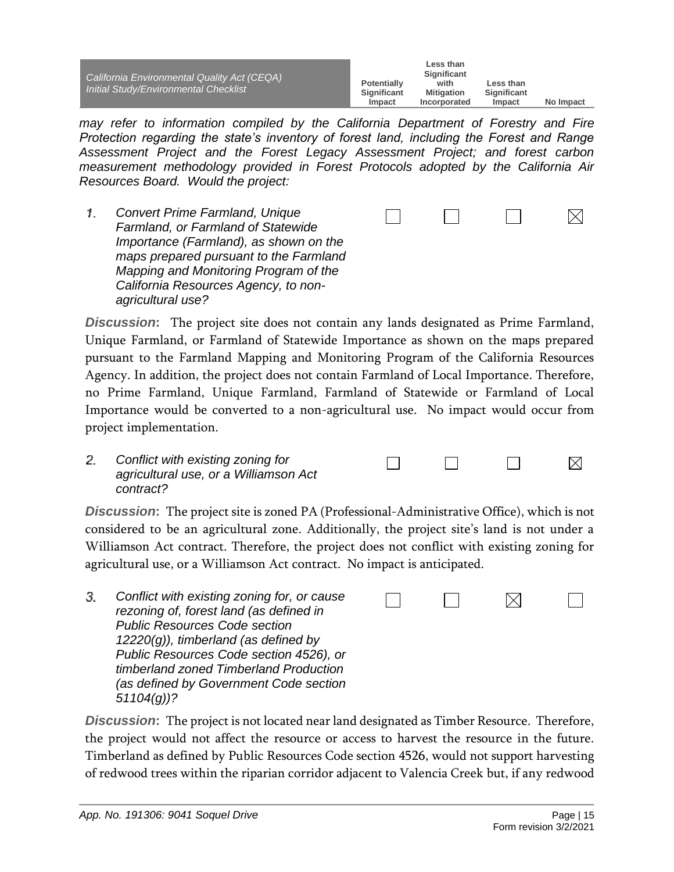**Significant Impact Less than Significant with Mitigation Incorporated Less than Significant** 

**Impact No Impact**

 $\boxtimes$ 

 $\perp$ 

 $\bowtie$ 

*may refer to information compiled by the California Department of Forestry and Fire Protection regarding the state's inventory of forest land, including the Forest and Range Assessment Project and the Forest Legacy Assessment Project; and forest carbon measurement methodology provided in Forest Protocols adopted by the California Air Resources Board. Would the project:*

1. *Convert Prime Farmland, Unique Farmland, or Farmland of Statewide Importance (Farmland), as shown on the maps prepared pursuant to the Farmland Mapping and Monitoring Program of the California Resources Agency, to nonagricultural use?*

*Discussion***:** The project site does not contain any lands designated as Prime Farmland, Unique Farmland, or Farmland of Statewide Importance as shown on the maps prepared pursuant to the Farmland Mapping and Monitoring Program of the California Resources Agency. In addition, the project does not contain Farmland of Local Importance. Therefore, no Prime Farmland, Unique Farmland, Farmland of Statewide or Farmland of Local Importance would be converted to a non-agricultural use. No impact would occur from project implementation.

 $2^{\circ}$ *Conflict with existing zoning for agricultural use, or a Williamson Act contract?*

**Discussion:** The project site is zoned PA (Professional-Administrative Office), which is not considered to be an agricultural zone. Additionally, the project site's land is not under a Williamson Act contract. Therefore, the project does not conflict with existing zoning for agricultural use, or a Williamson Act contract. No impact is anticipated.

П

 $\perp$ 

З. *Conflict with existing zoning for, or cause rezoning of, forest land (as defined in Public Resources Code section 12220(g)), timberland (as defined by Public Resources Code section 4526), or timberland zoned Timberland Production (as defined by Government Code section 51104(g))?*

**Discussion:** The project is not located near land designated as Timber Resource. Therefore, the project would not affect the resource or access to harvest the resource in the future. Timberland as defined by Public Resources Code section 4526, would not support harvesting of redwood trees within the riparian corridor adjacent to Valencia Creek but, if any redwood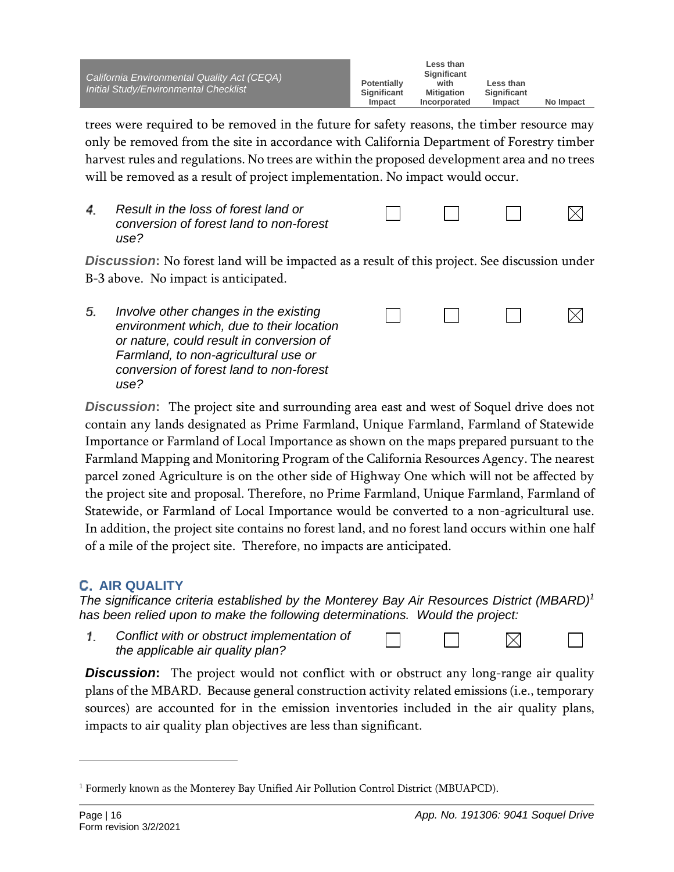**Impact No Impact**

 $\boxtimes$ 

 $\boxtimes$ 

trees were required to be removed in the future for safety reasons, the timber resource may only be removed from the site in accordance with California Department of Forestry timber harvest rules and regulations. No trees are within the proposed development area and no trees will be removed as a result of project implementation. No impact would occur.

4. *Result in the loss of forest land or conversion of forest land to non-forest use?*

*Discussion***:** No forest land will be impacted as a result of this project. See discussion under B-3 above. No impact is anticipated.

5. *Involve other changes in the existing environment which, due to their location or nature, could result in conversion of Farmland, to non-agricultural use or conversion of forest land to non-forest use?* 

**Discussion:** The project site and surrounding area east and west of Soquel drive does not contain any lands designated as Prime Farmland, Unique Farmland, Farmland of Statewide Importance or Farmland of Local Importance as shown on the maps prepared pursuant to the Farmland Mapping and Monitoring Program of the California Resources Agency. The nearest parcel zoned Agriculture is on the other side of Highway One which will not be affected by the project site and proposal. Therefore, no Prime Farmland, Unique Farmland, Farmland of Statewide, or Farmland of Local Importance would be converted to a non-agricultural use. In addition, the project site contains no forest land, and no forest land occurs within one half of a mile of the project site. Therefore, no impacts are anticipated.

### <span id="page-15-0"></span>**AIR QUALITY**

*The significance criteria established by the Monterey Bay Air Resources District (MBARD) 1 has been relied upon to make the following determinations. Would the project:*

1. *Conflict with or obstruct implementation of*  M *the applicable air quality plan?*

**Discussion:** The project would not conflict with or obstruct any long-range air quality plans of the MBARD. Because general construction activity related emissions (i.e., temporary sources) are accounted for in the emission inventories included in the air quality plans, impacts to air quality plan objectives are less than significant.

<sup>1</sup> Formerly known as the Monterey Bay Unified Air Pollution Control District (MBUAPCD).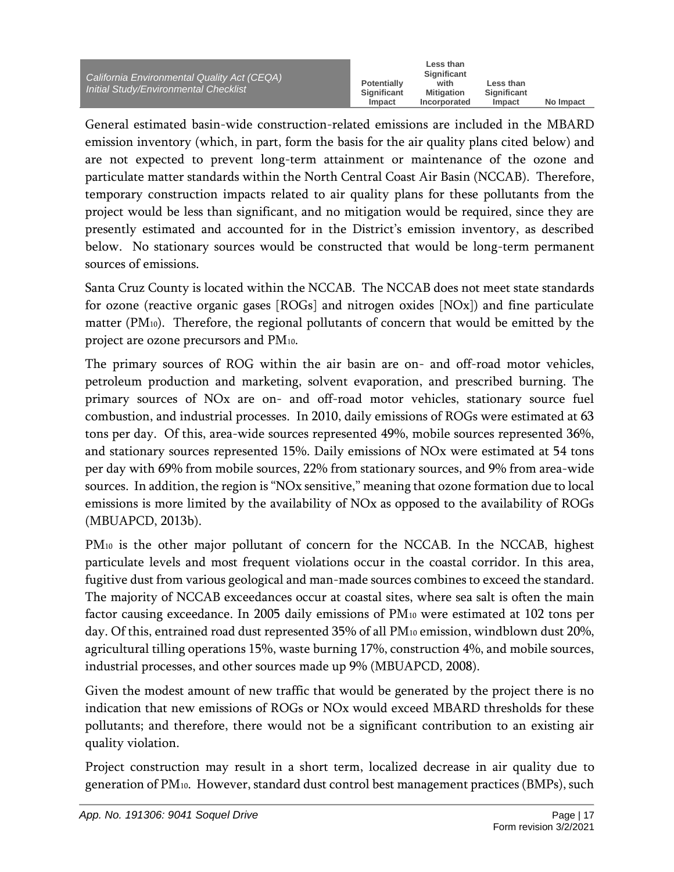**Impact No Impact**

General estimated basin-wide construction-related emissions are included in the MBARD emission inventory (which, in part, form the basis for the air quality plans cited below) and are not expected to prevent long-term attainment or maintenance of the ozone and particulate matter standards within the North Central Coast Air Basin (NCCAB). Therefore, temporary construction impacts related to air quality plans for these pollutants from the project would be less than significant, and no mitigation would be required, since they are presently estimated and accounted for in the District's emission inventory, as described below. No stationary sources would be constructed that would be long-term permanent sources of emissions.

Santa Cruz County is located within the NCCAB. The NCCAB does not meet state standards for ozone (reactive organic gases [ROGs] and nitrogen oxides [NOx]) and fine particulate matter (PM10). Therefore, the regional pollutants of concern that would be emitted by the project are ozone precursors and PM10.

The primary sources of ROG within the air basin are on- and off-road motor vehicles, petroleum production and marketing, solvent evaporation, and prescribed burning. The primary sources of NOx are on- and off-road motor vehicles, stationary source fuel combustion, and industrial processes. In 2010, daily emissions of ROGs were estimated at 63 tons per day. Of this, area-wide sources represented 49%, mobile sources represented 36%, and stationary sources represented 15%. Daily emissions of NOx were estimated at 54 tons per day with 69% from mobile sources, 22% from stationary sources, and 9% from area-wide sources. In addition, the region is "NOx sensitive," meaning that ozone formation due to local emissions is more limited by the availability of NOx as opposed to the availability of ROGs (MBUAPCD, 2013b).

PM<sub>10</sub> is the other major pollutant of concern for the NCCAB. In the NCCAB, highest particulate levels and most frequent violations occur in the coastal corridor. In this area, fugitive dust from various geological and man-made sources combines to exceed the standard. The majority of NCCAB exceedances occur at coastal sites, where sea salt is often the main factor causing exceedance. In 2005 daily emissions of  $PM_{10}$  were estimated at 102 tons per day. Of this, entrained road dust represented 35% of all  $PM_{10}$  emission, windblown dust 20%, agricultural tilling operations 15%, waste burning 17%, construction 4%, and mobile sources, industrial processes, and other sources made up 9% (MBUAPCD, 2008).

Given the modest amount of new traffic that would be generated by the project there is no indication that new emissions of ROGs or NOx would exceed MBARD thresholds for these pollutants; and therefore, there would not be a significant contribution to an existing air quality violation.

Project construction may result in a short term, localized decrease in air quality due to generation of PM10. However, standard dust control best management practices (BMPs), such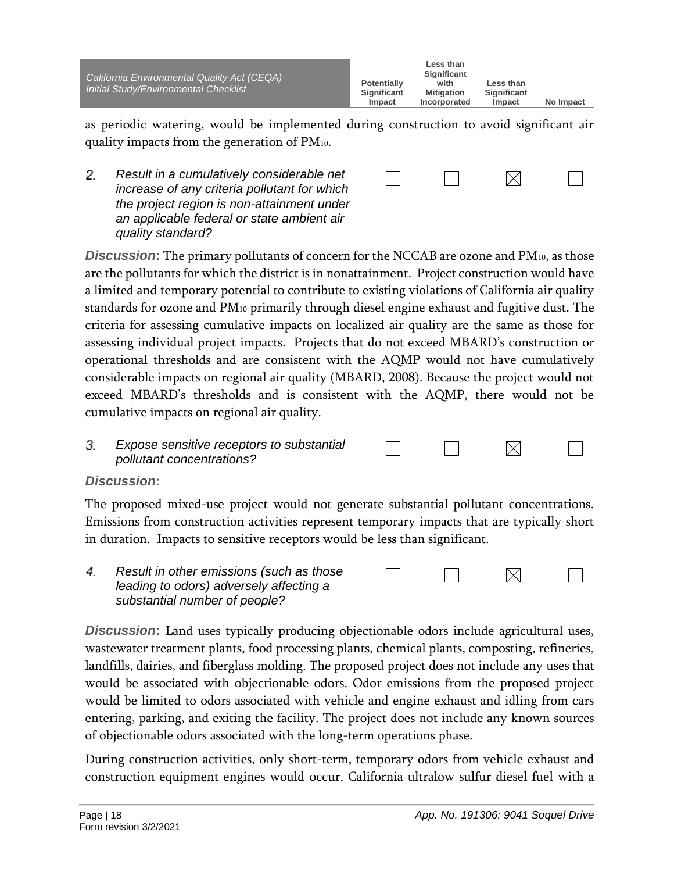|                    | Less than<br><b>Significant</b> |                    |           |
|--------------------|---------------------------------|--------------------|-----------|
| <b>Potentially</b> | with                            | Less than          |           |
| <b>Significant</b> | <b>Mitigation</b>               | <b>Significant</b> |           |
| Impact             | Incorporated                    | Impact             | No Impact |

as periodic watering, would be implemented during construction to avoid significant air quality impacts from the generation of PM10.

 $2.$ *Result in a cumulatively considerable net increase of any criteria pollutant for which the project region is non-attainment under an applicable federal or state ambient air quality standard?*



**Discussion:** The primary pollutants of concern for the NCCAB are ozone and PM10, as those are the pollutants for which the district is in nonattainment. Project construction would have a limited and temporary potential to contribute to existing violations of California air quality standards for ozone and PM10 primarily through diesel engine exhaust and fugitive dust. The criteria for assessing cumulative impacts on localized air quality are the same as those for assessing individual project impacts. Projects that do not exceed MBARD's construction or operational thresholds and are consistent with the AQMP would not have cumulatively considerable impacts on regional air quality (MBARD, 2008). Because the project would not exceed MBARD's thresholds and is consistent with the AQMP, there would not be cumulative impacts on regional air quality.

З. *Expose sensitive receptors to substantial*   $\boxtimes$ *pollutant concentrations?*

#### *Discussion***:**

The proposed mixed-use project would not generate substantial pollutant concentrations. Emissions from construction activities represent temporary impacts that are typically short in duration. Impacts to sensitive receptors would be less than significant.

4. *Result in other emissions (such as those*   $\boxtimes$  $\vert \ \ \vert$ *leading to odors) adversely affecting a substantial number of people?*

**Discussion:** Land uses typically producing objectionable odors include agricultural uses, wastewater treatment plants, food processing plants, chemical plants, composting, refineries, landfills, dairies, and fiberglass molding. The proposed project does not include any uses that would be associated with objectionable odors. Odor emissions from the proposed project would be limited to odors associated with vehicle and engine exhaust and idling from cars entering, parking, and exiting the facility. The project does not include any known sources of objectionable odors associated with the long-term operations phase.

During construction activities, only short-term, temporary odors from vehicle exhaust and construction equipment engines would occur. California ultralow sulfur diesel fuel with a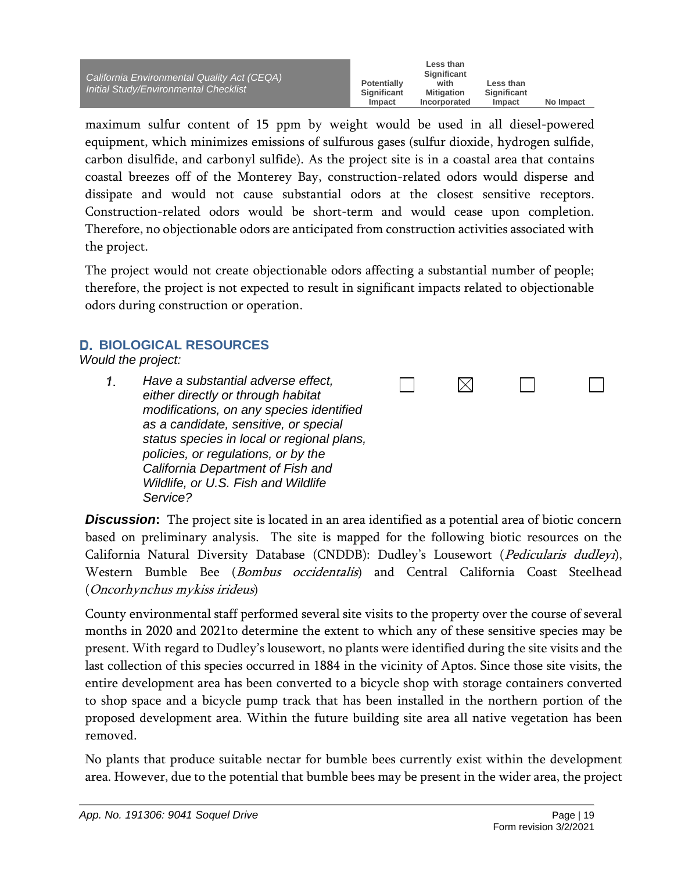|                    | Less than          |                    |           |
|--------------------|--------------------|--------------------|-----------|
|                    | <b>Significant</b> |                    |           |
| <b>Potentially</b> | with               | Less than          |           |
| <b>Significant</b> | <b>Mitigation</b>  | <b>Significant</b> |           |
| Impact             | Incorporated       | Impact             | No Impact |

maximum sulfur content of 15 ppm by weight would be used in all diesel-powered equipment, which minimizes emissions of sulfurous gases (sulfur dioxide, hydrogen sulfide, carbon disulfide, and carbonyl sulfide). As the project site is in a coastal area that contains coastal breezes off of the Monterey Bay, construction-related odors would disperse and dissipate and would not cause substantial odors at the closest sensitive receptors. Construction-related odors would be short-term and would cease upon completion. Therefore, no objectionable odors are anticipated from construction activities associated with the project.

The project would not create objectionable odors affecting a substantial number of people; therefore, the project is not expected to result in significant impacts related to objectionable odors during construction or operation.

### <span id="page-18-0"></span>**BIOLOGICAL RESOURCES**

*Would the project:*

1. *Have a substantial adverse effect,*   $\boxtimes$ *either directly or through habitat modifications, on any species identified as a candidate, sensitive, or special status species in local or regional plans, policies, or regulations, or by the California Department of Fish and Wildlife, or U.S. Fish and Wildlife Service?* 

**Discussion:** The project site is located in an area identified as a potential area of biotic concern based on preliminary analysis. The site is mapped for the following biotic resources on the California Natural Diversity Database (CNDDB): Dudley's Lousewort (Pedicularis dudleyi), Western Bumble Bee (Bombus occidentalis) and Central California Coast Steelhead (Oncorhynchus mykiss irideus)

County environmental staff performed several site visits to the property over the course of several months in 2020 and 2021to determine the extent to which any of these sensitive species may be present. With regard to Dudley's lousewort, no plants were identified during the site visits and the last collection of this species occurred in 1884 in the vicinity of Aptos. Since those site visits, the entire development area has been converted to a bicycle shop with storage containers converted to shop space and a bicycle pump track that has been installed in the northern portion of the proposed development area. Within the future building site area all native vegetation has been removed.

No plants that produce suitable nectar for bumble bees currently exist within the development area. However, due to the potential that bumble bees may be present in the wider area, the project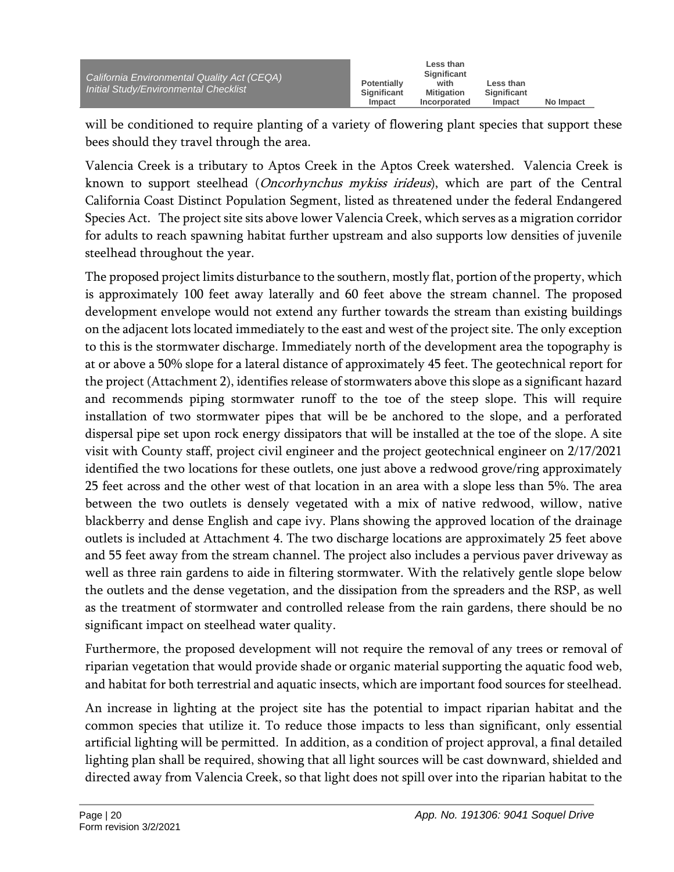will be conditioned to require planting of a variety of flowering plant species that support these bees should they travel through the area.

Valencia Creek is a tributary to Aptos Creek in the Aptos Creek watershed. Valencia Creek is known to support steelhead (*Oncorhynchus mykiss irideus*), which are part of the Central California Coast Distinct Population Segment, listed as threatened under the federal Endangered Species Act. The project site sits above lower Valencia Creek, which serves as a migration corridor for adults to reach spawning habitat further upstream and also supports low densities of juvenile steelhead throughout the year.

The proposed project limits disturbance to the southern, mostly flat, portion of the property, which is approximately 100 feet away laterally and 60 feet above the stream channel. The proposed development envelope would not extend any further towards the stream than existing buildings on the adjacent lots located immediately to the east and west of the project site. The only exception to this is the stormwater discharge. Immediately north of the development area the topography is at or above a 50% slope for a lateral distance of approximately 45 feet. The geotechnical report for the project (Attachment 2), identifies release of stormwaters above this slope as a significant hazard and recommends piping stormwater runoff to the toe of the steep slope. This will require installation of two stormwater pipes that will be be anchored to the slope, and a perforated dispersal pipe set upon rock energy dissipators that will be installed at the toe of the slope. A site visit with County staff, project civil engineer and the project geotechnical engineer on 2/17/2021 identified the two locations for these outlets, one just above a redwood grove/ring approximately 25 feet across and the other west of that location in an area with a slope less than 5%. The area between the two outlets is densely vegetated with a mix of native redwood, willow, native blackberry and dense English and cape ivy. Plans showing the approved location of the drainage outlets is included at Attachment 4. The two discharge locations are approximately 25 feet above and 55 feet away from the stream channel. The project also includes a pervious paver driveway as well as three rain gardens to aide in filtering stormwater. With the relatively gentle slope below the outlets and the dense vegetation, and the dissipation from the spreaders and the RSP, as well as the treatment of stormwater and controlled release from the rain gardens, there should be no significant impact on steelhead water quality.

Furthermore, the proposed development will not require the removal of any trees or removal of riparian vegetation that would provide shade or organic material supporting the aquatic food web, and habitat for both terrestrial and aquatic insects, which are important food sources for steelhead.

An increase in lighting at the project site has the potential to impact riparian habitat and the common species that utilize it. To reduce those impacts to less than significant, only essential artificial lighting will be permitted. In addition, as a condition of project approval, a final detailed lighting plan shall be required, showing that all light sources will be cast downward, shielded and directed away from Valencia Creek, so that light does not spill over into the riparian habitat to the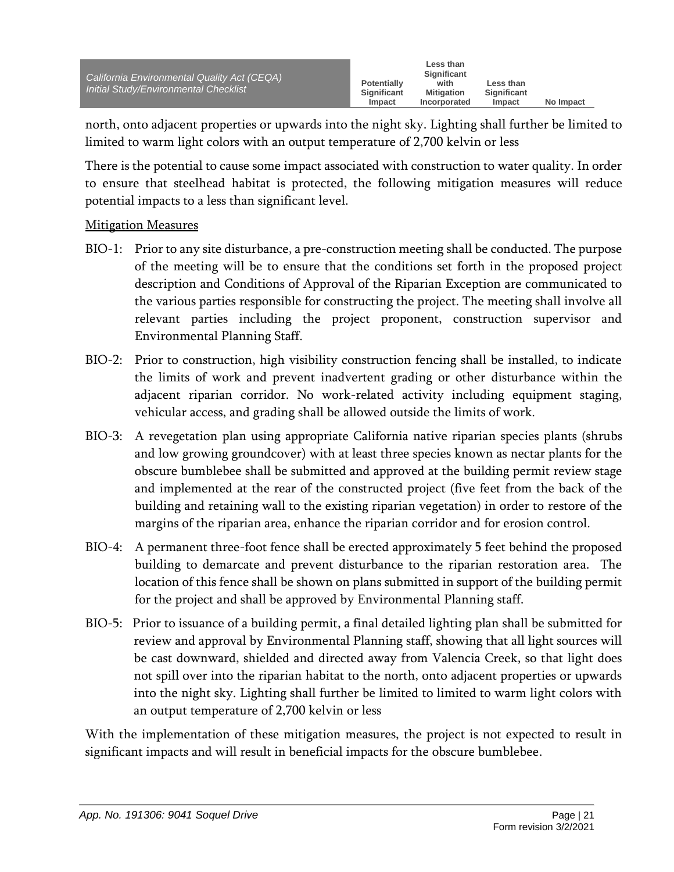north, onto adjacent properties or upwards into the night sky. Lighting shall further be limited to limited to warm light colors with an output temperature of 2,700 kelvin or less

There is the potential to cause some impact associated with construction to water quality. In order to ensure that steelhead habitat is protected, the following mitigation measures will reduce potential impacts to a less than significant level.

#### Mitigation Measures

- BIO-1: Prior to any site disturbance, a pre-construction meeting shall be conducted. The purpose of the meeting will be to ensure that the conditions set forth in the proposed project description and Conditions of Approval of the Riparian Exception are communicated to the various parties responsible for constructing the project. The meeting shall involve all relevant parties including the project proponent, construction supervisor and Environmental Planning Staff.
- BIO-2: Prior to construction, high visibility construction fencing shall be installed, to indicate the limits of work and prevent inadvertent grading or other disturbance within the adjacent riparian corridor. No work-related activity including equipment staging, vehicular access, and grading shall be allowed outside the limits of work.
- BIO-3: A revegetation plan using appropriate California native riparian species plants (shrubs and low growing groundcover) with at least three species known as nectar plants for the obscure bumblebee shall be submitted and approved at the building permit review stage and implemented at the rear of the constructed project (five feet from the back of the building and retaining wall to the existing riparian vegetation) in order to restore of the margins of the riparian area, enhance the riparian corridor and for erosion control.
- BIO-4: A permanent three-foot fence shall be erected approximately 5 feet behind the proposed building to demarcate and prevent disturbance to the riparian restoration area. The location of this fence shall be shown on plans submitted in support of the building permit for the project and shall be approved by Environmental Planning staff.
- BIO-5: Prior to issuance of a building permit, a final detailed lighting plan shall be submitted for review and approval by Environmental Planning staff, showing that all light sources will be cast downward, shielded and directed away from Valencia Creek, so that light does not spill over into the riparian habitat to the north, onto adjacent properties or upwards into the night sky. Lighting shall further be limited to limited to warm light colors with an output temperature of 2,700 kelvin or less

With the implementation of these mitigation measures, the project is not expected to result in significant impacts and will result in beneficial impacts for the obscure bumblebee.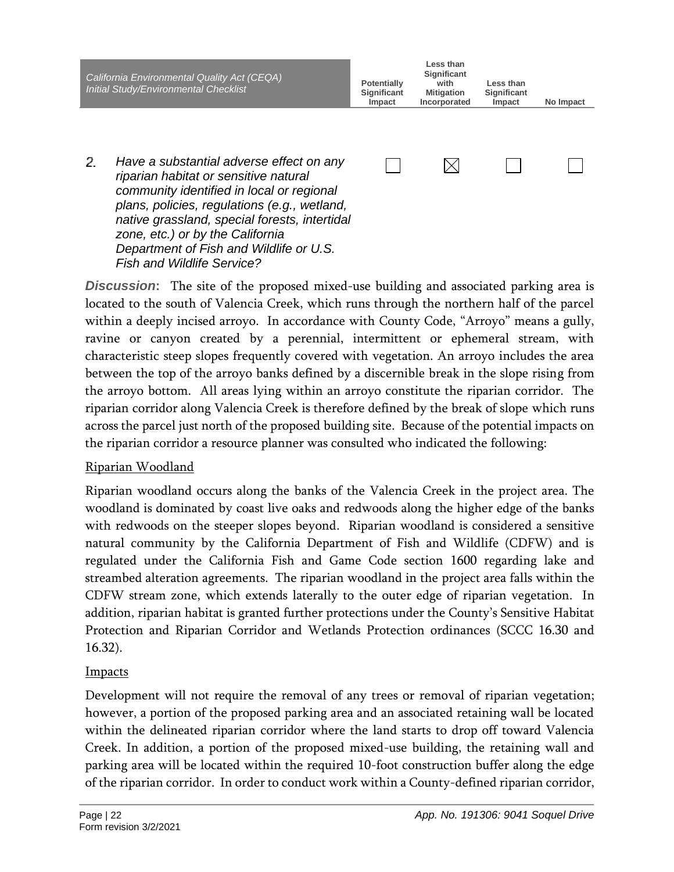$\boxtimes$ 

**Less than Significant Impact No Impact**

2. *Have a substantial adverse effect on any riparian habitat or sensitive natural community identified in local or regional plans, policies, regulations (e.g., wetland, native grassland, special forests, intertidal zone, etc.) or by the California Department of Fish and Wildlife or U.S. Fish and Wildlife Service?*

*Discussion***:** The site of the proposed mixed-use building and associated parking area is located to the south of Valencia Creek, which runs through the northern half of the parcel within a deeply incised arroyo. In accordance with County Code, "Arroyo" means a gully, ravine or canyon created by a perennial, intermittent or ephemeral stream, with characteristic steep slopes frequently covered with vegetation. An arroyo includes the area between the top of the arroyo banks defined by a discernible break in the slope rising from the arroyo bottom. All areas lying within an arroyo constitute the riparian corridor. The riparian corridor along Valencia Creek is therefore defined by the break of slope which runs across the parcel just north of the proposed building site. Because of the potential impacts on the riparian corridor a resource planner was consulted who indicated the following:

#### Riparian Woodland

Riparian woodland occurs along the banks of the Valencia Creek in the project area. The woodland is dominated by coast live oaks and redwoods along the higher edge of the banks with redwoods on the steeper slopes beyond. Riparian woodland is considered a sensitive natural community by the California Department of Fish and Wildlife (CDFW) and is regulated under the California Fish and Game Code section 1600 regarding lake and streambed alteration agreements. The riparian woodland in the project area falls within the CDFW stream zone, which extends laterally to the outer edge of riparian vegetation. In addition, riparian habitat is granted further protections under the County's Sensitive Habitat Protection and Riparian Corridor and Wetlands Protection ordinances (SCCC 16.30 and 16.32).

### Impacts

Development will not require the removal of any trees or removal of riparian vegetation; however, a portion of the proposed parking area and an associated retaining wall be located within the delineated riparian corridor where the land starts to drop off toward Valencia Creek. In addition, a portion of the proposed mixed-use building, the retaining wall and parking area will be located within the required 10-foot construction buffer along the edge of the riparian corridor. In order to conduct work within a County-defined riparian corridor,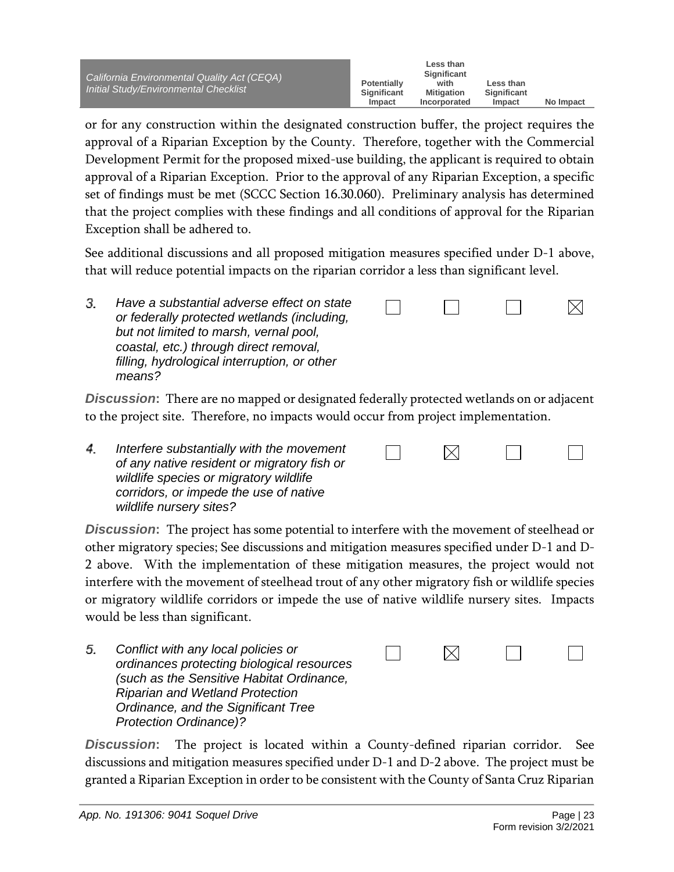$\boxtimes$ 

or for any construction within the designated construction buffer, the project requires the approval of a Riparian Exception by the County. Therefore, together with the Commercial Development Permit for the proposed mixed-use building, the applicant is required to obtain approval of a Riparian Exception. Prior to the approval of any Riparian Exception, a specific set of findings must be met (SCCC Section 16.30.060). Preliminary analysis has determined that the project complies with these findings and all conditions of approval for the Riparian Exception shall be adhered to.

See additional discussions and all proposed mitigation measures specified under D-1 above, that will reduce potential impacts on the riparian corridor a less than significant level.

*Have a substantial adverse effect on state*  З.  $\boxtimes$ *or federally protected wetlands (including, but not limited to marsh, vernal pool, coastal, etc.) through direct removal, filling, hydrological interruption, or other means?*

*Discussion***:** There are no mapped or designated federally protected wetlands on or adjacent to the project site. Therefore, no impacts would occur from project implementation.

4. *Interfere substantially with the movement of any native resident or migratory fish or wildlife species or migratory wildlife corridors, or impede the use of native wildlife nursery sites?*

*Discussion***:** The project has some potential to interfere with the movement of steelhead or other migratory species; See discussions and mitigation measures specified under D-1 and D-2 above. With the implementation of these mitigation measures, the project would not interfere with the movement of steelhead trout of any other migratory fish or wildlife species or migratory wildlife corridors or impede the use of native wildlife nursery sites. Impacts would be less than significant.

5. *Conflict with any local policies or*   $\boxtimes$ *ordinances protecting biological resources (such as the Sensitive Habitat Ordinance, Riparian and Wetland Protection Ordinance, and the Significant Tree Protection Ordinance)?*

*Discussion***:** The project is located within a County-defined riparian corridor. See discussions and mitigation measures specified under D-1 and D-2 above. The project must be granted a Riparian Exception in order to be consistent with the County of Santa Cruz Riparian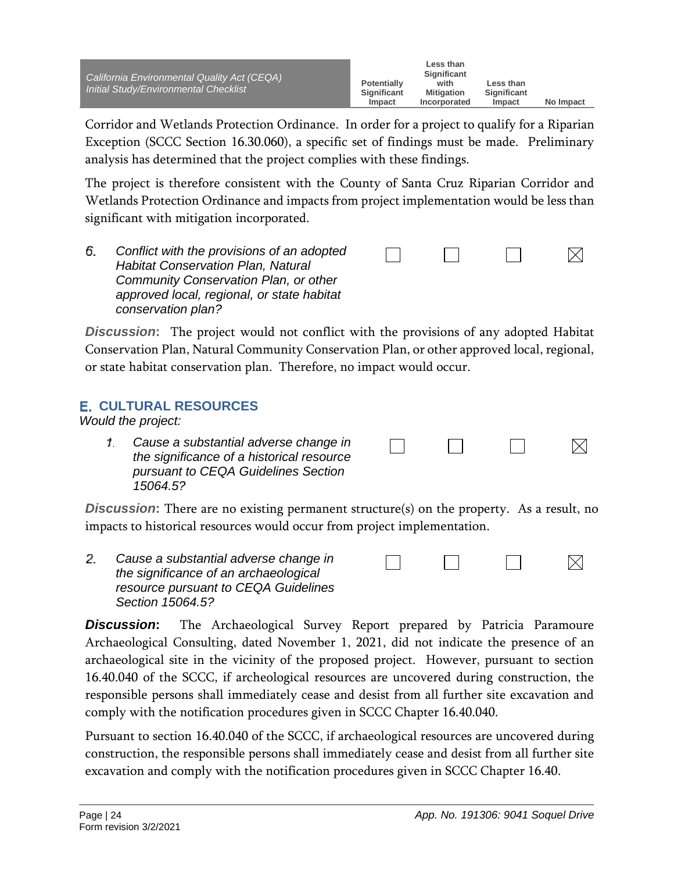$\boxtimes$ 

 $\boxtimes$ 

Corridor and Wetlands Protection Ordinance. In order for a project to qualify for a Riparian Exception (SCCC Section 16.30.060), a specific set of findings must be made. Preliminary analysis has determined that the project complies with these findings.

The project is therefore consistent with the County of Santa Cruz Riparian Corridor and Wetlands Protection Ordinance and impacts from project implementation would be less than significant with mitigation incorporated.

6. *Conflict with the provisions of an adopted Habitat Conservation Plan, Natural Community Conservation Plan, or other approved local, regional, or state habitat conservation plan?*

**Discussion:** The project would not conflict with the provisions of any adopted Habitat Conservation Plan, Natural Community Conservation Plan, or other approved local, regional, or state habitat conservation plan. Therefore, no impact would occur.

### <span id="page-23-0"></span>**CULTURAL RESOURCES**

*Would the project:*

1. *Cause a substantial adverse change in the significance of a historical resource pursuant to CEQA Guidelines Section 15064.5?*

**Discussion:** There are no existing permanent structure(s) on the property. As a result, no impacts to historical resources would occur from project implementation.

2 *Cause a substantial adverse change in the significance of an archaeological resource pursuant to CEQA Guidelines Section 15064.5?*



 $\mathcal{L}$ 

 $\mathbb{R}$ 

**Discussion:** The Archaeological Survey Report prepared by Patricia Paramoure Archaeological Consulting, dated November 1, 2021, did not indicate the presence of an archaeological site in the vicinity of the proposed project. However, pursuant to section 16.40.040 of the SCCC, if archeological resources are uncovered during construction, the responsible persons shall immediately cease and desist from all further site excavation and comply with the notification procedures given in SCCC Chapter 16.40.040.

Pursuant to section 16.40.040 of the SCCC, if archaeological resources are uncovered during construction, the responsible persons shall immediately cease and desist from all further site excavation and comply with the notification procedures given in SCCC Chapter 16.40.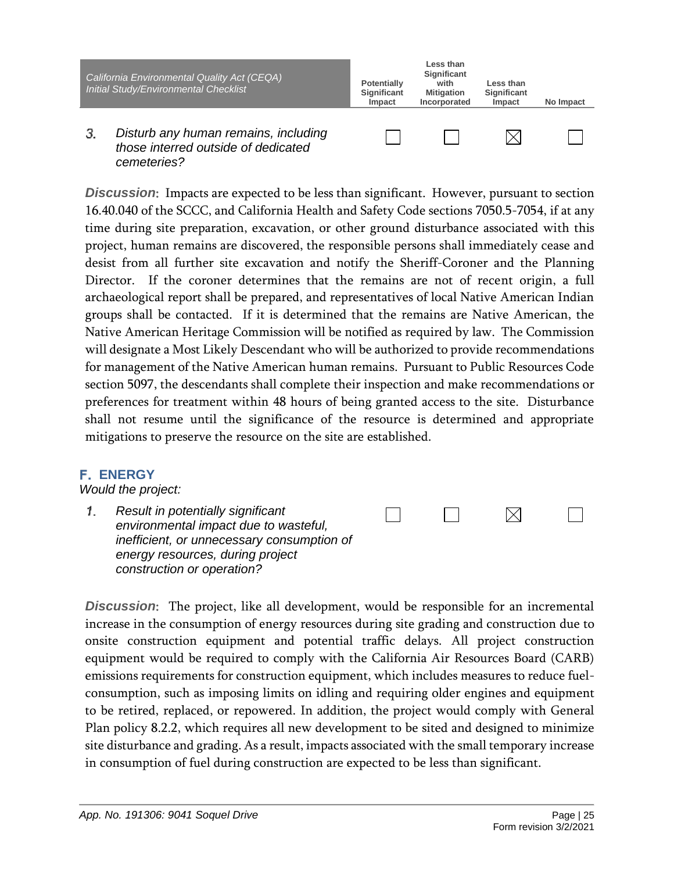**Less than Significant**  *California Environmental Quality Act (CEQA) Initial Study/Environmental Checklist* **Potentially with Less than Significant Mitigation Significant Impact Incorporated Impact No Impact** 3. *Disturb any human remains, including*   $\boxtimes$ *those interred outside of dedicated* 

*Discussion*: Impacts are expected to be less than significant. However, pursuant to section 16.40.040 of the SCCC, and California Health and Safety Code sections 7050.5-7054, if at any time during site preparation, excavation, or other ground disturbance associated with this project, human remains are discovered, the responsible persons shall immediately cease and desist from all further site excavation and notify the Sheriff-Coroner and the Planning Director. If the coroner determines that the remains are not of recent origin, a full archaeological report shall be prepared, and representatives of local Native American Indian groups shall be contacted. If it is determined that the remains are Native American, the Native American Heritage Commission will be notified as required by law. The Commission will designate a Most Likely Descendant who will be authorized to provide recommendations for management of the Native American human remains. Pursuant to Public Resources Code section 5097, the descendants shall complete their inspection and make recommendations or preferences for treatment within 48 hours of being granted access to the site. Disturbance shall not resume until the significance of the resource is determined and appropriate mitigations to preserve the resource on the site are established.

#### <span id="page-24-0"></span>**F. ENERGY**

*Would the project:*

*cemeteries?*

1. *Result in potentially significant*   $\boxtimes$ *environmental impact due to wasteful, inefficient, or unnecessary consumption of energy resources, during project construction or operation?*

**Discussion:** The project, like all development, would be responsible for an incremental increase in the consumption of energy resources during site grading and construction due to onsite construction equipment and potential traffic delays. All project construction equipment would be required to comply with the California Air Resources Board (CARB) emissions requirements for construction equipment, which includes measures to reduce fuelconsumption, such as imposing limits on idling and requiring older engines and equipment to be retired, replaced, or repowered. In addition, the project would comply with General Plan policy 8.2.2, which requires all new development to be sited and designed to minimize site disturbance and grading. As a result, impacts associated with the small temporary increase in consumption of fuel during construction are expected to be less than significant.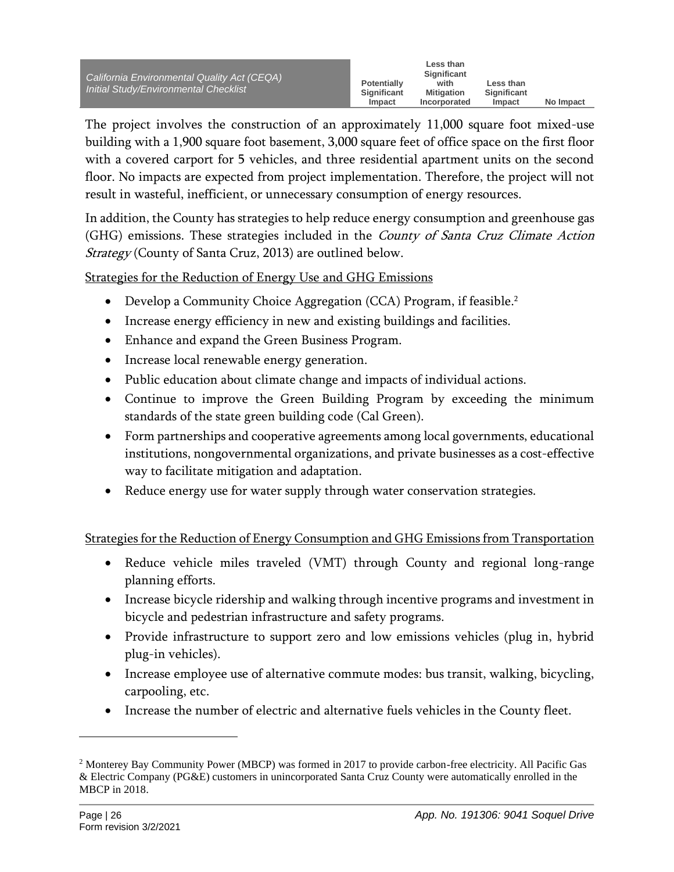The project involves the construction of an approximately 11,000 square foot mixed-use building with a 1,900 square foot basement, 3,000 square feet of office space on the first floor with a covered carport for 5 vehicles, and three residential apartment units on the second floor. No impacts are expected from project implementation. Therefore, the project will not result in wasteful, inefficient, or unnecessary consumption of energy resources.

In addition, the County has strategies to help reduce energy consumption and greenhouse gas (GHG) emissions. These strategies included in the County of Santa Cruz Climate Action Strategy (County of Santa Cruz, 2013) are outlined below.

Strategies for the Reduction of Energy Use and GHG Emissions

- Develop a Community Choice Aggregation (CCA) Program, if feasible.<sup>2</sup>
- Increase energy efficiency in new and existing buildings and facilities.
- Enhance and expand the Green Business Program.
- Increase local renewable energy generation.
- Public education about climate change and impacts of individual actions.
- Continue to improve the Green Building Program by exceeding the minimum standards of the state green building code (Cal Green).
- Form partnerships and cooperative agreements among local governments, educational institutions, nongovernmental organizations, and private businesses as a cost-effective way to facilitate mitigation and adaptation.
- Reduce energy use for water supply through water conservation strategies.

Strategies for the Reduction of Energy Consumption and GHG Emissions from Transportation

- Reduce vehicle miles traveled (VMT) through County and regional long-range planning efforts.
- Increase bicycle ridership and walking through incentive programs and investment in bicycle and pedestrian infrastructure and safety programs.
- Provide infrastructure to support zero and low emissions vehicles (plug in, hybrid plug-in vehicles).
- Increase employee use of alternative commute modes: bus transit, walking, bicycling, carpooling, etc.
- Increase the number of electric and alternative fuels vehicles in the County fleet.

<sup>2</sup> Monterey Bay Community Power (MBCP) was formed in 2017 to provide carbon-free electricity. All Pacific Gas & Electric Company (PG&E) customers in unincorporated Santa Cruz County were automatically enrolled in the MBCP in 2018.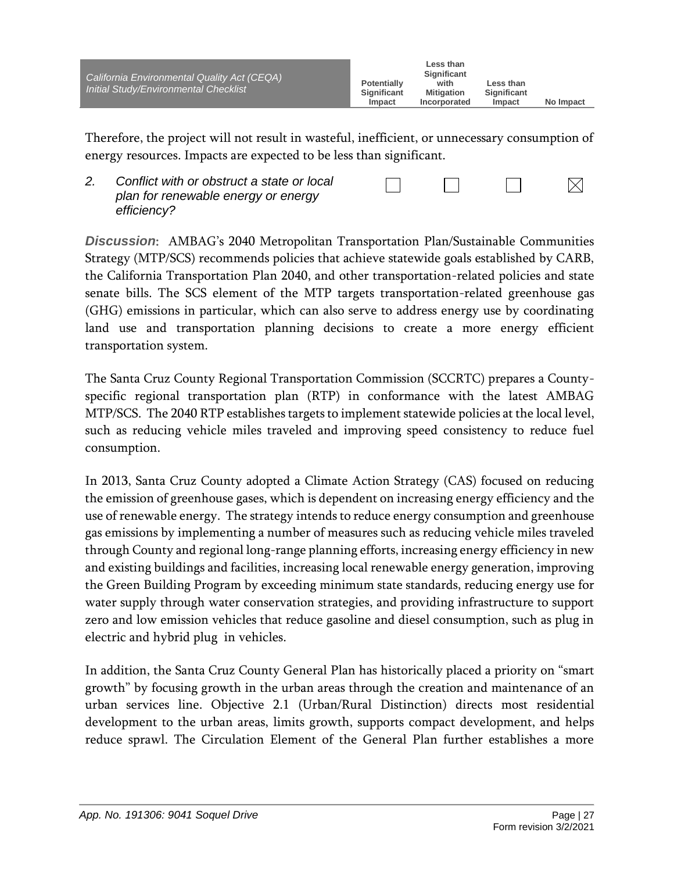|                    | Less than<br><b>Significant</b> |                    |           |
|--------------------|---------------------------------|--------------------|-----------|
| <b>Potentially</b> | with                            | Less than          |           |
| <b>Significant</b> | <b>Mitigation</b>               | <b>Significant</b> |           |
| Impact             | Incorporated                    | Impact             | No Impact |

 $\boxtimes$ 

Therefore, the project will not result in wasteful, inefficient, or unnecessary consumption of energy resources. Impacts are expected to be less than significant.

*2. Conflict with or obstruct a state or local plan for renewable energy or energy efficiency?*

*Discussion*: AMBAG's 2040 Metropolitan Transportation Plan/Sustainable Communities Strategy (MTP/SCS) recommends policies that achieve statewide goals established by CARB, the California Transportation Plan 2040, and other transportation-related policies and state senate bills. The SCS element of the MTP targets transportation-related greenhouse gas (GHG) emissions in particular, which can also serve to address energy use by coordinating land use and transportation planning decisions to create a more energy efficient transportation system.

The Santa Cruz County Regional Transportation Commission (SCCRTC) prepares a Countyspecific regional transportation plan (RTP) in conformance with the latest AMBAG MTP/SCS. The 2040 RTP establishes targets to implement statewide policies at the local level, such as reducing vehicle miles traveled and improving speed consistency to reduce fuel consumption.

In 2013, Santa Cruz County adopted a Climate Action Strategy (CAS) focused on reducing the emission of greenhouse gases, which is dependent on increasing energy efficiency and the use of renewable energy. The strategy intends to reduce energy consumption and greenhouse gas emissions by implementing a number of measures such as reducing vehicle miles traveled through County and regional long-range planning efforts, increasing energy efficiency in new and existing buildings and facilities, increasing local renewable energy generation, improving the Green Building Program by exceeding minimum state standards, reducing energy use for water supply through water conservation strategies, and providing infrastructure to support zero and low emission vehicles that reduce gasoline and diesel consumption, such as plug in electric and hybrid plug in vehicles.

In addition, the Santa Cruz County General Plan has historically placed a priority on "smart growth" by focusing growth in the urban areas through the creation and maintenance of an urban services line. Objective 2.1 (Urban/Rural Distinction) directs most residential development to the urban areas, limits growth, supports compact development, and helps reduce sprawl. The Circulation Element of the General Plan further establishes a more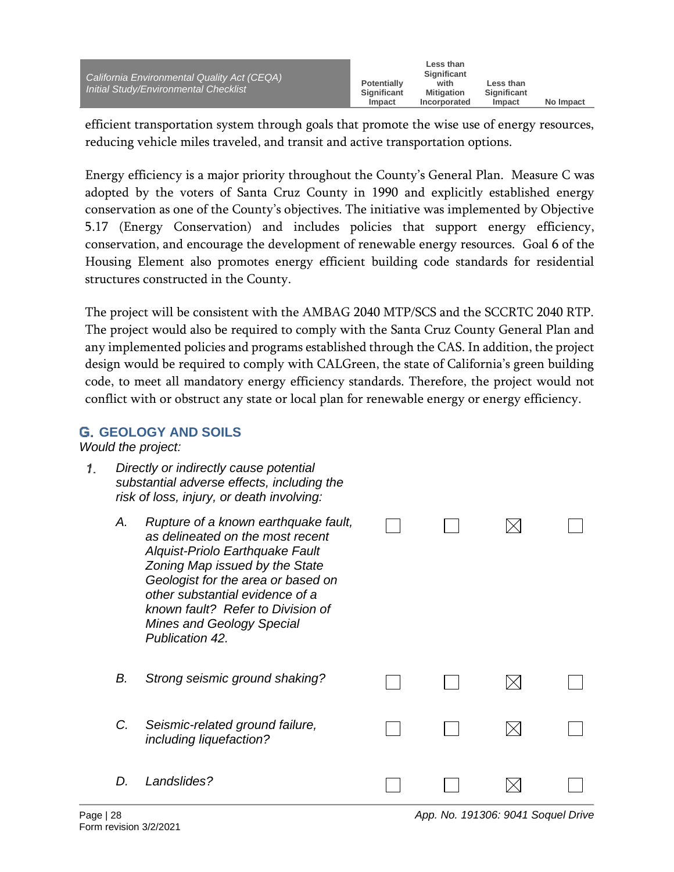efficient transportation system through goals that promote the wise use of energy resources, reducing vehicle miles traveled, and transit and active transportation options.

Energy efficiency is a major priority throughout the County's General Plan. Measure C was adopted by the voters of Santa Cruz County in 1990 and explicitly established energy conservation as one of the County's objectives. The initiative was implemented by Objective 5.17 (Energy Conservation) and includes policies that support energy efficiency, conservation, and encourage the development of renewable energy resources. Goal 6 of the Housing Element also promotes energy efficient building code standards for residential structures constructed in the County.

The project will be consistent with the AMBAG 2040 MTP/SCS and the SCCRTC 2040 RTP. The project would also be required to comply with the Santa Cruz County General Plan and any implemented policies and programs established through the CAS. In addition, the project design would be required to comply with CALGreen, the state of California's green building code, to meet all mandatory energy efficiency standards. Therefore, the project would not conflict with or obstruct any state or local plan for renewable energy or energy efficiency.

#### <span id="page-27-0"></span>**G. GEOLOGY AND SOILS**

*Would the project:*

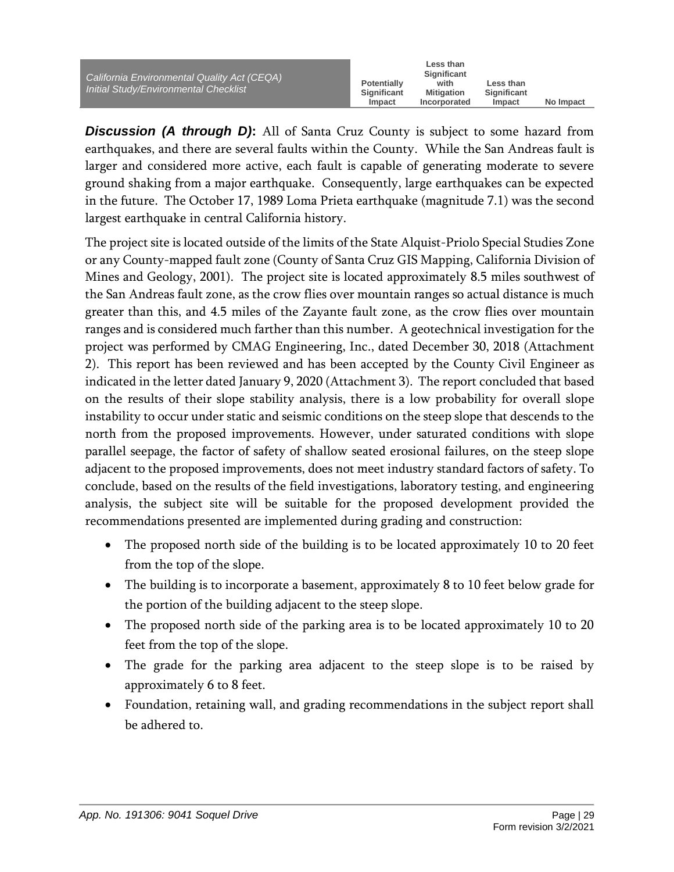**Discussion (A through D):** All of Santa Cruz County is subject to some hazard from earthquakes, and there are several faults within the County. While the San Andreas fault is larger and considered more active, each fault is capable of generating moderate to severe ground shaking from a major earthquake. Consequently, large earthquakes can be expected in the future. The October 17, 1989 Loma Prieta earthquake (magnitude 7.1) was the second largest earthquake in central California history.

The project site is located outside of the limits of the State Alquist-Priolo Special Studies Zone or any County-mapped fault zone (County of Santa Cruz GIS Mapping, California Division of Mines and Geology, 2001). The project site is located approximately 8.5 miles southwest of the San Andreas fault zone, as the crow flies over mountain ranges so actual distance is much greater than this, and 4.5 miles of the Zayante fault zone, as the crow flies over mountain ranges and is considered much farther than this number. A geotechnical investigation for the project was performed by CMAG Engineering, Inc., dated December 30, 2018 (Attachment 2). This report has been reviewed and has been accepted by the County Civil Engineer as indicated in the letter dated January 9, 2020 (Attachment 3). The report concluded that based on the results of their slope stability analysis, there is a low probability for overall slope instability to occur under static and seismic conditions on the steep slope that descends to the north from the proposed improvements. However, under saturated conditions with slope parallel seepage, the factor of safety of shallow seated erosional failures, on the steep slope adjacent to the proposed improvements, does not meet industry standard factors of safety. To conclude, based on the results of the field investigations, laboratory testing, and engineering analysis, the subject site will be suitable for the proposed development provided the recommendations presented are implemented during grading and construction:

- The proposed north side of the building is to be located approximately 10 to 20 feet from the top of the slope.
- The building is to incorporate a basement, approximately 8 to 10 feet below grade for the portion of the building adjacent to the steep slope.
- The proposed north side of the parking area is to be located approximately 10 to 20 feet from the top of the slope.
- The grade for the parking area adjacent to the steep slope is to be raised by approximately 6 to 8 feet.
- Foundation, retaining wall, and grading recommendations in the subject report shall be adhered to.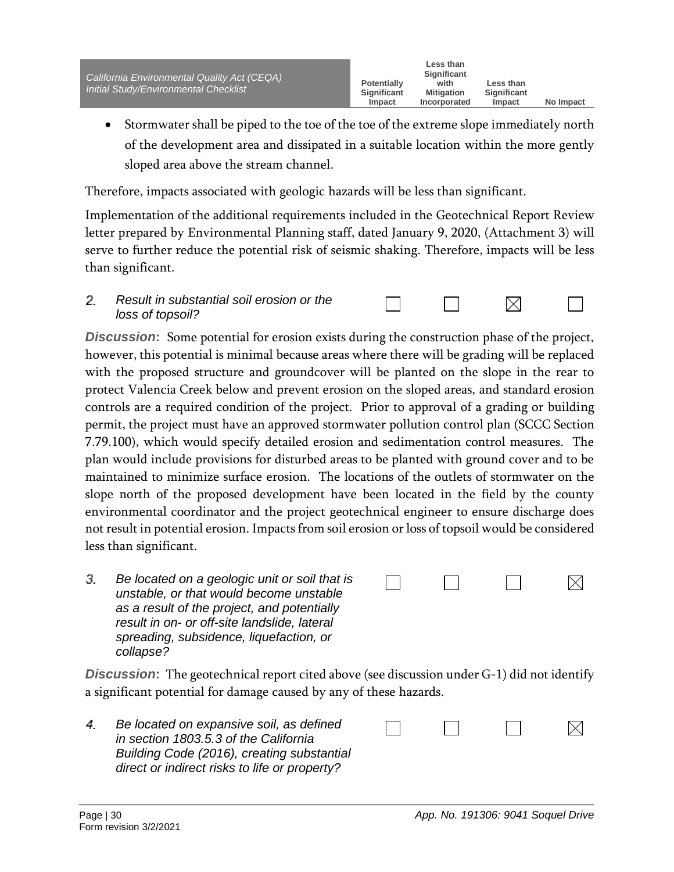• Stormwater shall be piped to the toe of the toe of the extreme slope immediately north of the development area and dissipated in a suitable location within the more gently sloped area above the stream channel.

Therefore, impacts associated with geologic hazards will be less than significant.

Implementation of the additional requirements included in the Geotechnical Report Review letter prepared by Environmental Planning staff, dated January 9, 2020, (Attachment 3) will serve to further reduce the potential risk of seismic shaking. Therefore, impacts will be less than significant.

2. *Result in substantial soil erosion or the*   $\boxtimes$ *loss of topsoil?*

*Discussion***:** Some potential for erosion exists during the construction phase of the project, however, this potential is minimal because areas where there will be grading will be replaced with the proposed structure and groundcover will be planted on the slope in the rear to protect Valencia Creek below and prevent erosion on the sloped areas, and standard erosion controls are a required condition of the project. Prior to approval of a grading or building permit, the project must have an approved stormwater pollution control plan (SCCC Section 7.79.100), which would specify detailed erosion and sedimentation control measures. The plan would include provisions for disturbed areas to be planted with ground cover and to be maintained to minimize surface erosion. The locations of the outlets of stormwater on the slope north of the proposed development have been located in the field by the county environmental coordinator and the project geotechnical engineer to ensure discharge does not result in potential erosion. Impacts from soil erosion or loss of topsoil would be considered less than significant.

З. *Be located on a geologic unit or soil that is unstable, or that would become unstable as a result of the project, and potentially result in on- or off-site landslide, lateral spreading, subsidence, liquefaction, or collapse?*

*Discussion***:** The geotechnical report cited above (see discussion under G-1) did not identify a significant potential for damage caused by any of these hazards.

| Be located on expansive soil, as defined<br>in section 1803.5.3 of the California |  |  |
|-----------------------------------------------------------------------------------|--|--|
| Building Code (2016), creating substantial                                        |  |  |
| direct or indirect risks to life or property?                                     |  |  |

 $\boxtimes$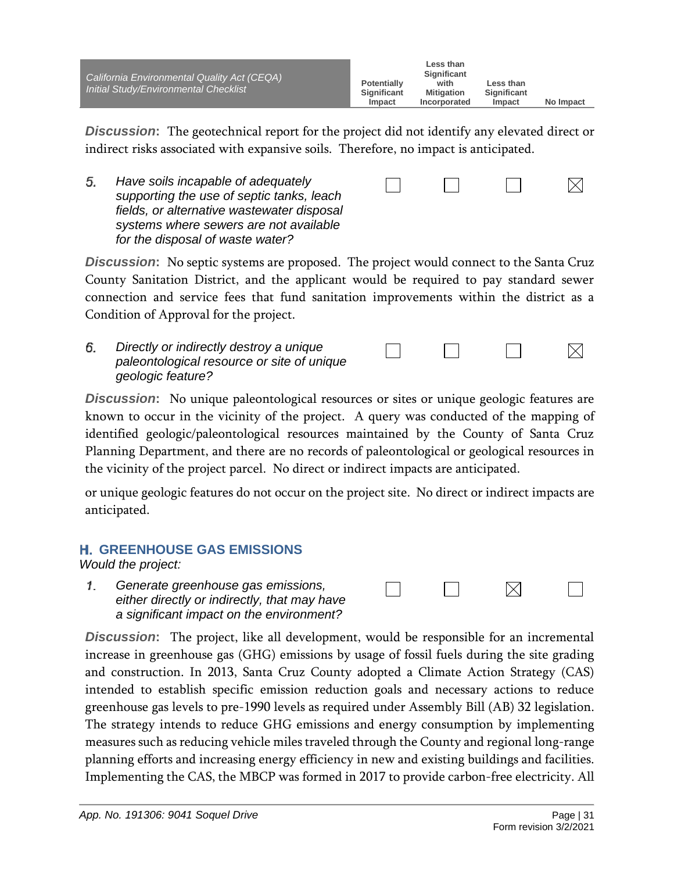|                    | Less than<br><b>Significant</b> |                    |           |
|--------------------|---------------------------------|--------------------|-----------|
| <b>Potentially</b> | with                            | Less than          |           |
| <b>Significant</b> | <b>Mitigation</b>               | <b>Significant</b> |           |
| Impact             | Incorporated                    | Impact             | No Impact |

*Discussion***:** The geotechnical report for the project did not identify any elevated direct or indirect risks associated with expansive soils. Therefore, no impact is anticipated.

5. *Have soils incapable of adequately supporting the use of septic tanks, leach fields, or alternative wastewater disposal systems where sewers are not available for the disposal of waste water?*



 $\boxtimes$ 

**Discussion:** No septic systems are proposed. The project would connect to the Santa Cruz County Sanitation District, and the applicant would be required to pay standard sewer connection and service fees that fund sanitation improvements within the district as a Condition of Approval for the project.

6. *Directly or indirectly destroy a unique paleontological resource or site of unique geologic feature?*

**Discussion:** No unique paleontological resources or sites or unique geologic features are known to occur in the vicinity of the project. A query was conducted of the mapping of identified geologic/paleontological resources maintained by the County of Santa Cruz Planning Department, and there are no records of paleontological or geological resources in the vicinity of the project parcel. No direct or indirect impacts are anticipated.

or unique geologic features do not occur on the project site. No direct or indirect impacts are anticipated.

#### <span id="page-30-0"></span>**GREENHOUSE GAS EMISSIONS**

#### *Would the project:*

*Generate greenhouse gas emissions,*  1. *either directly or indirectly, that may have a significant impact on the environment?* 



**Discussion:** The project, like all development, would be responsible for an incremental increase in greenhouse gas (GHG) emissions by usage of fossil fuels during the site grading and construction. In 2013, Santa Cruz County adopted a Climate Action Strategy (CAS) intended to establish specific emission reduction goals and necessary actions to reduce greenhouse gas levels to pre-1990 levels as required under Assembly Bill (AB) 32 legislation. The strategy intends to reduce GHG emissions and energy consumption by implementing measures such as reducing vehicle miles traveled through the County and regional long-range planning efforts and increasing energy efficiency in new and existing buildings and facilities. Implementing the CAS, the MBCP was formed in 2017 to provide carbon-free electricity. All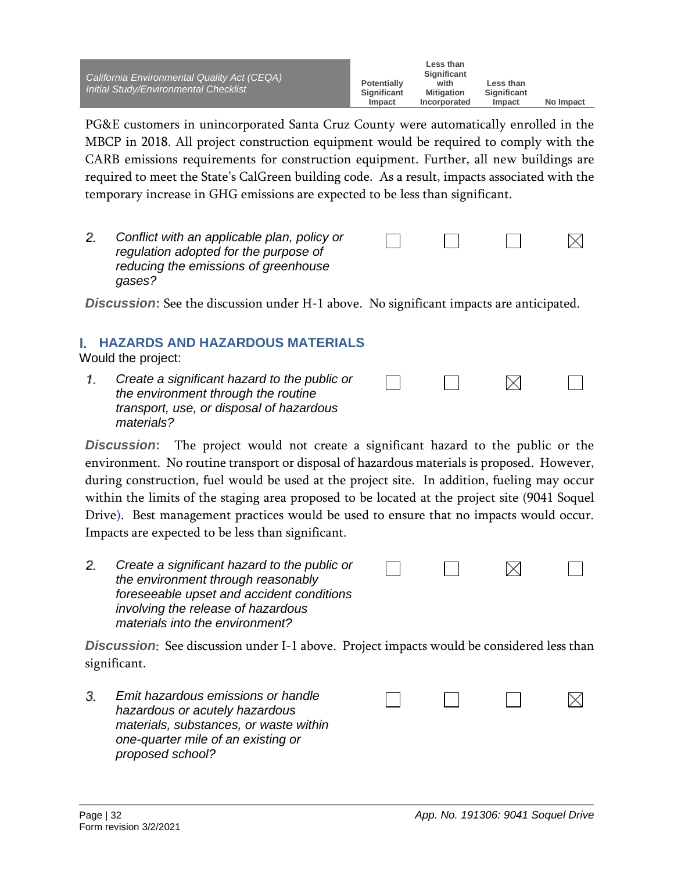**Impact No Impact**

 $\boxtimes$ 

 $\boxtimes$ 

PG&E customers in unincorporated Santa Cruz County were automatically enrolled in the MBCP in 2018. All project construction equipment would be required to comply with the CARB emissions requirements for construction equipment. Further, all new buildings are required to meet the State's CalGreen building code. As a result, impacts associated with the temporary increase in GHG emissions are expected to be less than significant.

 $\overline{2}$ . *Conflict with an applicable plan, policy or regulation adopted for the purpose of reducing the emissions of greenhouse gases?* 

**Discussion:** See the discussion under H-1 above. No significant impacts are anticipated.

#### <span id="page-31-0"></span>**HAZARDS AND HAZARDOUS MATERIALS**

Would the project:

*Create a significant hazard to the public or*  1. ┓  $\Box$ *the environment through the routine transport, use, or disposal of hazardous materials?*

*Discussion***:** The project would not create a significant hazard to the public or the environment. No routine transport or disposal of hazardous materials is proposed. However, during construction, fuel would be used at the project site. In addition, fueling may occur within the limits of the staging area proposed to be located at the project site (9041 Soquel Drive). Best management practices would be used to ensure that no impacts would occur. Impacts are expected to be less than significant.

2 *Create a significant hazard to the public or*   $\bowtie$ *the environment through reasonably foreseeable upset and accident conditions involving the release of hazardous materials into the environment?*

*Discussion*: See discussion under I-1 above. Project impacts would be considered less than significant.

3. *Emit hazardous emissions or handle hazardous or acutely hazardous materials, substances, or waste within one-quarter mile of an existing or proposed school?*

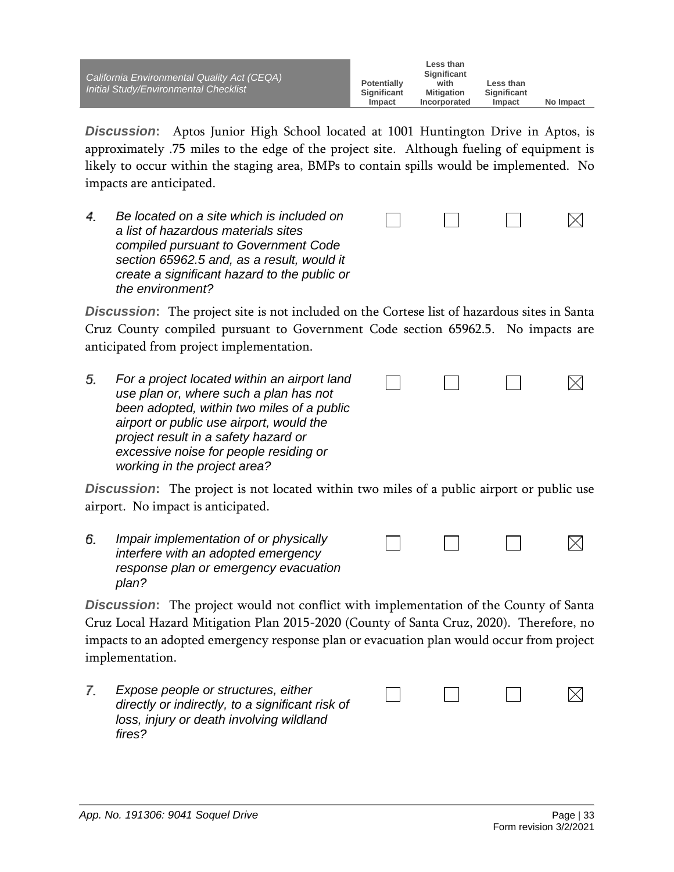**Less than Significant Impact No Impact**

 $\boxtimes$ 

*Discussion***:** Aptos Junior High School located at 1001 Huntington Drive in Aptos, is approximately .75 miles to the edge of the project site. Although fueling of equipment is likely to occur within the staging area, BMPs to contain spills would be implemented. No impacts are anticipated.

4. *Be located on a site which is included on a list of hazardous materials sites compiled pursuant to Government Code section 65962.5 and, as a result, would it create a significant hazard to the public or the environment?*

*Discussion***:** The project site is not included on the Cortese list of hazardous sites in Santa Cruz County compiled pursuant to Government Code section 65962.5. No impacts are anticipated from project implementation.

5. *For a project located within an airport land*  ┓  $\boxtimes$ *use plan or, where such a plan has not been adopted, within two miles of a public airport or public use airport, would the project result in a safety hazard or excessive noise for people residing or working in the project area?*

**Discussion:** The project is not located within two miles of a public airport or public use airport. No impact is anticipated.

6. *Impair implementation of or physically*   $\boxtimes$  $\Box$ *interfere with an adopted emergency response plan or emergency evacuation plan?*

**Discussion:** The project would not conflict with implementation of the County of Santa Cruz Local Hazard Mitigation Plan 2015-2020 (County of Santa Cruz, 2020). Therefore, no impacts to an adopted emergency response plan or evacuation plan would occur from project implementation.

<span id="page-32-0"></span>Ζ. *Expose people or structures, either directly or indirectly, to a significant risk of loss, injury or death involving wildland fires?*

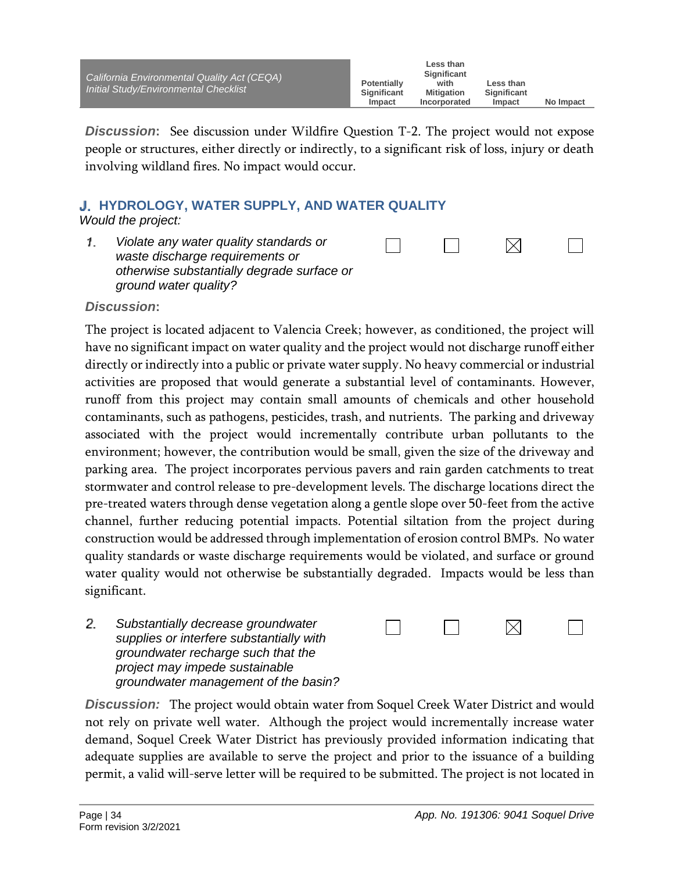|                    | Less than          |                    |           |
|--------------------|--------------------|--------------------|-----------|
|                    | <b>Significant</b> |                    |           |
| <b>Potentially</b> | with               | Less than          |           |
| <b>Significant</b> | <b>Mitigation</b>  | <b>Significant</b> |           |
| Impact             | Incorporated       | Impact             | No Impact |

 $\boxtimes$ 

*Discussion***:** See discussion under Wildfire Question T-2. The project would not expose people or structures, either directly or indirectly, to a significant risk of loss, injury or death involving wildland fires. No impact would occur.

# **HYDROLOGY, WATER SUPPLY, AND WATER QUALITY**

*Would the project:*

*Violate any water quality standards or*  1. *waste discharge requirements or otherwise substantially degrade surface or ground water quality?*

#### *Discussion***:**

The project is located adjacent to Valencia Creek; however, as conditioned, the project will have no significant impact on water quality and the project would not discharge runoff either directly or indirectly into a public or private water supply. No heavy commercial or industrial activities are proposed that would generate a substantial level of contaminants. However, runoff from this project may contain small amounts of chemicals and other household contaminants, such as pathogens, pesticides, trash, and nutrients. The parking and driveway associated with the project would incrementally contribute urban pollutants to the environment; however, the contribution would be small, given the size of the driveway and parking area. The project incorporates pervious pavers and rain garden catchments to treat stormwater and control release to pre-development levels. The discharge locations direct the pre-treated waters through dense vegetation along a gentle slope over 50-feet from the active channel, further reducing potential impacts. Potential siltation from the project during construction would be addressed through implementation of erosion control BMPs. No water quality standards or waste discharge requirements would be violated, and surface or ground water quality would not otherwise be substantially degraded. Impacts would be less than significant.

2 *Substantially decrease groundwater supplies or interfere substantially with groundwater recharge such that the project may impede sustainable groundwater management of the basin?*



*Discussion:* The project would obtain water from Soquel Creek Water District and would not rely on private well water. Although the project would incrementally increase water demand, Soquel Creek Water District has previously provided information indicating that adequate supplies are available to serve the project and prior to the issuance of a building permit, a valid will-serve letter will be required to be submitted. The project is not located in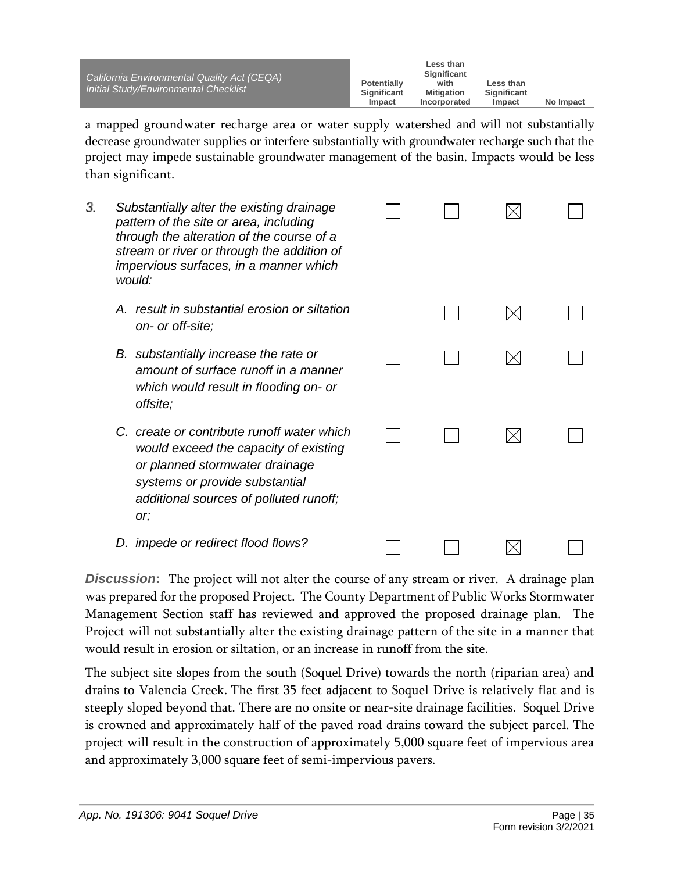**Less than Significant Impact No Impact**

a mapped groundwater recharge area or water supply watershed and will not substantially decrease groundwater supplies or interfere substantially with groundwater recharge such that the project may impede sustainable groundwater management of the basin. Impacts would be less than significant.

| 3. | Substantially alter the existing drainage<br>pattern of the site or area, including<br>through the alteration of the course of a<br>stream or river or through the addition of<br>impervious surfaces, in a manner which<br>would: |  |  |
|----|------------------------------------------------------------------------------------------------------------------------------------------------------------------------------------------------------------------------------------|--|--|
|    | A. result in substantial erosion or siltation<br>on- or off-site;                                                                                                                                                                  |  |  |
|    | B. substantially increase the rate or<br>amount of surface runoff in a manner<br>which would result in flooding on- or<br>offsite;                                                                                                 |  |  |
|    | C. create or contribute runoff water which<br>would exceed the capacity of existing<br>or planned stormwater drainage<br>systems or provide substantial<br>additional sources of polluted runoff;<br>or;                           |  |  |
|    | D. impede or redirect flood flows?                                                                                                                                                                                                 |  |  |

*Discussion***:** The project will not alter the course of any stream or river. A drainage plan was prepared for the proposed Project. The County Department of Public Works Stormwater Management Section staff has reviewed and approved the proposed drainage plan. The Project will not substantially alter the existing drainage pattern of the site in a manner that would result in erosion or siltation, or an increase in runoff from the site.

The subject site slopes from the south (Soquel Drive) towards the north (riparian area) and drains to Valencia Creek. The first 35 feet adjacent to Soquel Drive is relatively flat and is steeply sloped beyond that. There are no onsite or near-site drainage facilities. Soquel Drive is crowned and approximately half of the paved road drains toward the subject parcel. The project will result in the construction of approximately 5,000 square feet of impervious area and approximately 3,000 square feet of semi-impervious pavers.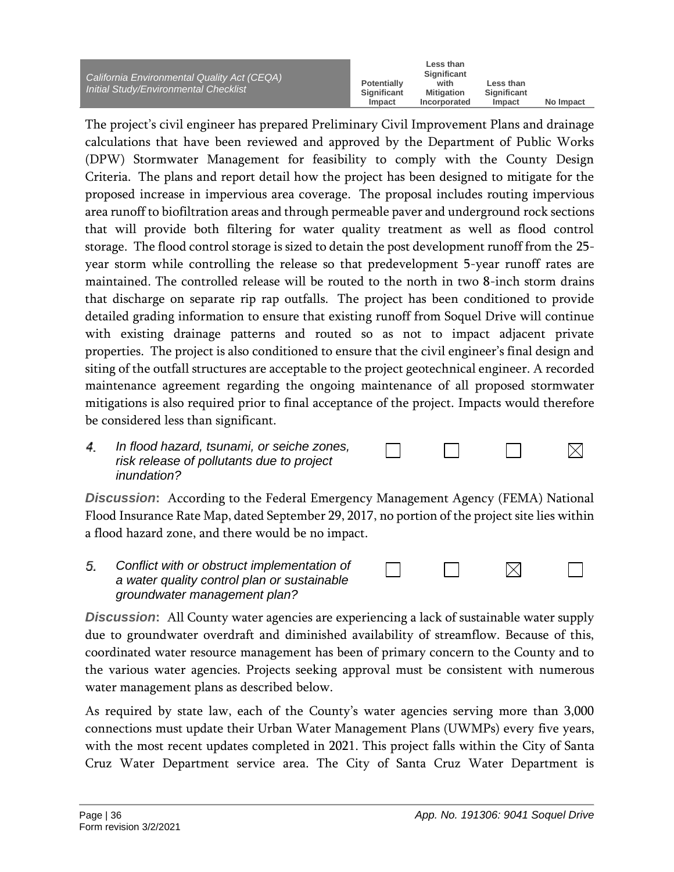The project's civil engineer has prepared Preliminary Civil Improvement Plans and drainage calculations that have been reviewed and approved by the Department of Public Works (DPW) Stormwater Management for feasibility to comply with the County Design Criteria. The plans and report detail how the project has been designed to mitigate for the proposed increase in impervious area coverage. The proposal includes routing impervious area runoff to biofiltration areas and through permeable paver and underground rock sections that will provide both filtering for water quality treatment as well as flood control storage. The flood control storage is sized to detain the post development runoff from the 25 year storm while controlling the release so that predevelopment 5-year runoff rates are maintained. The controlled release will be routed to the north in two 8-inch storm drains that discharge on separate rip rap outfalls. The project has been conditioned to provide detailed grading information to ensure that existing runoff from Soquel Drive will continue with existing drainage patterns and routed so as not to impact adjacent private properties. The project is also conditioned to ensure that the civil engineer's final design and siting of the outfall structures are acceptable to the project geotechnical engineer. A recorded maintenance agreement regarding the ongoing maintenance of all proposed stormwater mitigations is also required prior to final acceptance of the project. Impacts would therefore be considered less than significant.

4. *In flood hazard, tsunami, or seiche zones, risk release of pollutants due to project inundation?*

*Discussion***:** According to the Federal Emergency Management Agency (FEMA) National Flood Insurance Rate Map, dated September 29, 2017, no portion of the project site lies within a flood hazard zone, and there would be no impact.

5. *Conflict with or obstruct implementation of a water quality control plan or sustainable groundwater management plan?*

 $\boxtimes$  $\mathbf{L}$ 

 $\boxtimes$ 

**Discussion:** All County water agencies are experiencing a lack of sustainable water supply due to groundwater overdraft and diminished availability of streamflow. Because of this, coordinated water resource management has been of primary concern to the County and to the various water agencies. Projects seeking approval must be consistent with numerous water management plans as described below.

As required by state law, each of the County's water agencies serving more than 3,000 connections must update their Urban Water Management Plans (UWMPs) every five years, with the most recent updates completed in 2021. This project falls within the City of Santa Cruz Water Department service area. The City of Santa Cruz Water Department is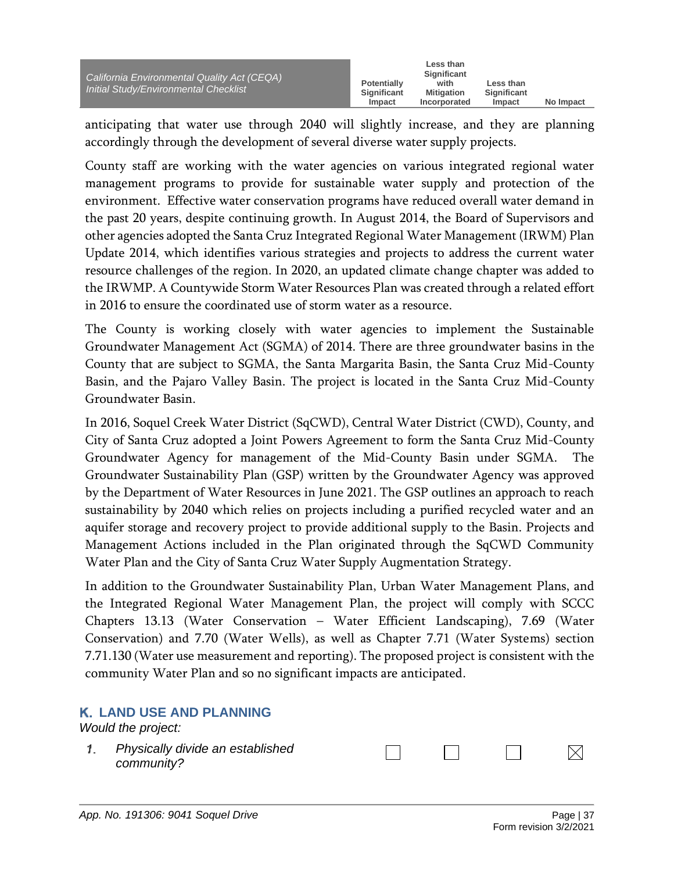anticipating that water use through 2040 will slightly increase, and they are planning accordingly through the development of several diverse water supply projects.

County staff are working with the water agencies on various integrated regional water management programs to provide for sustainable water supply and protection of the environment. Effective water conservation programs have reduced overall water demand in the past 20 years, despite continuing growth. In August 2014, the Board of Supervisors and other agencies adopted the Santa Cruz Integrated Regional Water Management (IRWM) Plan Update 2014, which identifies various strategies and projects to address the current water resource challenges of the region. In 2020, an updated climate change chapter was added to the IRWMP. A Countywide Storm Water Resources Plan was created through a related effort in 2016 to ensure the coordinated use of storm water as a resource.

The County is working closely with water agencies to implement the Sustainable Groundwater Management Act (SGMA) of 2014. There are three groundwater basins in the County that are subject to SGMA, the Santa Margarita Basin, the Santa Cruz Mid-County Basin, and the Pajaro Valley Basin. The project is located in the Santa Cruz Mid-County Groundwater Basin.

In 2016, Soquel Creek Water District (SqCWD), Central Water District (CWD), County, and City of Santa Cruz adopted a Joint Powers Agreement to form the Santa Cruz Mid-County Groundwater Agency for management of the Mid-County Basin under SGMA. The Groundwater Sustainability Plan (GSP) written by the Groundwater Agency was approved by the Department of Water Resources in June 2021. The GSP outlines an approach to reach sustainability by 2040 which relies on projects including a purified recycled water and an aquifer storage and recovery project to provide additional supply to the Basin. Projects and Management Actions included in the Plan originated through the SqCWD Community Water Plan and the City of Santa Cruz Water Supply Augmentation Strategy.

In addition to the Groundwater Sustainability Plan, Urban Water Management Plans, and the Integrated Regional Water Management Plan, the project will comply with SCCC Chapters 13.13 (Water Conservation – Water Efficient Landscaping), 7.69 (Water Conservation) and 7.70 (Water Wells), as well as Chapter 7.71 (Water Systems) section 7.71.130 (Water use measurement and reporting). The proposed project is consistent with the community Water Plan and so no significant impacts are anticipated.

### <span id="page-36-0"></span>**LAND USE AND PLANNING**

*Would the project:*

*Physically divide an established*  1. *community?*

 $\boxtimes$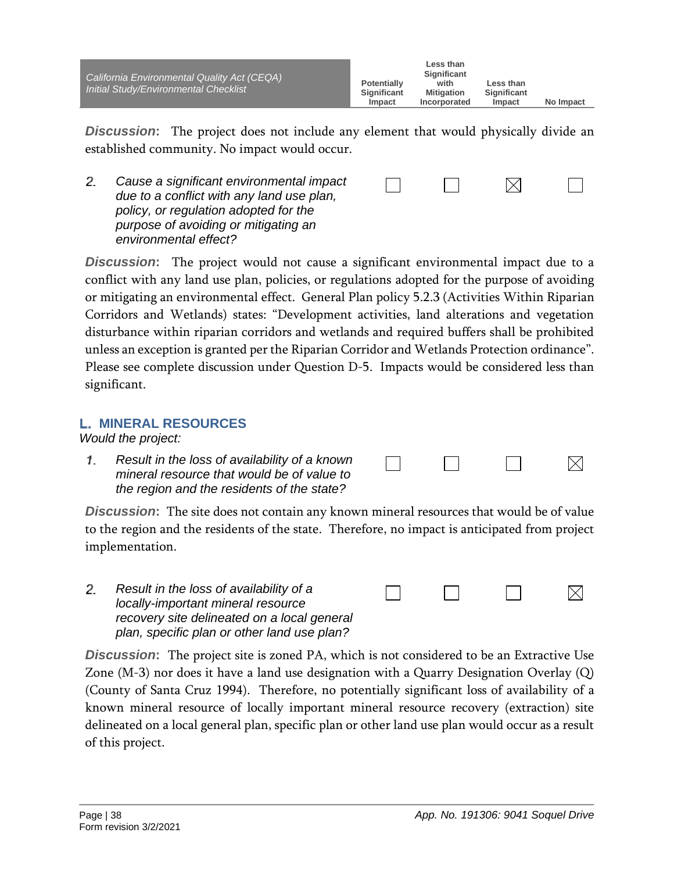|                    | Less than          |                    |           |
|--------------------|--------------------|--------------------|-----------|
|                    | <b>Significant</b> |                    |           |
| <b>Potentially</b> | with               | Less than          |           |
| <b>Significant</b> | <b>Mitigation</b>  | <b>Significant</b> |           |
| Impact             | Incorporated       | Impact             | No Impact |

 $\boxtimes$ 

 $\boxtimes$ 

 $\bowtie$ 

**Discussion:** The project does not include any element that would physically divide an established community. No impact would occur.

2. *Cause a significant environmental impact due to a conflict with any land use plan, policy, or regulation adopted for the purpose of avoiding or mitigating an environmental effect?*

*Discussion***:** The project would not cause a significant environmental impact due to a conflict with any land use plan, policies, or regulations adopted for the purpose of avoiding or mitigating an environmental effect. General Plan policy 5.2.3 (Activities Within Riparian Corridors and Wetlands) states: "Development activities, land alterations and vegetation disturbance within riparian corridors and wetlands and required buffers shall be prohibited unless an exception is granted per the Riparian Corridor and Wetlands Protection ordinance". Please see complete discussion under Question D-5. Impacts would be considered less than significant.

#### <span id="page-37-0"></span>**MINERAL RESOURCES**

*Would the project:*

*Result in the loss of availability of a known*  1. *mineral resource that would be of value to the region and the residents of the state?*

*Discussion***:** The site does not contain any known mineral resources that would be of value to the region and the residents of the state. Therefore, no impact is anticipated from project implementation.

2 *Result in the loss of availability of a*   $\mathcal{L}$ *locally-important mineral resource recovery site delineated on a local general plan, specific plan or other land use plan?*

<span id="page-37-1"></span>*Discussion***:** The project site is zoned PA, which is not considered to be an Extractive Use Zone (M-3) nor does it have a land use designation with a Quarry Designation Overlay (Q) (County of Santa Cruz 1994). Therefore, no potentially significant loss of availability of a known mineral resource of locally important mineral resource recovery (extraction) site delineated on a local general plan, specific plan or other land use plan would occur as a result of this project.

 $\sim$ 

 $\sim$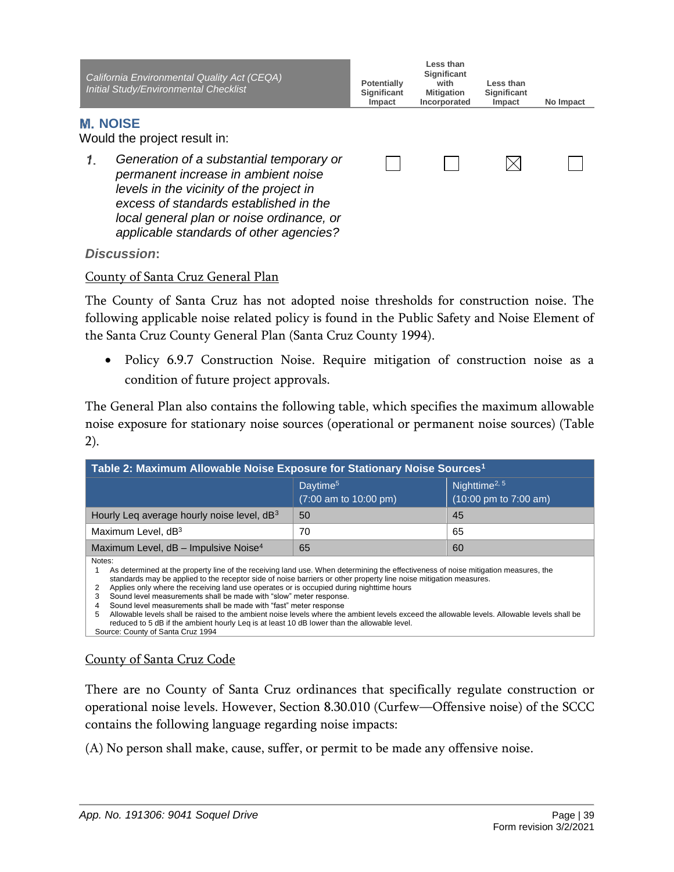|                    | <b>Significant</b> |
|--------------------|--------------------|
| <b>Potentially</b> | with               |
| <b>Significant</b> | <b>Mitigation</b>  |
| Impact             | Incorporated       |

**Less than Significant Impact No Impact**

#### **M. NOISE**

Would the project result in:

1. *Generation of a substantial temporary or permanent increase in ambient noise levels in the vicinity of the project in excess of standards established in the local general plan or noise ordinance, or applicable standards of other agencies?*

 $\boxtimes$ 

**Less than** 

*Discussion***:**

#### County of Santa Cruz General Plan

The County of Santa Cruz has not adopted noise thresholds for construction noise. The following applicable noise related policy is found in the Public Safety and Noise Element of the Santa Cruz County General Plan (Santa Cruz County 1994).

• Policy 6.9.7 Construction Noise. Require mitigation of construction noise as a condition of future project approvals.

The General Plan also contains the following table, which specifies the maximum allowable noise exposure for stationary noise sources (operational or permanent noise sources) (Table 2).

| Table 2: Maximum Allowable Noise Exposure for Stationary Noise Sources <sup>1</sup>                                                                                                                                                                                                                                                                                                                                                                                                                                                                                                                                                                                                                                                                                   |                                                   |                                                    |  |  |  |
|-----------------------------------------------------------------------------------------------------------------------------------------------------------------------------------------------------------------------------------------------------------------------------------------------------------------------------------------------------------------------------------------------------------------------------------------------------------------------------------------------------------------------------------------------------------------------------------------------------------------------------------------------------------------------------------------------------------------------------------------------------------------------|---------------------------------------------------|----------------------------------------------------|--|--|--|
|                                                                                                                                                                                                                                                                                                                                                                                                                                                                                                                                                                                                                                                                                                                                                                       | Daytime <sup>5</sup><br>$(7:00$ am to $10:00$ pm) | Nighttime <sup>2, 5</sup><br>(10:00 pm to 7:00 am) |  |  |  |
| 45<br>Hourly Leq average hourly noise level, $dB^3$<br>50                                                                                                                                                                                                                                                                                                                                                                                                                                                                                                                                                                                                                                                                                                             |                                                   |                                                    |  |  |  |
| Maximum Level, dB <sup>3</sup>                                                                                                                                                                                                                                                                                                                                                                                                                                                                                                                                                                                                                                                                                                                                        | 70                                                | 65                                                 |  |  |  |
| Maximum Level, $dB$ – Impulsive Noise <sup>4</sup><br>65<br>60                                                                                                                                                                                                                                                                                                                                                                                                                                                                                                                                                                                                                                                                                                        |                                                   |                                                    |  |  |  |
| Notes:<br>As determined at the property line of the receiving land use. When determining the effectiveness of noise mitigation measures, the<br>standards may be applied to the receptor side of noise barriers or other property line noise mitigation measures.<br>Applies only where the receiving land use operates or is occupied during nighttime hours<br>Sound level measurements shall be made with "slow" meter response.<br>3<br>Sound level measurements shall be made with "fast" meter response<br>4<br>Allowable levels shall be raised to the ambient noise levels where the ambient levels exceed the allowable levels. Allowable levels shall be<br>5<br>reduced to 5 dB if the ambient bourly Lea is at least 10 dB lower than the allowable level |                                                   |                                                    |  |  |  |

reduced to 5 dB if the ambient hourly Leq is at least 10 dB lower than the allowable level. Source: County of Santa Cruz 1994

#### County of Santa Cruz Code

There are no County of Santa Cruz ordinances that specifically regulate construction or operational noise levels. However, Section 8.30.010 (Curfew—Offensive noise) of the SCCC contains the following language regarding noise impacts:

(A) No person shall make, cause, suffer, or permit to be made any offensive noise.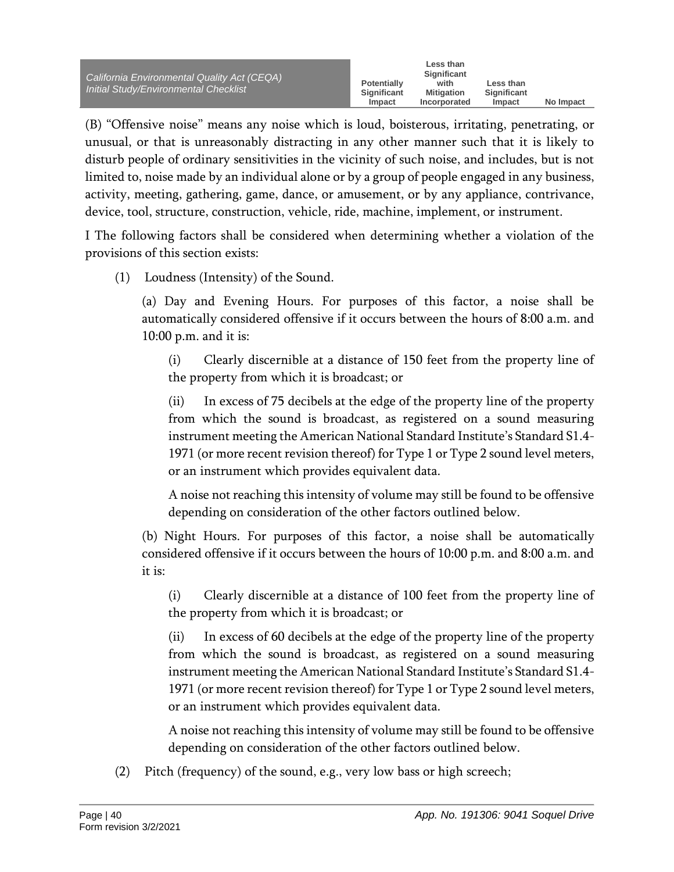(B) "Offensive noise" means any noise which is loud, boisterous, irritating, penetrating, or unusual, or that is unreasonably distracting in any other manner such that it is likely to disturb people of ordinary sensitivities in the vicinity of such noise, and includes, but is not limited to, noise made by an individual alone or by a group of people engaged in any business, activity, meeting, gathering, game, dance, or amusement, or by any appliance, contrivance, device, tool, structure, construction, vehicle, ride, machine, implement, or instrument.

I The following factors shall be considered when determining whether a violation of the provisions of this section exists:

(1) Loudness (Intensity) of the Sound.

(a) Day and Evening Hours. For purposes of this factor, a noise shall be automatically considered offensive if it occurs between the hours of 8:00 a.m. and 10:00 p.m. and it is:

(i) Clearly discernible at a distance of 150 feet from the property line of the property from which it is broadcast; or

(ii) In excess of 75 decibels at the edge of the property line of the property from which the sound is broadcast, as registered on a sound measuring instrument meeting the American National Standard Institute's Standard S1.4- 1971 (or more recent revision thereof) for Type 1 or Type 2 sound level meters, or an instrument which provides equivalent data.

A noise not reaching this intensity of volume may still be found to be offensive depending on consideration of the other factors outlined below.

(b) Night Hours. For purposes of this factor, a noise shall be automatically considered offensive if it occurs between the hours of 10:00 p.m. and 8:00 a.m. and it is:

(i) Clearly discernible at a distance of 100 feet from the property line of the property from which it is broadcast; or

(ii) In excess of 60 decibels at the edge of the property line of the property from which the sound is broadcast, as registered on a sound measuring instrument meeting the American National Standard Institute's Standard S1.4- 1971 (or more recent revision thereof) for Type 1 or Type 2 sound level meters, or an instrument which provides equivalent data.

A noise not reaching this intensity of volume may still be found to be offensive depending on consideration of the other factors outlined below.

(2) Pitch (frequency) of the sound, e.g., very low bass or high screech;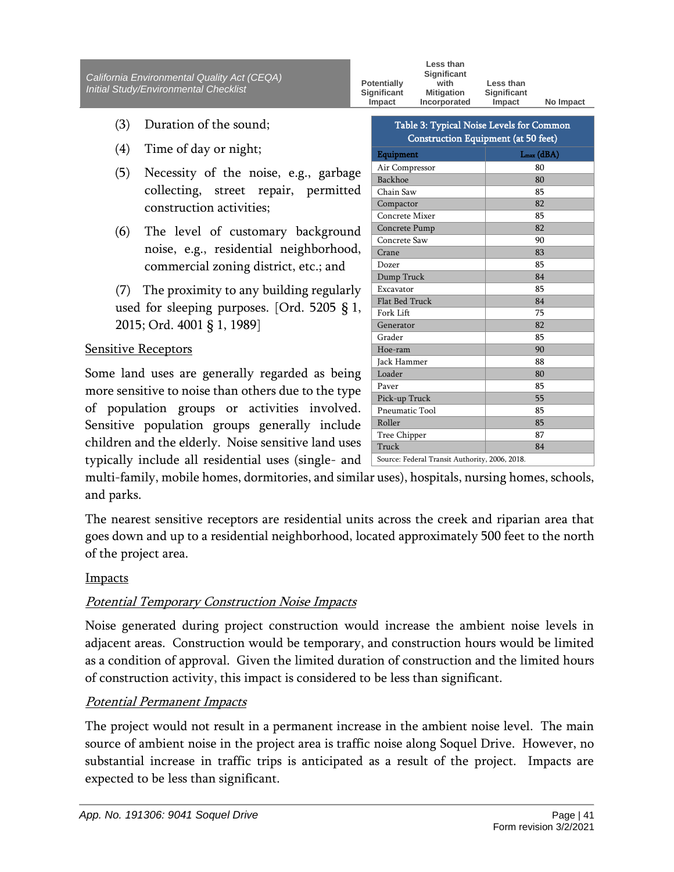|                    | Less than<br><b>Significant</b> |                    |           |
|--------------------|---------------------------------|--------------------|-----------|
| Potentially        | with                            | Less than          |           |
| <b>Significant</b> | <b>Mitigation</b>               | <b>Significant</b> |           |
| Impact             | Incorporated                    | Impact             | No Impact |

- (3) Duration of the sound;
- (4) Time of day or night;
- (5) Necessity of the noise, e.g., garbage collecting, street repair, permitted construction activities;
- (6) The level of customary background noise, e.g., residential neighborhood, commercial zoning district, etc.; and
- (7) The proximity to any building regularly used for sleeping purposes. [Ord. 5205 § 1, 2015; Ord. 4001 § 1, 1989]

#### **Sensitive Receptors**

Some land uses are generally regarded as being more sensitive to noise than others due to the type of population groups or activities involved. Sensitive population groups generally include children and the elderly. Noise sensitive land uses typically include all residential uses (single- and

| Table 3: Typical Noise Levels for Common<br><b>Construction Equipment (at 50 feet)</b> |                 |  |  |  |
|----------------------------------------------------------------------------------------|-----------------|--|--|--|
| Equipment                                                                              | $L_{max}$ (dBA) |  |  |  |
| Air Compressor                                                                         | 80              |  |  |  |
| Backhoe                                                                                | 80              |  |  |  |
| Chain Saw                                                                              | 85              |  |  |  |
| Compactor                                                                              | 82              |  |  |  |
| Concrete Mixer                                                                         | 85              |  |  |  |
| Concrete Pump                                                                          | 82              |  |  |  |
| Concrete Saw                                                                           | 90              |  |  |  |
| Crane                                                                                  | 83              |  |  |  |
| Dozer                                                                                  | 85              |  |  |  |
| Dump Truck                                                                             | 84              |  |  |  |
| Excavator                                                                              | 85              |  |  |  |
| Flat Bed Truck                                                                         | 84              |  |  |  |
| Fork Lift                                                                              | 75              |  |  |  |
| Generator                                                                              | 82              |  |  |  |
| Grader                                                                                 | 85              |  |  |  |
| Hoe-ram                                                                                | 90              |  |  |  |
| Jack Hammer                                                                            | 88              |  |  |  |
| Loader                                                                                 | 80              |  |  |  |
| Paver                                                                                  | 85              |  |  |  |
| Pick-up Truck                                                                          | 55              |  |  |  |
| Pneumatic Tool                                                                         | 85              |  |  |  |
| Roller                                                                                 | 85              |  |  |  |
| Tree Chipper                                                                           | 87              |  |  |  |
| Truck                                                                                  | 84              |  |  |  |
| Source: Federal Transit Authority, 2006, 2018.                                         |                 |  |  |  |

multi-family, mobile homes, dormitories, and similar uses), hospitals, nursing homes, schools, and parks.

The nearest sensitive receptors are residential units across the creek and riparian area that goes down and up to a residential neighborhood, located approximately 500 feet to the north of the project area.

#### **Impacts**

#### Potential Temporary Construction Noise Impacts

Noise generated during project construction would increase the ambient noise levels in adjacent areas. Construction would be temporary, and construction hours would be limited as a condition of approval. Given the limited duration of construction and the limited hours of construction activity, this impact is considered to be less than significant.

#### Potential Permanent Impacts

The project would not result in a permanent increase in the ambient noise level. The main source of ambient noise in the project area is traffic noise along Soquel Drive. However, no substantial increase in traffic trips is anticipated as a result of the project. Impacts are expected to be less than significant.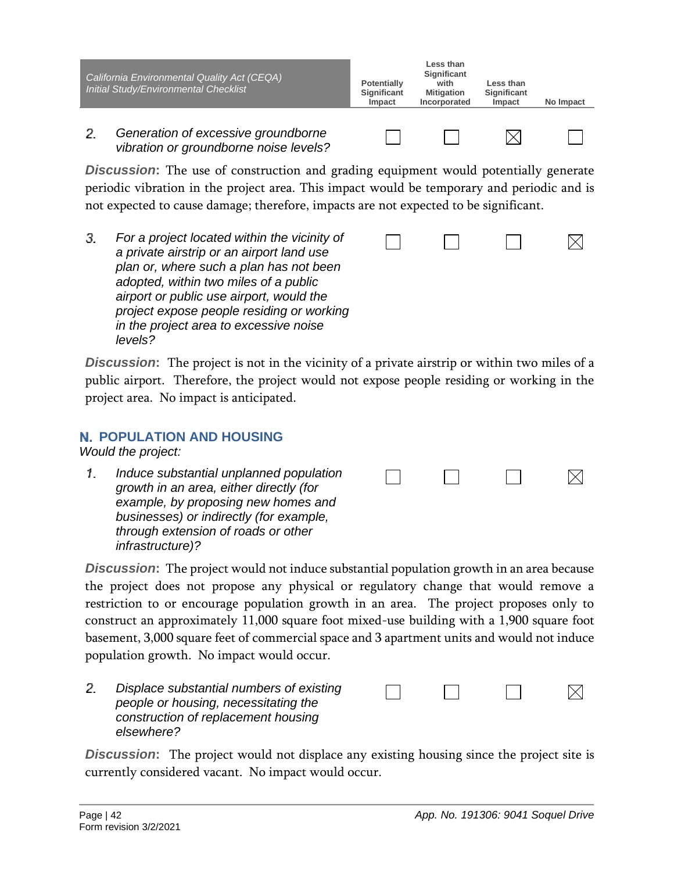| Less than<br><b>Significant</b><br>with<br><b>Mitigation</b> |
|--------------------------------------------------------------|
| Incorporated                                                 |
|                                                              |

**Less than Significant Impact No Impact**

 $\boxtimes$ 

 $\boxtimes$ 

#### $2.$ *Generation of excessive groundborne vibration or groundborne noise levels?*

**Discussion:** The use of construction and grading equipment would potentially generate periodic vibration in the project area. This impact would be temporary and periodic and is not expected to cause damage; therefore, impacts are not expected to be significant.

З. *For a project located within the vicinity of a private airstrip or an airport land use plan or, where such a plan has not been adopted, within two miles of a public airport or public use airport, would the project expose people residing or working in the project area to excessive noise levels?*



*Discussion***:** The project is not in the vicinity of a private airstrip or within two miles of a public airport. Therefore, the project would not expose people residing or working in the project area. No impact is anticipated.

#### <span id="page-41-0"></span>**POPULATION AND HOUSING**

*Would the project:*

1. *Induce substantial unplanned population growth in an area, either directly (for example, by proposing new homes and businesses) or indirectly (for example, through extension of roads or other infrastructure)?*

**Discussion:** The project would not induce substantial population growth in an area because the project does not propose any physical or regulatory change that would remove a restriction to or encourage population growth in an area. The project proposes only to construct an approximately 11,000 square foot mixed-use building with a 1,900 square foot basement, 3,000 square feet of commercial space and 3 apartment units and would not induce population growth. No impact would occur.

2. *Displace substantial numbers of existing*   $\boxtimes$ *people or housing, necessitating the construction of replacement housing elsewhere?*

**Discussion:** The project would not displace any existing housing since the project site is currently considered vacant. No impact would occur.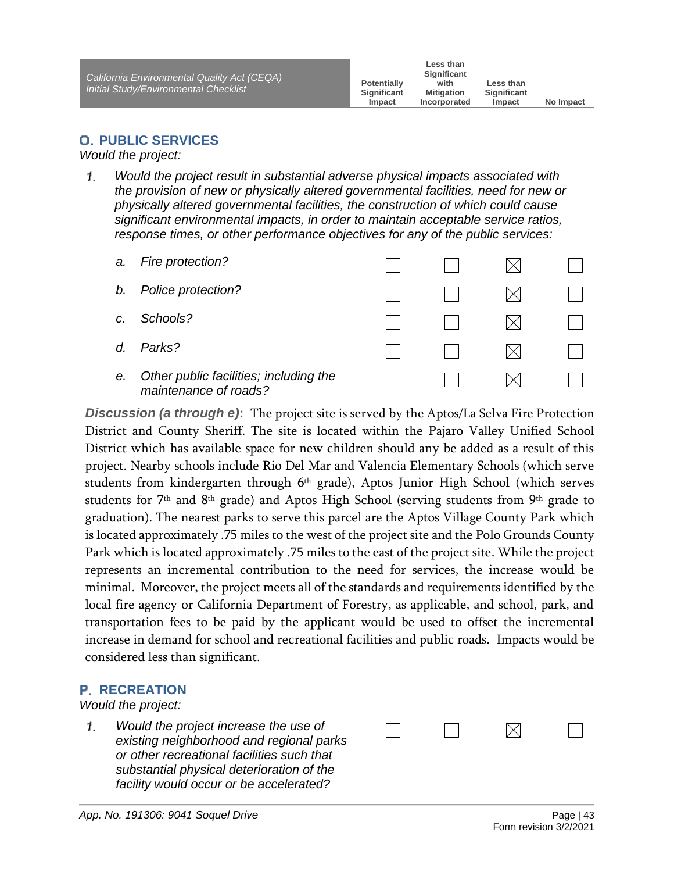#### <span id="page-42-0"></span>**PUBLIC SERVICES**

*Would the project:*

*Would the project result in substantial adverse physical impacts associated with*  1. *the provision of new or physically altered governmental facilities, need for new or physically altered governmental facilities, the construction of which could cause significant environmental impacts, in order to maintain acceptable service ratios, response times, or other performance objectives for any of the public services:*

| а.          | Fire protection?                                                |  |  |
|-------------|-----------------------------------------------------------------|--|--|
| b.          | Police protection?                                              |  |  |
| $C_{\cdot}$ | Schools?                                                        |  |  |
| d.          | Parks?                                                          |  |  |
| е.          | Other public facilities; including the<br>maintenance of roads? |  |  |

*Discussion (a through e)***:** The project site is served by the Aptos/La Selva Fire Protection District and County Sheriff. The site is located within the Pajaro Valley Unified School District which has available space for new children should any be added as a result of this project. Nearby schools include Rio Del Mar and Valencia Elementary Schools (which serve students from kindergarten through  $6<sup>th</sup>$  grade), Aptos Junior High School (which serves students for  $7<sup>th</sup>$  and  $8<sup>th</sup>$  grade) and Aptos High School (serving students from  $9<sup>th</sup>$  grade to graduation). The nearest parks to serve this parcel are the Aptos Village County Park which is located approximately .75 miles to the west of the project site and the Polo Grounds County Park which is located approximately .75 miles to the east of the project site. While the project represents an incremental contribution to the need for services, the increase would be minimal. Moreover, the project meets all of the standards and requirements identified by the local fire agency or California Department of Forestry, as applicable, and school, park, and transportation fees to be paid by the applicant would be used to offset the incremental increase in demand for school and recreational facilities and public roads. Impacts would be considered less than significant.

#### <span id="page-42-1"></span>**P. RECREATION**

#### *Would the project:*

1. *Would the project increase the use of existing neighborhood and regional parks or other recreational facilities such that substantial physical deterioration of the facility would occur or be accelerated?*

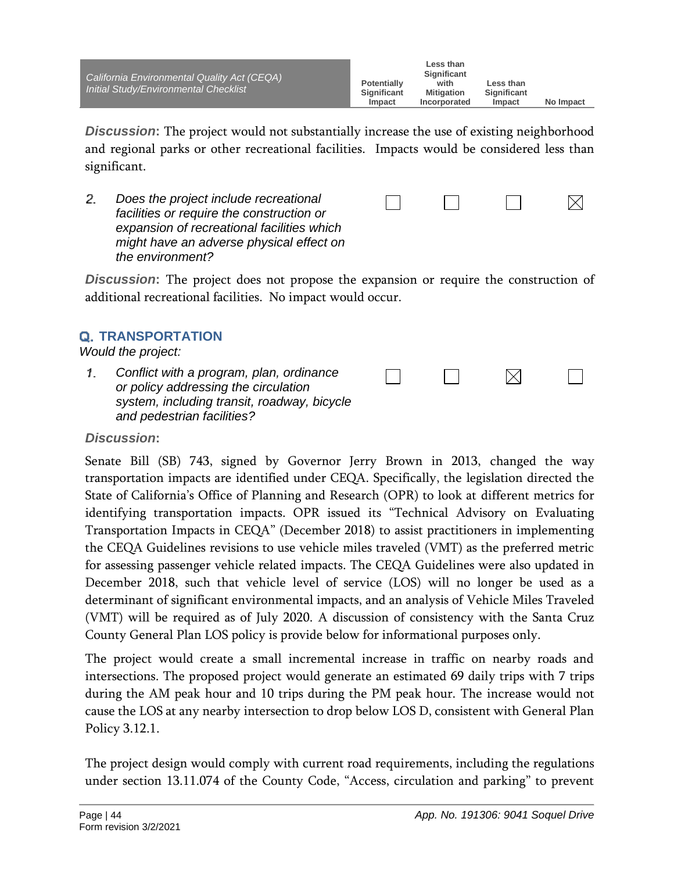**Impact No Impact**

**Discussion:** The project would not substantially increase the use of existing neighborhood and regional parks or other recreational facilities. Impacts would be considered less than significant.

2. *Does the project include recreational facilities or require the construction or expansion of recreational facilities which might have an adverse physical effect on the environment?*



 $\boxtimes$ 

**Discussion:** The project does not propose the expansion or require the construction of additional recreational facilities. No impact would occur.

#### <span id="page-43-0"></span>**Q. TRANSPORTATION**

*Would the project:*

1. *Conflict with a program, plan, ordinance or policy addressing the circulation system, including transit, roadway, bicycle and pedestrian facilities?*

#### *Discussion***:**

Senate Bill (SB) 743, signed by Governor Jerry Brown in 2013, changed the way transportation impacts are identified under CEQA. Specifically, the legislation directed the State of California's Office of Planning and Research (OPR) to look at different metrics for identifying transportation impacts. OPR issued its "Technical Advisory on Evaluating Transportation Impacts in CEQA" (December 2018) to assist practitioners in implementing the CEQA Guidelines revisions to use vehicle miles traveled (VMT) as the preferred metric for assessing passenger vehicle related impacts. The CEQA Guidelines were also updated in December 2018, such that vehicle level of service (LOS) will no longer be used as a determinant of significant environmental impacts, and an analysis of Vehicle Miles Traveled (VMT) will be required as of July 2020. A discussion of consistency with the Santa Cruz County General Plan LOS policy is provide below for informational purposes only.

The project would create a small incremental increase in traffic on nearby roads and intersections. The proposed project would generate an estimated 69 daily trips with 7 trips during the AM peak hour and 10 trips during the PM peak hour. The increase would not cause the LOS at any nearby intersection to drop below LOS D, consistent with General Plan Policy 3.12.1.

The project design would comply with current road requirements, including the regulations under section 13.11.074 of the County Code, "Access, circulation and parking" to prevent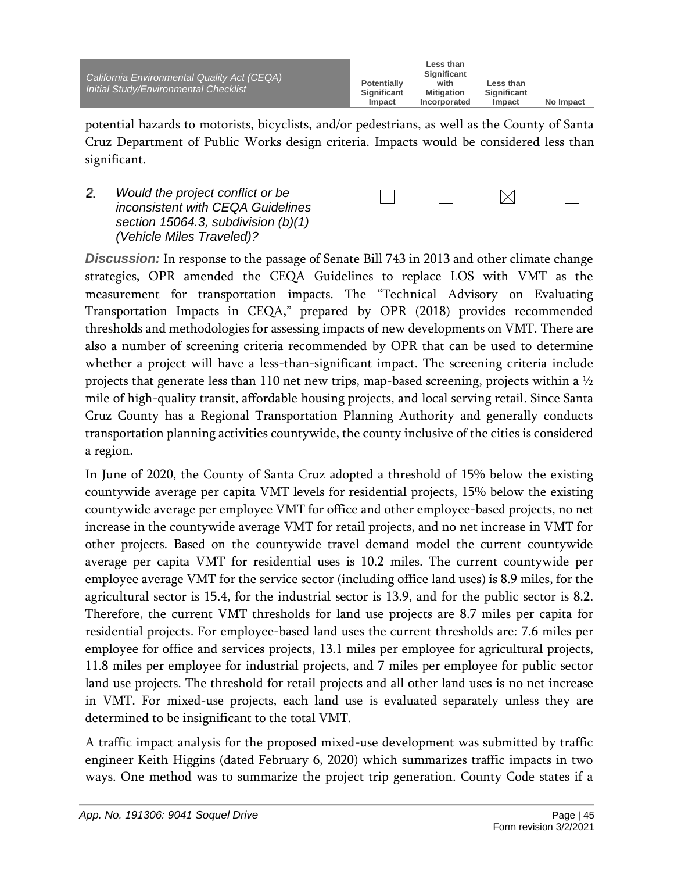|                    | Less than          |                    |           |
|--------------------|--------------------|--------------------|-----------|
|                    | <b>Significant</b> |                    |           |
| <b>Potentially</b> | with               | Less than          |           |
| <b>Significant</b> | <b>Mitigation</b>  | <b>Significant</b> |           |
| Impact             | Incorporated       | Impact             | No Impact |

potential hazards to motorists, bicyclists, and/or pedestrians, as well as the County of Santa Cruz Department of Public Works design criteria. Impacts would be considered less than significant.

2 *Would the project conflict or be inconsistent with CEQA Guidelines section 15064.3, subdivision (b)(1) (Vehicle Miles Traveled)?*



*Discussion:* In response to the passage of Senate Bill 743 in 2013 and other climate change strategies, OPR amended the CEQA Guidelines to replace LOS with VMT as the measurement for transportation impacts. The "Technical Advisory on Evaluating Transportation Impacts in CEQA," prepared by OPR (2018) provides recommended thresholds and methodologies for assessing impacts of new developments on VMT. There are also a number of screening criteria recommended by OPR that can be used to determine whether a project will have a less-than-significant impact. The screening criteria include projects that generate less than 110 net new trips, map-based screening, projects within a  $\frac{1}{2}$ mile of high-quality transit, affordable housing projects, and local serving retail. Since Santa Cruz County has a Regional Transportation Planning Authority and generally conducts transportation planning activities countywide, the county inclusive of the cities is considered a region.

In June of 2020, the County of Santa Cruz adopted a threshold of 15% below the existing countywide average per capita VMT levels for residential projects, 15% below the existing countywide average per employee VMT for office and other employee-based projects, no net increase in the countywide average VMT for retail projects, and no net increase in VMT for other projects. Based on the countywide travel demand model the current countywide average per capita VMT for residential uses is 10.2 miles. The current countywide per employee average VMT for the service sector (including office land uses) is 8.9 miles, for the agricultural sector is 15.4, for the industrial sector is 13.9, and for the public sector is 8.2. Therefore, the current VMT thresholds for land use projects are 8.7 miles per capita for residential projects. For employee-based land uses the current thresholds are: 7.6 miles per employee for office and services projects, 13.1 miles per employee for agricultural projects, 11.8 miles per employee for industrial projects, and 7 miles per employee for public sector land use projects. The threshold for retail projects and all other land uses is no net increase in VMT. For mixed-use projects, each land use is evaluated separately unless they are determined to be insignificant to the total VMT.

A traffic impact analysis for the proposed mixed-use development was submitted by traffic engineer Keith Higgins (dated February 6, 2020) which summarizes traffic impacts in two ways. One method was to summarize the project trip generation. County Code states if a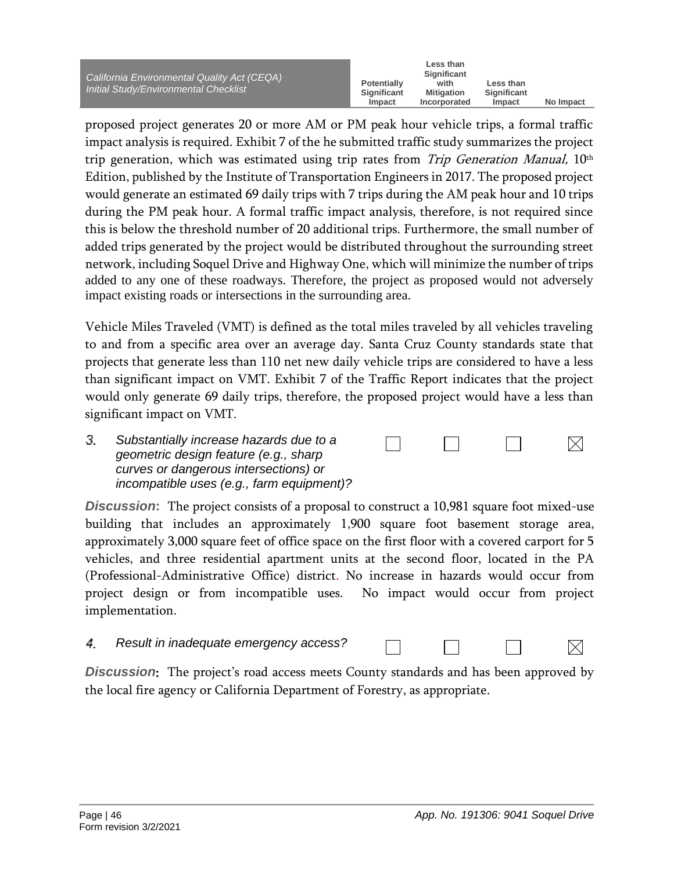proposed project generates 20 or more AM or PM peak hour vehicle trips, a formal traffic impact analysis is required. Exhibit 7 of the he submitted traffic study summarizes the project trip generation, which was estimated using trip rates from Trip Generation Manual,  $10<sup>th</sup>$ Edition, published by the Institute of Transportation Engineers in 2017. The proposed project would generate an estimated 69 daily trips with 7 trips during the AM peak hour and 10 trips during the PM peak hour. A formal traffic impact analysis, therefore, is not required since this is below the threshold number of 20 additional trips. Furthermore, the small number of added trips generated by the project would be distributed throughout the surrounding street network, including Soquel Drive and Highway One, which will minimize the number of trips added to any one of these roadways. Therefore, the project as proposed would not adversely impact existing roads or intersections in the surrounding area.

Vehicle Miles Traveled (VMT) is defined as the total miles traveled by all vehicles traveling to and from a specific area over an average day. Santa Cruz County standards state that projects that generate less than 110 net new daily vehicle trips are considered to have a less than significant impact on VMT. Exhibit 7 of the Traffic Report indicates that the project would only generate 69 daily trips, therefore, the proposed project would have a less than significant impact on VMT.

З. *Substantially increase hazards due to a geometric design feature (e.g., sharp curves or dangerous intersections) or incompatible uses (e.g., farm equipment)?*



*Discussion*: The project consists of a proposal to construct a 10,981 square foot mixed-use building that includes an approximately 1,900 square foot basement storage area, approximately 3,000 square feet of office space on the first floor with a covered carport for 5 vehicles, and three residential apartment units at the second floor, located in the PA (Professional-Administrative Office) district. No increase in hazards would occur from project design or from incompatible uses. No impact would occur from project implementation.

4. *Result in inadequate emergency access?*  $\boxtimes$ 

**Discussion:** The project's road access meets County standards and has been approved by the local fire agency or California Department of Forestry, as appropriate.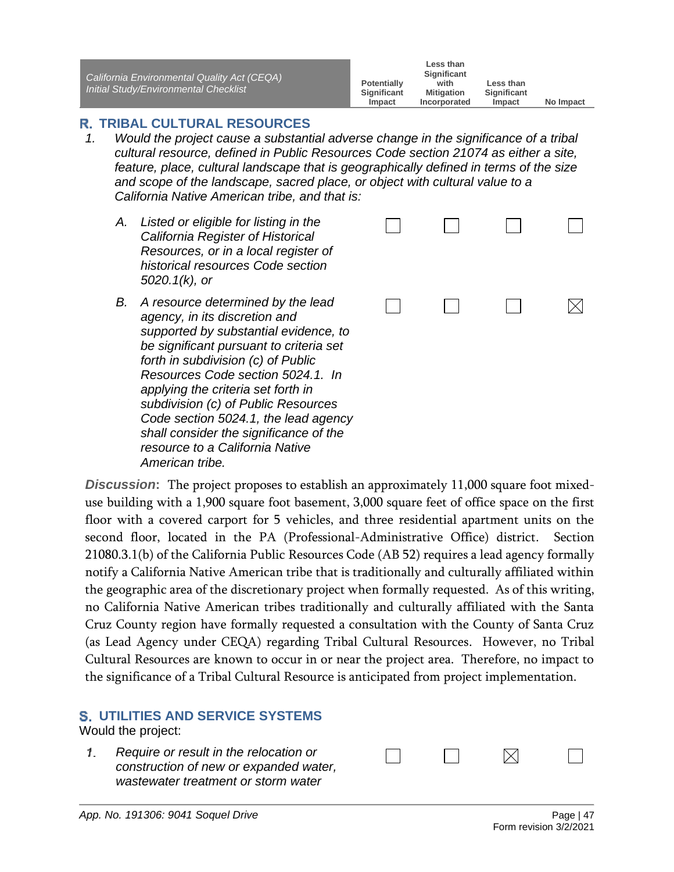| California Environmental Quality Act (CEQA)  | LGSS UIGH<br><b>Significant</b>                    |                                           |                                           |           |
|----------------------------------------------|----------------------------------------------------|-------------------------------------------|-------------------------------------------|-----------|
| <b>Initial Study/Environmental Checklist</b> | <b>Potentially</b><br><b>Significant</b><br>Impact | with<br><b>Mitigation</b><br>Incorporated | Less than<br><b>Significant</b><br>Impact | No Impact |

#### **TRIBAL CULTURAL RESOURCES**

- *1. Would the project cause a substantial adverse change in the significance of a tribal cultural resource, defined in Public Resources Code section 21074 as either a site, feature, place, cultural landscape that is geographically defined in terms of the size and scope of the landscape, sacred place, or object with cultural value to a California Native American tribe, and that is:*
	- *A. Listed or eligible for listing in the California Register of Historical Resources, or in a local register of historical resources Code section 5020.1(k), or*
	- *B. A resource determined by the lead agency, in its discretion and supported by substantial evidence, to be significant pursuant to criteria set forth in subdivision (c) of Public Resources Code section 5024.1. In applying the criteria set forth in subdivision (c) of Public Resources Code section 5024.1, the lead agency shall consider the significance of the resource to a California Native American tribe.*



**Less than** 

**Discussion:** The project proposes to establish an approximately 11,000 square foot mixeduse building with a 1,900 square foot basement, 3,000 square feet of office space on the first floor with a covered carport for 5 vehicles, and three residential apartment units on the second floor, located in the PA (Professional-Administrative Office) district. Section 21080.3.1(b) of the California Public Resources Code (AB 52) requires a lead agency formally notify a California Native American tribe that is traditionally and culturally affiliated within the geographic area of the discretionary project when formally requested. As of this writing, no California Native American tribes traditionally and culturally affiliated with the Santa Cruz County region have formally requested a consultation with the County of Santa Cruz (as Lead Agency under CEQA) regarding Tribal Cultural Resources. However, no Tribal Cultural Resources are known to occur in or near the project area. Therefore, no impact to the significance of a Tribal Cultural Resource is anticipated from project implementation.

 $\Box$ 

 $\Box$ 

#### <span id="page-46-0"></span>**UTILITIES AND SERVICE SYSTEMS**

Would the project:

1. *Require or result in the relocation or construction of new or expanded water, wastewater treatment or storm water* 

 $\boxtimes$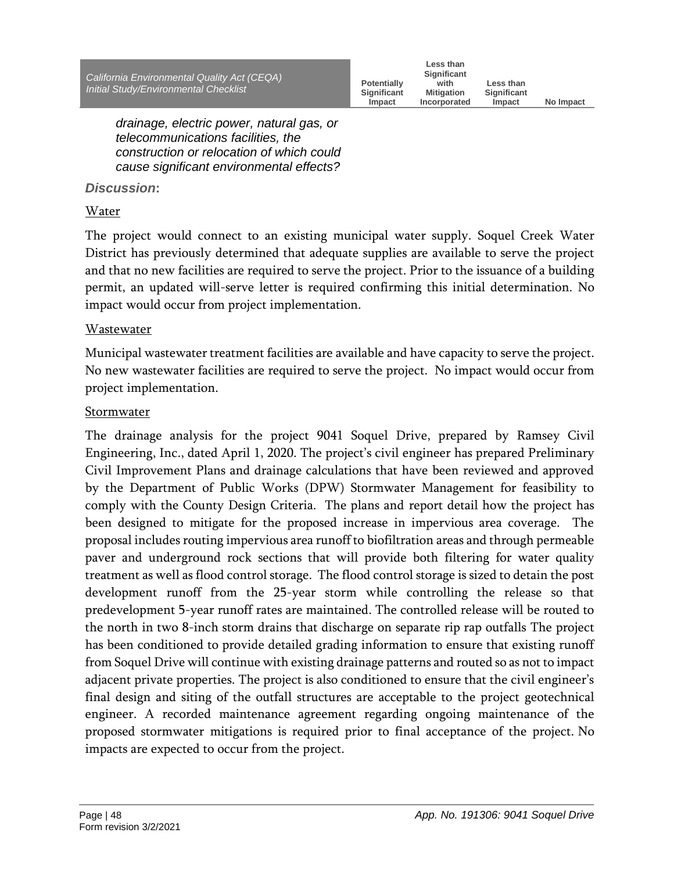|                    | Less than          |                    |           |
|--------------------|--------------------|--------------------|-----------|
|                    | <b>Significant</b> |                    |           |
| <b>Potentially</b> | with               | Less than          |           |
| <b>Significant</b> | <b>Mitigation</b>  | <b>Significant</b> |           |
| Impact             | Incorporated       | Impact             | No Impact |

*drainage, electric power, natural gas, or telecommunications facilities, the construction or relocation of which could cause significant environmental effects?*

#### *Discussion***:**

#### Water

The project would connect to an existing municipal water supply. Soquel Creek Water District has previously determined that adequate supplies are available to serve the project and that no new facilities are required to serve the project. Prior to the issuance of a building permit, an updated will-serve letter is required confirming this initial determination. No impact would occur from project implementation.

#### Wastewater

Municipal wastewater treatment facilities are available and have capacity to serve the project. No new wastewater facilities are required to serve the project. No impact would occur from project implementation.

#### Stormwater

The drainage analysis for the project 9041 Soquel Drive, prepared by Ramsey Civil Engineering, Inc., dated April 1, 2020. The project's civil engineer has prepared Preliminary Civil Improvement Plans and drainage calculations that have been reviewed and approved by the Department of Public Works (DPW) Stormwater Management for feasibility to comply with the County Design Criteria. The plans and report detail how the project has been designed to mitigate for the proposed increase in impervious area coverage. The proposal includes routing impervious area runoff to biofiltration areas and through permeable paver and underground rock sections that will provide both filtering for water quality treatment as well as flood control storage. The flood control storage is sized to detain the post development runoff from the 25-year storm while controlling the release so that predevelopment 5-year runoff rates are maintained. The controlled release will be routed to the north in two 8-inch storm drains that discharge on separate rip rap outfalls The project has been conditioned to provide detailed grading information to ensure that existing runoff from Soquel Drive will continue with existing drainage patterns and routed so as not to impact adjacent private properties. The project is also conditioned to ensure that the civil engineer's final design and siting of the outfall structures are acceptable to the project geotechnical engineer. A recorded maintenance agreement regarding ongoing maintenance of the proposed stormwater mitigations is required prior to final acceptance of the project. No impacts are expected to occur from the project.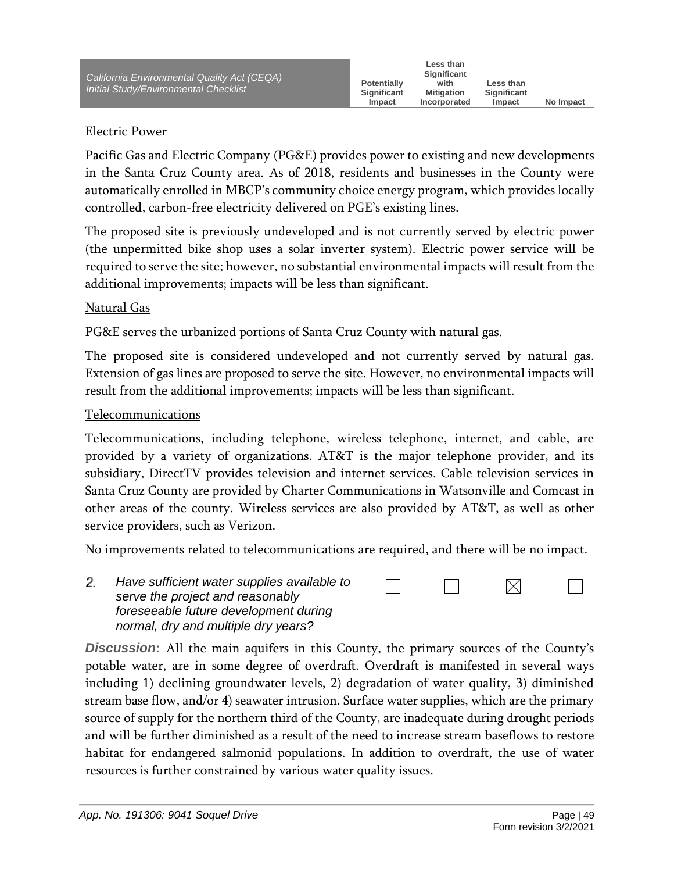#### Electric Power

Pacific Gas and Electric Company (PG&E) provides power to existing and new developments in the Santa Cruz County area. As of 2018, residents and businesses in the County were automatically enrolled in MBCP's community choice energy program, which provides locally controlled, carbon-free electricity delivered on PGE's existing lines.

The proposed site is previously undeveloped and is not currently served by electric power (the unpermitted bike shop uses a solar inverter system). Electric power service will be required to serve the site; however, no substantial environmental impacts will result from the additional improvements; impacts will be less than significant.

#### Natural Gas

PG&E serves the urbanized portions of Santa Cruz County with natural gas.

The proposed site is considered undeveloped and not currently served by natural gas. Extension of gas lines are proposed to serve the site. However, no environmental impacts will result from the additional improvements; impacts will be less than significant.

#### Telecommunications

Telecommunications, including telephone, wireless telephone, internet, and cable, are provided by a variety of organizations. AT&T is the major telephone provider, and its subsidiary, DirectTV provides television and internet services. Cable television services in Santa Cruz County are provided by Charter Communications in Watsonville and Comcast in other areas of the county. Wireless services are also provided by AT&T, as well as other service providers, such as Verizon.

No improvements related to telecommunications are required, and there will be no impact.

 $\overline{2}$ . *Have sufficient water supplies available to*   $\Box$  $\bowtie$ *serve the project and reasonably foreseeable future development during normal, dry and multiple dry years?*

*Discussion***:** All the main aquifers in this County, the primary sources of the County's potable water, are in some degree of overdraft. Overdraft is manifested in several ways including 1) declining groundwater levels, 2) degradation of water quality, 3) diminished stream base flow, and/or 4) seawater intrusion. Surface water supplies, which are the primary source of supply for the northern third of the County, are inadequate during drought periods and will be further diminished as a result of the need to increase stream baseflows to restore habitat for endangered salmonid populations. In addition to overdraft, the use of water resources is further constrained by various water quality issues.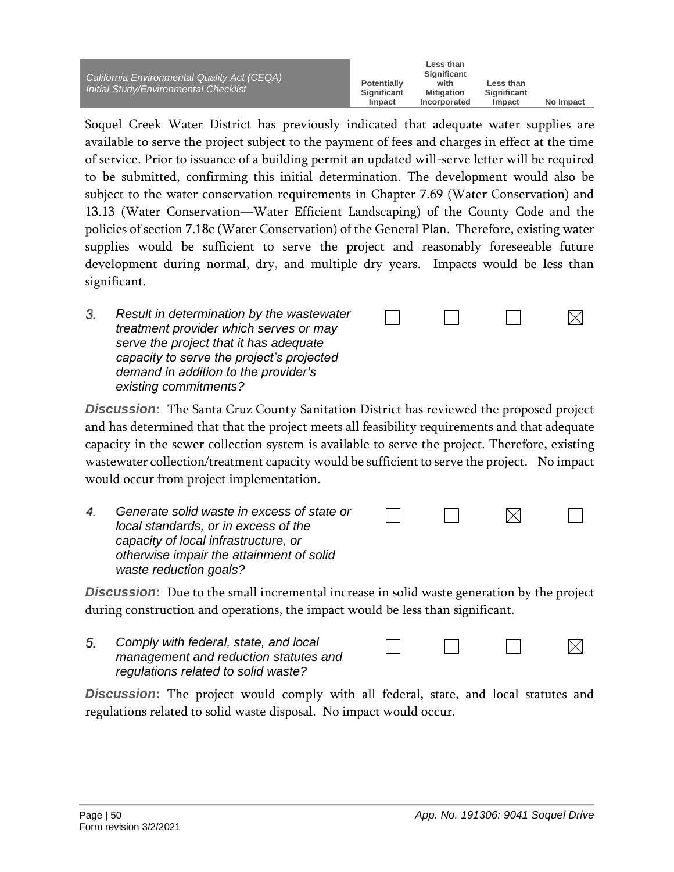$\bowtie$ 

Soquel Creek Water District has previously indicated that adequate water supplies are available to serve the project subject to the payment of fees and charges in effect at the time of service. Prior to issuance of a building permit an updated will-serve letter will be required to be submitted, confirming this initial determination. The development would also be subject to the water conservation requirements in Chapter 7.69 (Water Conservation) and 13.13 (Water Conservation—Water Efficient Landscaping) of the County Code and the policies of section 7.18c (Water Conservation) of the General Plan. Therefore, existing water supplies would be sufficient to serve the project and reasonably foreseeable future development during normal, dry, and multiple dry years. Impacts would be less than significant.

3. *Result in determination by the wastewater treatment provider which serves or may serve the project that it has adequate capacity to serve the project's projected demand in addition to the provider's existing commitments?*

*Discussion***:** The Santa Cruz County Sanitation District has reviewed the proposed project and has determined that that the project meets all feasibility requirements and that adequate capacity in the sewer collection system is available to serve the project. Therefore, existing wastewater collection/treatment capacity would be sufficient to serve the project. No impact would occur from project implementation.

| 4 | Generate solid waste in excess of state or<br>local standards, or in excess of the<br>capacity of local infrastructure, or<br>otherwise impair the attainment of solid |  |  |
|---|------------------------------------------------------------------------------------------------------------------------------------------------------------------------|--|--|
|   | waste reduction goals?                                                                                                                                                 |  |  |

**Discussion:** Due to the small incremental increase in solid waste generation by the project during construction and operations, the impact would be less than significant.

5. *Comply with federal, state, and local*   $\bowtie$ *management and reduction statutes and regulations related to solid waste?*

*Discussion***:** The project would comply with all federal, state, and local statutes and regulations related to solid waste disposal. No impact would occur.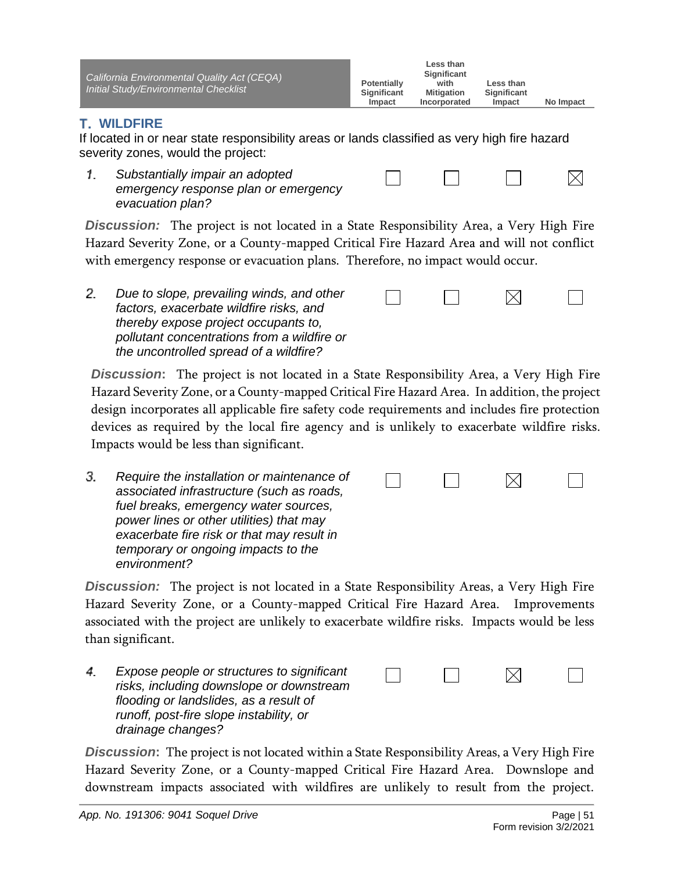|                    | Less than          |                    |           |
|--------------------|--------------------|--------------------|-----------|
|                    | <b>Significant</b> |                    |           |
| <b>Potentially</b> | with               | Less than          |           |
| <b>Significant</b> | <b>Mitigation</b>  | <b>Significant</b> |           |
| Impact             | Incorporated       | Impact             | No Impact |

#### <span id="page-50-0"></span>**WILDFIRE**

If located in or near state responsibility areas or lands classified as very high fire hazard severity zones, would the project:

1. *Substantially impair an adopted emergency response plan or emergency evacuation plan?*

*Discussion:* The project is not located in a State Responsibility Area, a Very High Fire Hazard Severity Zone, or a County-mapped Critical Fire Hazard Area and will not conflict with emergency response or evacuation plans. Therefore, no impact would occur.

2. *Due to slope, prevailing winds, and other factors, exacerbate wildfire risks, and thereby expose project occupants to, pollutant concentrations from a wildfire or the uncontrolled spread of a wildfire?*

 $\boxtimes$ 

 $\bowtie$ 

*Discussion***:** The project is not located in a State Responsibility Area, a Very High Fire Hazard Severity Zone, or a County-mapped Critical Fire Hazard Area. In addition, the project design incorporates all applicable fire safety code requirements and includes fire protection devices as required by the local fire agency and is unlikely to exacerbate wildfire risks. Impacts would be less than significant.

З. *Require the installation or maintenance of associated infrastructure (such as roads, fuel breaks, emergency water sources, power lines or other utilities) that may exacerbate fire risk or that may result in temporary or ongoing impacts to the environment?*

*Discussion:* The project is not located in a State Responsibility Areas, a Very High Fire Hazard Severity Zone, or a County-mapped Critical Fire Hazard Area. Improvements associated with the project are unlikely to exacerbate wildfire risks. Impacts would be less than significant.

*Expose people or structures to significant*  4.  $\boxtimes$ *risks, including downslope or downstream flooding or landslides, as a result of runoff, post-fire slope instability, or drainage changes?*

*Discussion***:** The project is not located within a State Responsibility Areas, a Very High Fire Hazard Severity Zone, or a County-mapped Critical Fire Hazard Area. Downslope and downstream impacts associated with wildfires are unlikely to result from the project.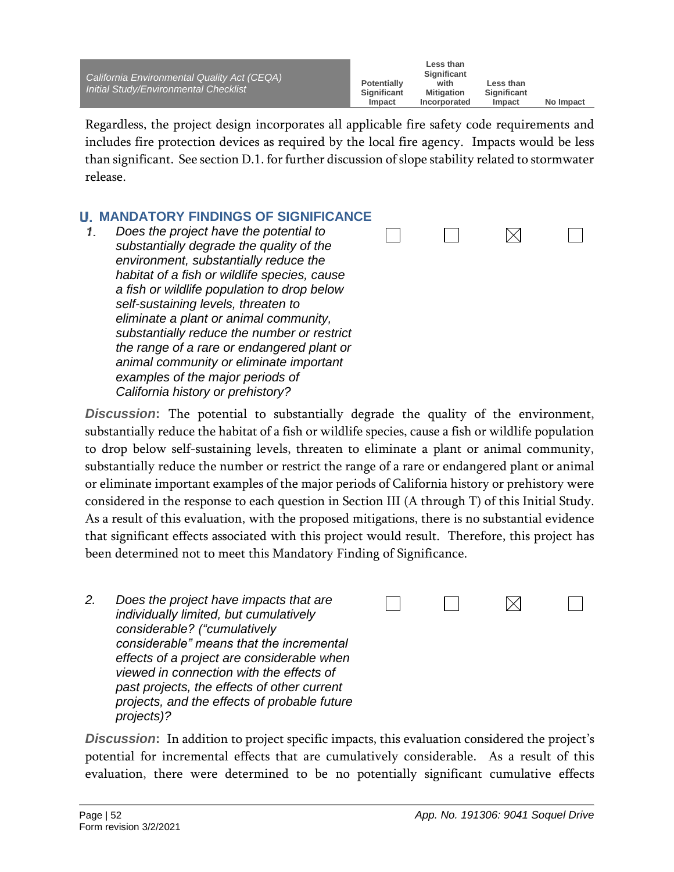**Significant Impact Significant with Mitigation Incorporated**

**Less than** 

**Less than Significant Impact No Impact**

 $\bowtie$ 

Regardless, the project design incorporates all applicable fire safety code requirements and includes fire protection devices as required by the local fire agency. Impacts would be less than significant. See section D.1. for further discussion of slope stability related to stormwater release.

#### <span id="page-51-0"></span>**MANDATORY FINDINGS OF SIGNIFICANCE**

*Does the project have the potential to*  1. *substantially degrade the quality of the environment, substantially reduce the habitat of a fish or wildlife species, cause a fish or wildlife population to drop below self-sustaining levels, threaten to eliminate a plant or animal community, substantially reduce the number or restrict the range of a rare or endangered plant or animal community or eliminate important examples of the major periods of California history or prehistory?*

*Discussion***:** The potential to substantially degrade the quality of the environment, substantially reduce the habitat of a fish or wildlife species, cause a fish or wildlife population to drop below self-sustaining levels, threaten to eliminate a plant or animal community, substantially reduce the number or restrict the range of a rare or endangered plant or animal or eliminate important examples of the major periods of California history or prehistory were considered in the response to each question in Section III (A through T) of this Initial Study. As a result of this evaluation, with the proposed mitigations, there is no substantial evidence that significant effects associated with this project would result. Therefore, this project has been determined not to meet this Mandatory Finding of Significance.

*2. Does the project have impacts that are individually limited, but cumulatively considerable? ("cumulatively considerable" means that the incremental effects of a project are considerable when viewed in connection with the effects of past projects, the effects of other current projects, and the effects of probable future projects)?*

**Discussion:** In addition to project specific impacts, this evaluation considered the project's potential for incremental effects that are cumulatively considerable. As a result of this evaluation, there were determined to be no potentially significant cumulative effects

 $\boxtimes$ 

 $\mathbb{R}^n$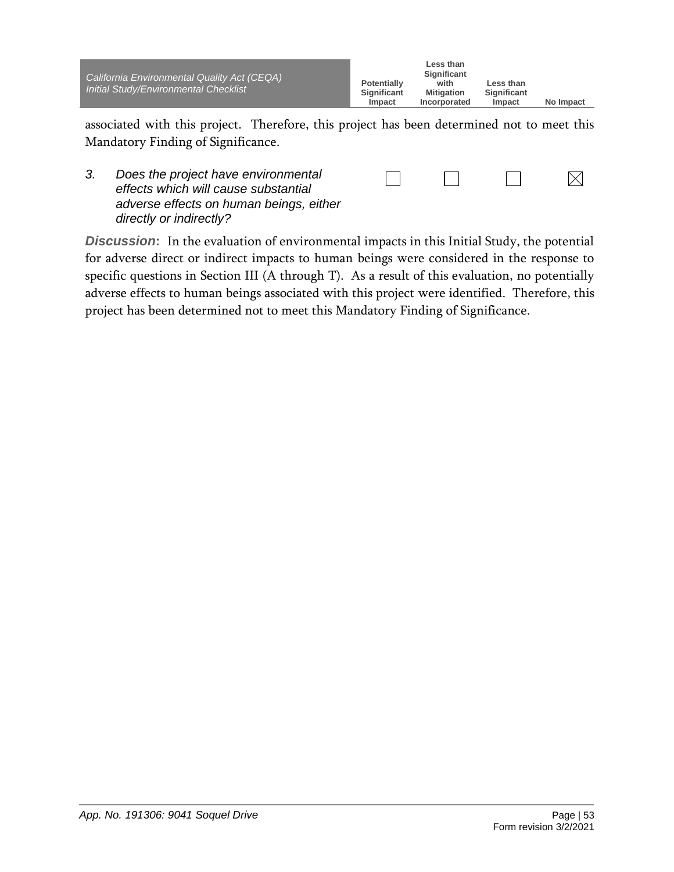**Impact No Impact**

 $\boxtimes$ 

associated with this project. Therefore, this project has been determined not to meet this Mandatory Finding of Significance.

*3. Does the project have environmental effects which will cause substantial adverse effects on human beings, either directly or indirectly?*

*Discussion***:** In the evaluation of environmental impacts in this Initial Study, the potential for adverse direct or indirect impacts to human beings were considered in the response to specific questions in Section III (A through T). As a result of this evaluation, no potentially adverse effects to human beings associated with this project were identified. Therefore, this project has been determined not to meet this Mandatory Finding of Significance.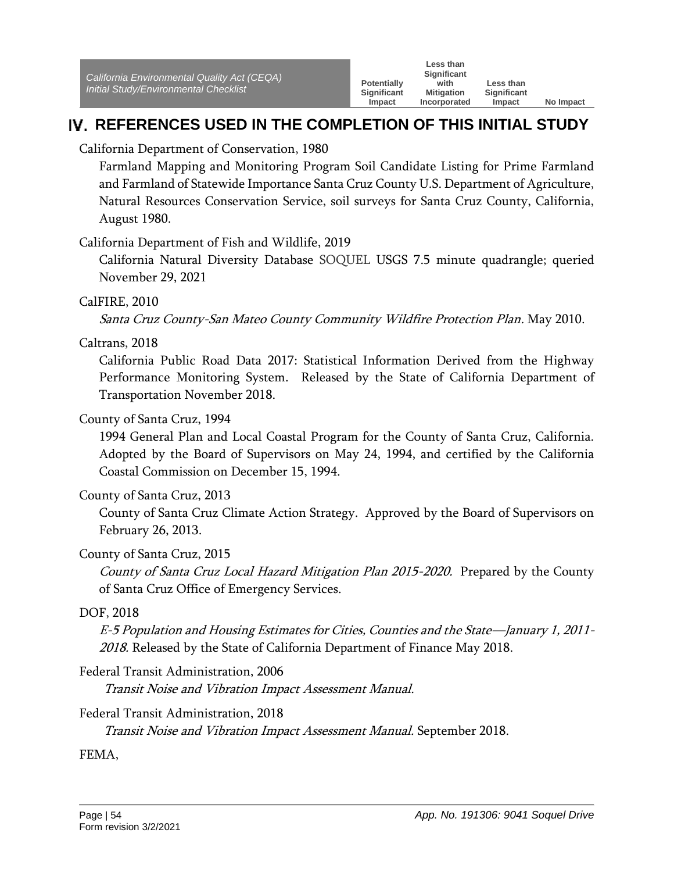### IV. REFERENCES USED IN THE COMPLETION OF THIS INITIAL STUDY

California Department of Conservation, 1980

Farmland Mapping and Monitoring Program Soil Candidate Listing for Prime Farmland and Farmland of Statewide Importance Santa Cruz County U.S. Department of Agriculture, Natural Resources Conservation Service, soil surveys for Santa Cruz County, California, August 1980.

#### California Department of Fish and Wildlife, 2019

California Natural Diversity Database SOQUEL USGS 7.5 minute quadrangle; queried November 29, 2021

#### CalFIRE, 2010

Santa Cruz County-San Mateo County Community Wildfire Protection Plan. May 2010.

#### Caltrans, 2018

California Public Road Data 2017: Statistical Information Derived from the Highway Performance Monitoring System. Released by the State of California Department of Transportation November 2018.

#### County of Santa Cruz, 1994

1994 General Plan and Local Coastal Program for the County of Santa Cruz, California. Adopted by the Board of Supervisors on May 24, 1994, and certified by the California Coastal Commission on December 15, 1994.

#### County of Santa Cruz, 2013

County of Santa Cruz Climate Action Strategy. Approved by the Board of Supervisors on February 26, 2013.

#### County of Santa Cruz, 2015

County of Santa Cruz Local Hazard Mitigation Plan 2015-2020. Prepared by the County of Santa Cruz Office of Emergency Services.

#### DOF, 2018

E-5 Population and Housing Estimates for Cities, Counties and the State—January 1, 2011- 2018. Released by the State of California Department of Finance May 2018.

#### Federal Transit Administration, 2006

Transit Noise and Vibration Impact Assessment Manual.

#### Federal Transit Administration, 2018

Transit Noise and Vibration Impact Assessment Manual. September 2018.

FEMA,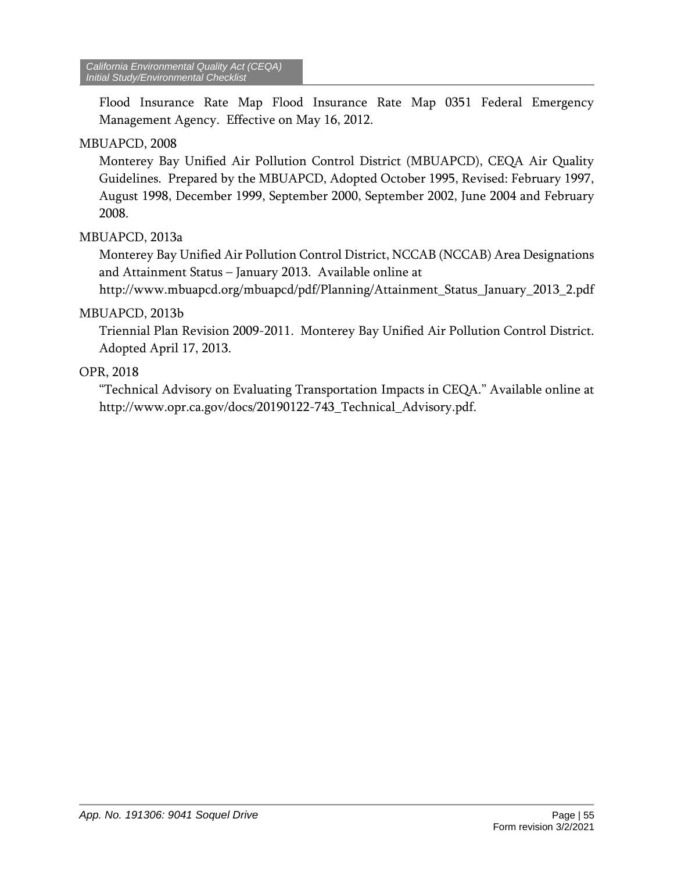Flood Insurance Rate Map Flood Insurance Rate Map 0351 Federal Emergency Management Agency. Effective on May 16, 2012.

#### MBUAPCD, 2008

Monterey Bay Unified Air Pollution Control District (MBUAPCD), CEQA Air Quality Guidelines. Prepared by the MBUAPCD, Adopted October 1995, Revised: February 1997, August 1998, December 1999, September 2000, September 2002, June 2004 and February 2008.

#### MBUAPCD, 2013a

Monterey Bay Unified Air Pollution Control District, NCCAB (NCCAB) Area Designations and Attainment Status – January 2013. Available online at

[http://www.mbuapcd.org/mbuapcd/pdf/Planning/Attainment\\_Status\\_January\\_2013\\_2.pdf](http://www.mbuapcd.org/mbuapcd/pdf/Planning/Attainment_Status_January_2013_2.pdf)

#### MBUAPCD, 2013b

Triennial Plan Revision 2009-2011. Monterey Bay Unified Air Pollution Control District. Adopted April 17, 2013.

#### OPR, 2018

"Technical Advisory on Evaluating Transportation Impacts in CEQA." Available online at http://www.opr.ca.gov/docs/20190122-743\_Technical\_Advisory.pdf.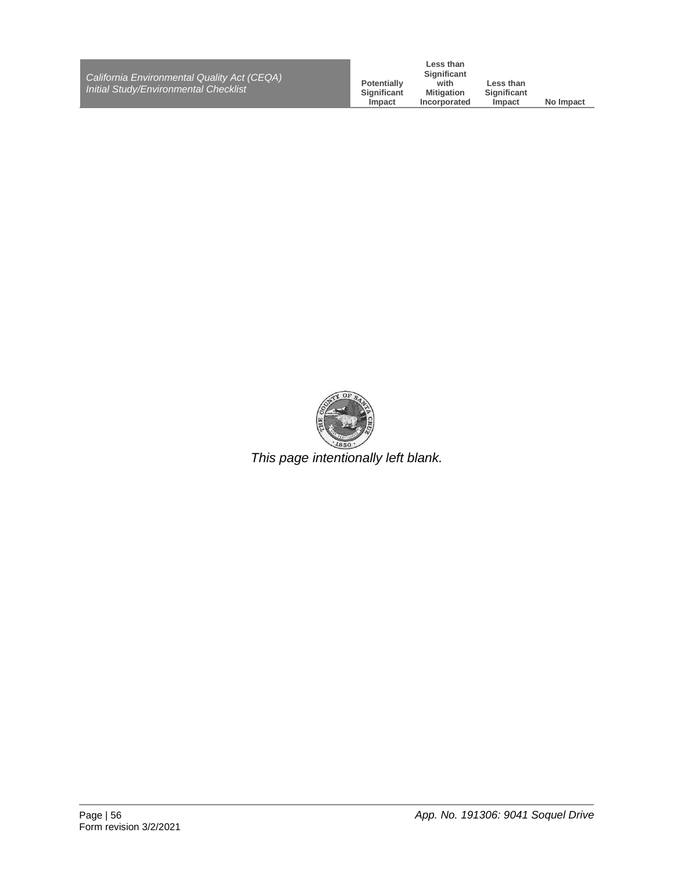|                    | Less than<br><b>Significant</b> |                    |           |
|--------------------|---------------------------------|--------------------|-----------|
| <b>Potentially</b> | with                            | Less than          |           |
| <b>Significant</b> | <b>Mitigation</b>               | <b>Significant</b> |           |
| Impact             | Incorporated                    | Impact             | No Impact |



*This page intentionally left blank.*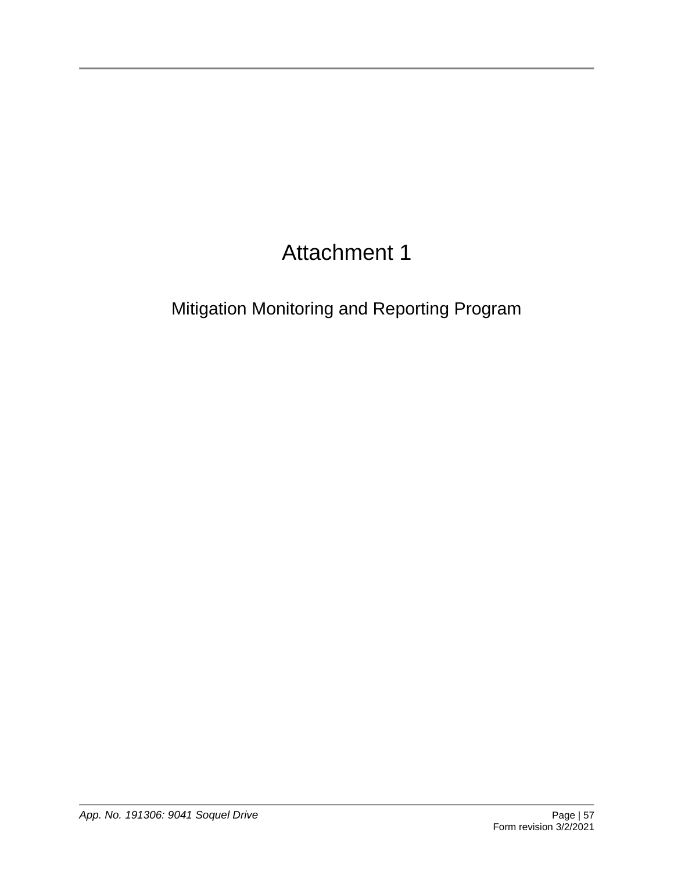# Mitigation Monitoring and Reporting Program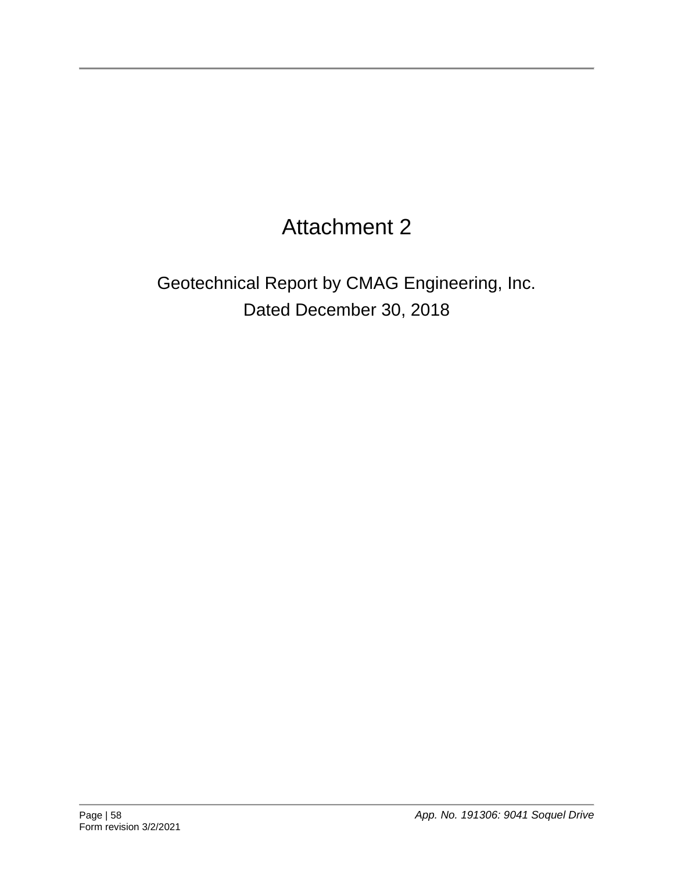# Geotechnical Report by CMAG Engineering, Inc. Dated December 30, 2018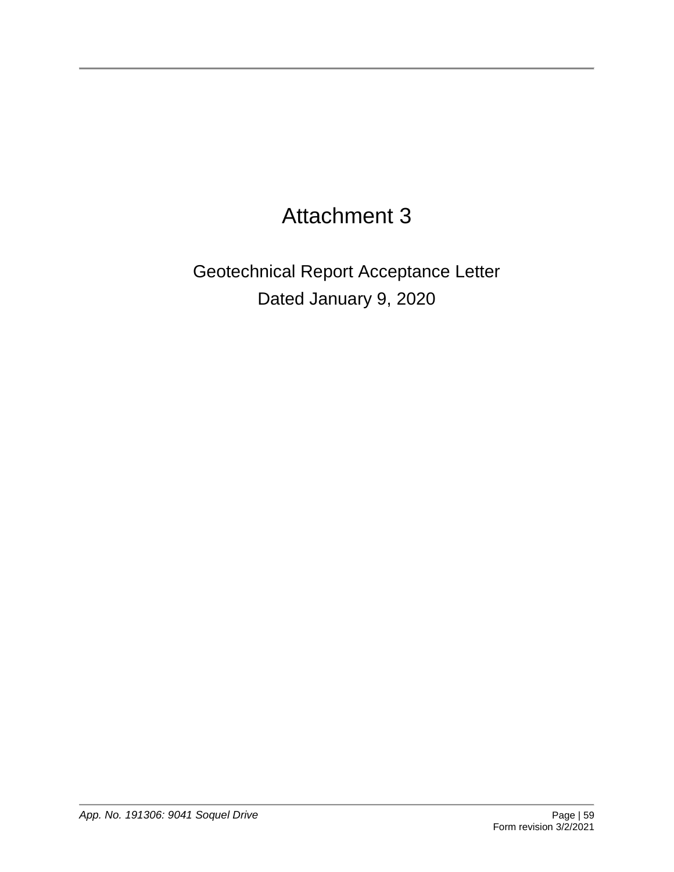Geotechnical Report Acceptance Letter Dated January 9, 2020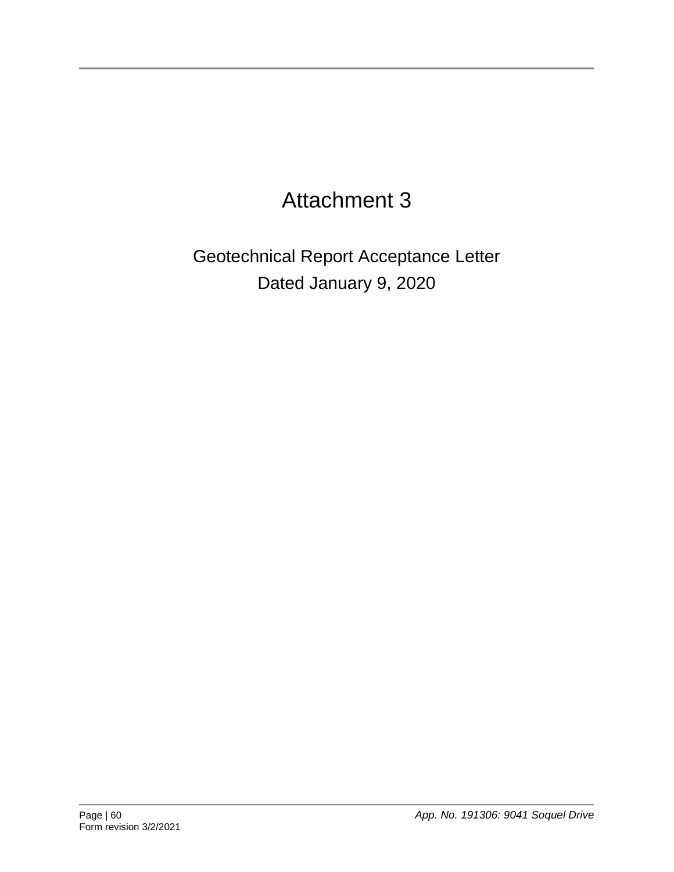Geotechnical Report Acceptance Letter Dated January 9, 2020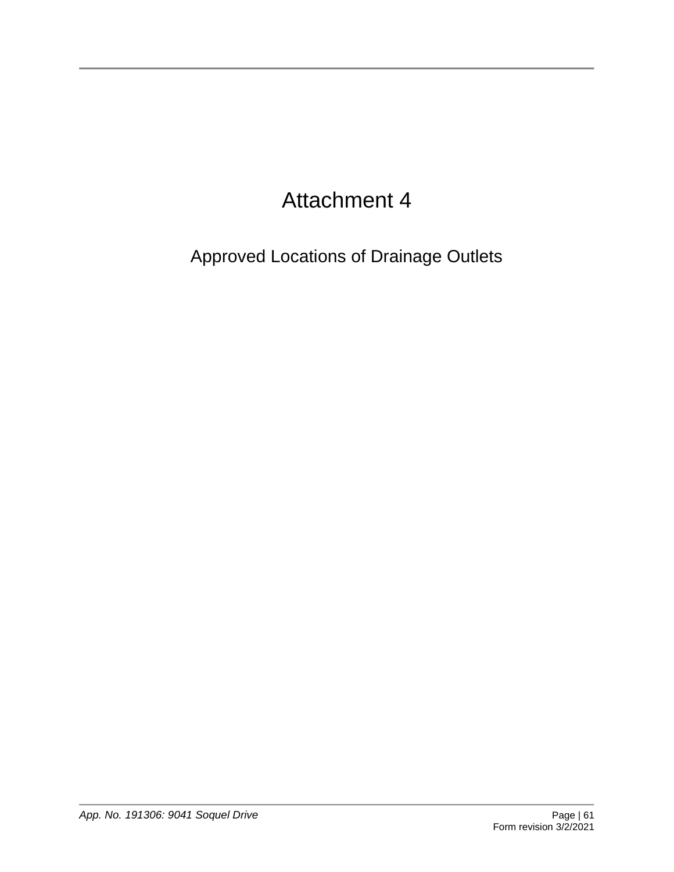Approved Locations of Drainage Outlets